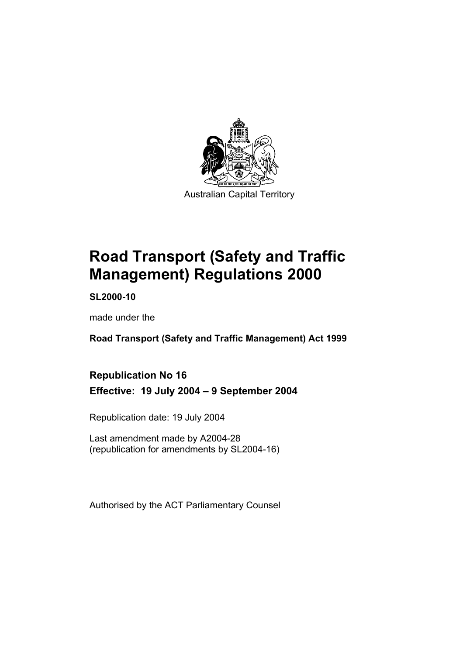

**Road Transport (Safety and Traffic Management) Regulations 2000** 

**SL2000-10** 

made under the

**Road Transport (Safety and Traffic Management) Act 1999** 

**Republication No 16 Effective: 19 July 2004 – 9 September 2004** 

Republication date: 19 July 2004

Last amendment made by A2004-28 (republication for amendments by SL2004-16)

Authorised by the ACT Parliamentary Counsel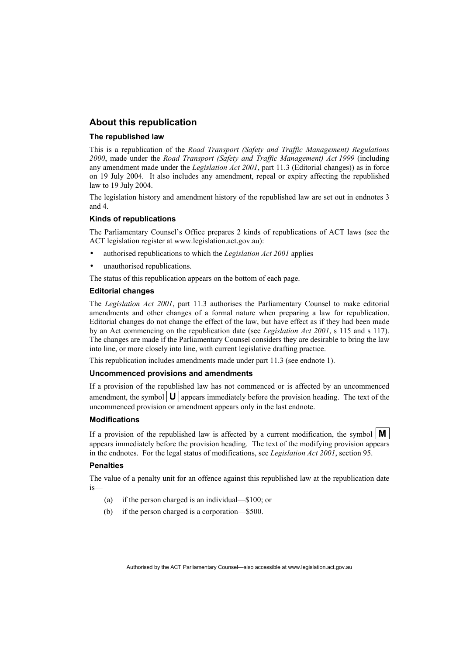#### **About this republication**

#### **The republished law**

This is a republication of the *Road Transport (Safety and Traffic Management) Regulations 2000*, made under the *Road Transport (Safety and Traffic Management) Act 1999* (including any amendment made under the *Legislation Act 2001*, part 11.3 (Editorial changes)) as in force on 19 July 2004*.* It also includes any amendment, repeal or expiry affecting the republished law to 19 July 2004.

The legislation history and amendment history of the republished law are set out in endnotes 3 and 4.

#### **Kinds of republications**

The Parliamentary Counsel's Office prepares 2 kinds of republications of ACT laws (see the ACT legislation register at www.legislation.act.gov.au):

- authorised republications to which the *Legislation Act 2001* applies
- unauthorised republications.

The status of this republication appears on the bottom of each page.

#### **Editorial changes**

The *Legislation Act 2001*, part 11.3 authorises the Parliamentary Counsel to make editorial amendments and other changes of a formal nature when preparing a law for republication. Editorial changes do not change the effect of the law, but have effect as if they had been made by an Act commencing on the republication date (see *Legislation Act 2001*, s 115 and s 117). The changes are made if the Parliamentary Counsel considers they are desirable to bring the law into line, or more closely into line, with current legislative drafting practice.

This republication includes amendments made under part 11.3 (see endnote 1).

#### **Uncommenced provisions and amendments**

If a provision of the republished law has not commenced or is affected by an uncommenced amendment, the symbol  $\mathbf{U}$  appears immediately before the provision heading. The text of the uncommenced provision or amendment appears only in the last endnote.

#### **Modifications**

If a provision of the republished law is affected by a current modification, the symbol  $\mathbf{M}$ appears immediately before the provision heading. The text of the modifying provision appears in the endnotes. For the legal status of modifications, see *Legislation Act 2001*, section 95.

#### **Penalties**

The value of a penalty unit for an offence against this republished law at the republication date is—

- (a) if the person charged is an individual—\$100; or
- (b) if the person charged is a corporation—\$500.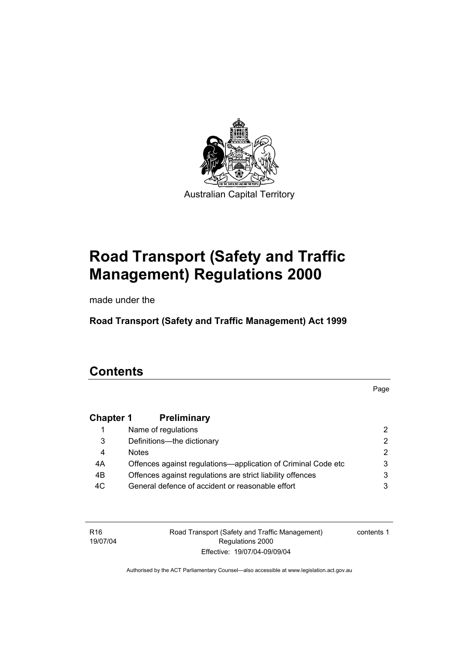

# **Road Transport (Safety and Traffic Management) Regulations 2000**

made under the

**Road Transport (Safety and Traffic Management) Act 1999** 

# **Contents**

Page

# **Chapter 1 Preliminary**

|     | Name of regulations                                           |   |
|-----|---------------------------------------------------------------|---|
| 3   | Definitions--- the dictionary                                 | 2 |
| 4   | <b>Notes</b>                                                  |   |
| 4A  | Offences against regulations—application of Criminal Code etc |   |
| 4B  | Offences against regulations are strict liability offences    |   |
| 4C. | General defence of accident or reasonable effort              |   |

R16 19/07/04 Road Transport (Safety and Traffic Management) Regulations 2000 Effective: 19/07/04-09/09/04

contents 1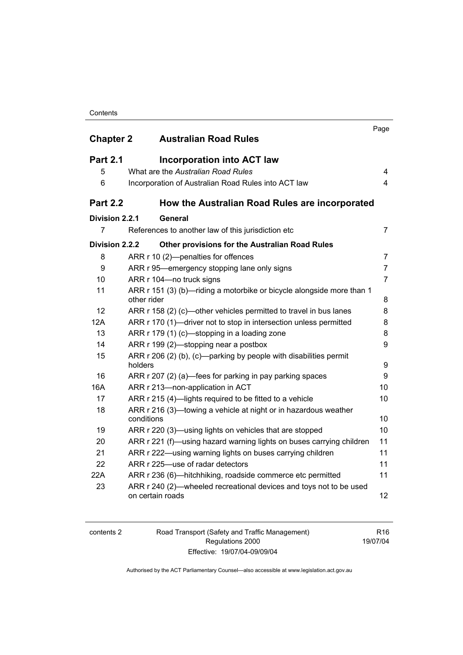#### **Contents**

| <b>Chapter 2</b> | <b>Australian Road Rules</b>                                                           | Page                    |
|------------------|----------------------------------------------------------------------------------------|-------------------------|
|                  |                                                                                        |                         |
| <b>Part 2.1</b>  | <b>Incorporation into ACT law</b>                                                      |                         |
| 5                | What are the Australian Road Rules                                                     | $\overline{4}$          |
| 6                | Incorporation of Australian Road Rules into ACT law                                    | $\overline{\mathbf{4}}$ |
| <b>Part 2.2</b>  | How the Australian Road Rules are incorporated                                         |                         |
| Division 2.2.1   | General                                                                                |                         |
| 7                | References to another law of this jurisdiction etc                                     | $\overline{7}$          |
| Division 2.2.2   | Other provisions for the Australian Road Rules                                         |                         |
| 8                | ARR r 10 (2)-penalties for offences                                                    | $\overline{7}$          |
| 9                | ARR r 95—emergency stopping lane only signs                                            | $\overline{7}$          |
| 10               | ARR r 104-no truck signs                                                               | $\overline{7}$          |
| 11               | ARR r 151 (3) (b)-riding a motorbike or bicycle alongside more than 1<br>other rider   | 8                       |
| 12               | ARR r 158 (2) (c)—other vehicles permitted to travel in bus lanes                      | 8                       |
| 12A              | ARR r 170 (1)—driver not to stop in intersection unless permitted                      | 8                       |
| 13               | ARR r 179 (1) (c)-stopping in a loading zone                                           | 8                       |
| 14               | ARR r 199 (2)—stopping near a postbox                                                  | 9                       |
| 15               | ARR $r$ 206 (2) (b), (c)—parking by people with disabilities permit<br>holders         | 9                       |
| 16               | ARR r 207 (2) (a)—fees for parking in pay parking spaces                               | 9                       |
| 16A              | ARR r 213-non-application in ACT                                                       | 10                      |
| 17               | ARR r 215 (4)-lights required to be fitted to a vehicle                                | 10                      |
| 18               | ARR r 216 (3)—towing a vehicle at night or in hazardous weather<br>conditions          | 10                      |
| 19               | ARR r 220 (3)—using lights on vehicles that are stopped                                | 10                      |
| 20               | ARR r 221 (f)—using hazard warning lights on buses carrying children                   | 11                      |
| 21               | ARR r 222—using warning lights on buses carrying children                              | 11                      |
| 22               | ARR r 225-use of radar detectors                                                       | 11                      |
| 22A              | ARR r 236 (6)—hitchhiking, roadside commerce etc permitted                             | 11                      |
| 23               | ARR r 240 (2)—wheeled recreational devices and toys not to be used<br>on certain roads | 12                      |

| contents 2 |
|------------|
|------------|

contents 2 Road Transport (Safety and Traffic Management) Regulations 2000 Effective: 19/07/04-09/09/04

R16 19/07/04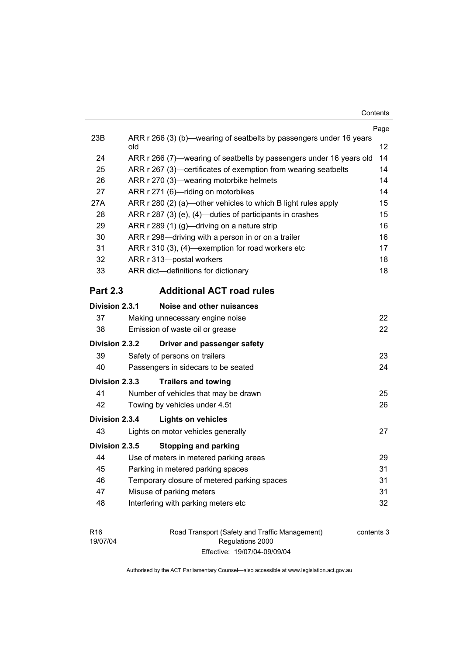|                 |                                                                            | Page |  |
|-----------------|----------------------------------------------------------------------------|------|--|
| 23B             | ARR r 266 (3) (b)—wearing of seatbelts by passengers under 16 years<br>old | 12   |  |
| 24              | ARR r 266 (7)—wearing of seatbelts by passengers under 16 years old        |      |  |
| 25              | ARR r 267 (3)—certificates of exemption from wearing seatbelts             |      |  |
| 26              | ARR r 270 (3)—wearing motorbike helmets                                    |      |  |
| 27              | ARR r 271 (6)-riding on motorbikes                                         |      |  |
| 27A             | ARR r 280 (2) (a)-other vehicles to which B light rules apply              |      |  |
| 28              | ARR r 287 (3) (e), (4)-duties of participants in crashes                   |      |  |
| 29              | ARR r 289 (1) (g)—driving on a nature strip                                |      |  |
| 30              | 16<br>ARR r 298-driving with a person in or on a trailer                   |      |  |
| 31              | ARR r 310 (3), (4)-exemption for road workers etc                          | 17   |  |
| 32              | ARR r 313-postal workers                                                   | 18   |  |
| 33              | ARR dict-definitions for dictionary                                        | 18   |  |
| <b>Part 2.3</b> | <b>Additional ACT road rules</b>                                           |      |  |
| Division 2.3.1  | Noise and other nuisances                                                  |      |  |
| 37              | Making unnecessary engine noise                                            | 22   |  |
| 38              | Emission of waste oil or grease                                            | 22   |  |
| Division 2.3.2  | Driver and passenger safety                                                |      |  |
| 39              | Safety of persons on trailers                                              | 23   |  |
| 40              | Passengers in sidecars to be seated                                        | 24   |  |
| Division 2.3.3  | <b>Trailers and towing</b>                                                 |      |  |
| 41              | Number of vehicles that may be drawn                                       | 25   |  |
| 42              | Towing by vehicles under 4.5t                                              | 26   |  |
| Division 2.3.4  | <b>Lights on vehicles</b>                                                  |      |  |
| 43              | Lights on motor vehicles generally                                         | 27   |  |
| Division 2.3.5  | <b>Stopping and parking</b>                                                |      |  |
| 44              | Use of meters in metered parking areas                                     | 29   |  |
| 45              | Parking in metered parking spaces                                          | 31   |  |
| 46              | Temporary closure of metered parking spaces                                |      |  |
| 47              | 31<br>Misuse of parking meters                                             |      |  |
| 48              | Interfering with parking meters etc                                        | 32   |  |
|                 |                                                                            |      |  |

R16 19/07/04 Road Transport (Safety and Traffic Management) Regulations 2000 Effective: 19/07/04-09/09/04

contents 3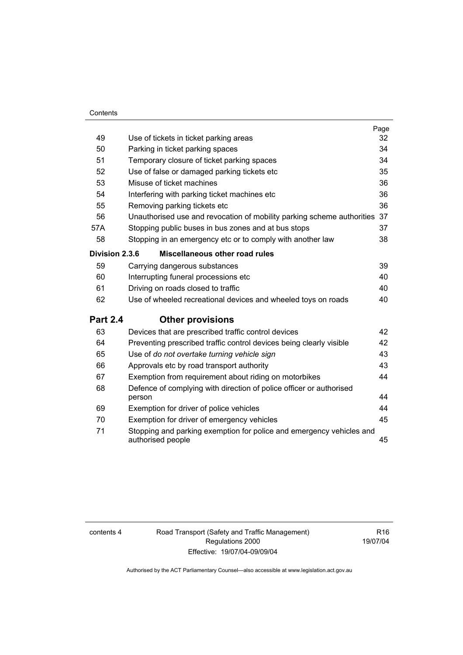#### **Contents**

|                 |                                                                                           | Page |
|-----------------|-------------------------------------------------------------------------------------------|------|
| 49              | Use of tickets in ticket parking areas                                                    | 32   |
| 50              | Parking in ticket parking spaces                                                          | 34   |
| 51              | Temporary closure of ticket parking spaces                                                | 34   |
| 52              | Use of false or damaged parking tickets etc                                               | 35   |
| 53              | Misuse of ticket machines                                                                 | 36   |
| 54              | Interfering with parking ticket machines etc                                              | 36   |
| 55              | Removing parking tickets etc                                                              | 36   |
| 56              | Unauthorised use and revocation of mobility parking scheme authorities                    | 37   |
| 57A             | Stopping public buses in bus zones and at bus stops                                       | 37   |
| 58              | Stopping in an emergency etc or to comply with another law                                | 38   |
| Division 2.3.6  | Miscellaneous other road rules                                                            |      |
| 59              | Carrying dangerous substances                                                             | 39   |
| 60              | Interrupting funeral processions etc                                                      | 40   |
| 61              | Driving on roads closed to traffic                                                        | 40   |
| 62              | Use of wheeled recreational devices and wheeled toys on roads                             | 40   |
| <b>Part 2.4</b> | <b>Other provisions</b>                                                                   |      |
| 63              | Devices that are prescribed traffic control devices                                       | 42   |
| 64              | Preventing prescribed traffic control devices being clearly visible                       | 42   |
| 65              | Use of do not overtake turning vehicle sign                                               | 43   |
| 66              | Approvals etc by road transport authority                                                 | 43   |
| 67              | Exemption from requirement about riding on motorbikes                                     | 44   |
| 68              | Defence of complying with direction of police officer or authorised<br>person             | 44   |
| 69              | Exemption for driver of police vehicles                                                   | 44   |
| 70              | Exemption for driver of emergency vehicles                                                | 45   |
| 71              | Stopping and parking exemption for police and emergency vehicles and<br>authorised people | 45   |

contents 4 Road Transport (Safety and Traffic Management) Regulations 2000 Effective: 19/07/04-09/09/04

R16 19/07/04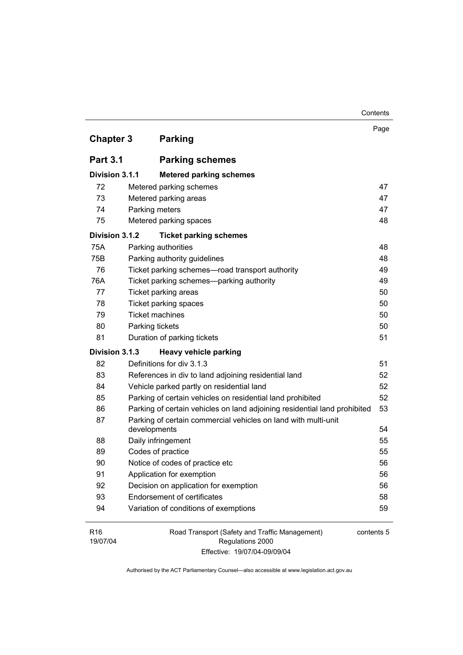| <b>Chapter 3</b>            | <b>Parking</b>                                                            | Page       |
|-----------------------------|---------------------------------------------------------------------------|------------|
| <b>Part 3.1</b>             | <b>Parking schemes</b>                                                    |            |
| Division 3.1.1              | <b>Metered parking schemes</b>                                            |            |
| 72                          | Metered parking schemes                                                   | 47         |
| 73                          | Metered parking areas                                                     | 47         |
| 74                          | Parking meters                                                            | 47         |
| 75                          | Metered parking spaces                                                    | 48         |
| Division 3.1.2              | <b>Ticket parking schemes</b>                                             |            |
| 75A                         | Parking authorities                                                       | 48         |
| 75B                         | Parking authority guidelines                                              | 48         |
| 76                          | Ticket parking schemes-road transport authority                           | 49         |
| 76A                         | Ticket parking schemes-parking authority                                  | 49         |
| 77                          | Ticket parking areas                                                      | 50         |
| 78                          | Ticket parking spaces                                                     | 50         |
| 79                          | <b>Ticket machines</b>                                                    | 50         |
| 80                          | Parking tickets                                                           | 50         |
| 81                          | Duration of parking tickets                                               | 51         |
| Division 3.1.3              | <b>Heavy vehicle parking</b>                                              |            |
| 82                          | Definitions for div 3.1.3                                                 | 51         |
| 83                          | References in div to land adjoining residential land                      | 52         |
| 84                          | Vehicle parked partly on residential land                                 | 52         |
| 85                          | Parking of certain vehicles on residential land prohibited                | 52         |
| 86                          | Parking of certain vehicles on land adjoining residential land prohibited | 53         |
| 87                          | Parking of certain commercial vehicles on land with multi-unit            |            |
|                             | developments                                                              | 54         |
| 88                          | Daily infringement                                                        | 55         |
| 89                          | Codes of practice                                                         | 55         |
| 90                          | Notice of codes of practice etc                                           | 56         |
| 91                          | Application for exemption                                                 | 56         |
| 92                          | Decision on application for exemption                                     | 56         |
| 93                          | <b>Endorsement of certificates</b>                                        | 58         |
| 94                          | Variation of conditions of exemptions                                     | 59         |
| R <sub>16</sub><br>19/07/04 | Road Transport (Safety and Traffic Management)<br>Regulations 2000        | contents 5 |

Contents

Effective: 19/07/04-09/09/04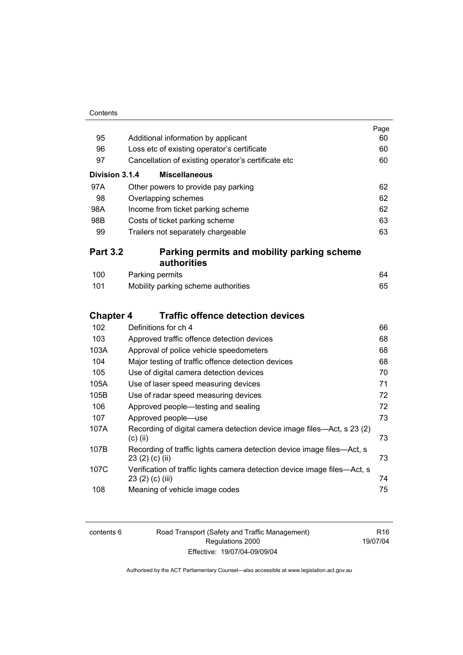| Contents |
|----------|
|          |

|                  |                                                                                               | Page     |
|------------------|-----------------------------------------------------------------------------------------------|----------|
| 95               | Additional information by applicant                                                           | 60<br>60 |
| 96               | Loss etc of existing operator's certificate                                                   |          |
| 97               | Cancellation of existing operator's certificate etc                                           | 60       |
| Division 3.1.4   | <b>Miscellaneous</b>                                                                          |          |
| 97A              | Other powers to provide pay parking                                                           | 62       |
| 98               | Overlapping schemes                                                                           | 62       |
| 98A              | Income from ticket parking scheme                                                             | 62       |
| 98B              | Costs of ticket parking scheme                                                                | 63       |
| 99               | Trailers not separately chargeable                                                            | 63       |
| <b>Part 3.2</b>  | Parking permits and mobility parking scheme                                                   |          |
|                  | authorities                                                                                   |          |
| 100              | Parking permits                                                                               | 64       |
| 101              | Mobility parking scheme authorities                                                           | 65       |
|                  |                                                                                               |          |
| <b>Chapter 4</b> | <b>Traffic offence detection devices</b>                                                      |          |
| 102              | Definitions for ch 4                                                                          | 66       |
| 103              | Approved traffic offence detection devices                                                    | 68       |
| 103A             | Approval of police vehicle speedometers                                                       | 68       |
| 104              | Major testing of traffic offence detection devices                                            | 68       |
| 105              | Use of digital camera detection devices                                                       | 70       |
| 105A             | Use of laser speed measuring devices                                                          | 71       |
| 105B             | Use of radar speed measuring devices                                                          | 72       |
| 106              | Approved people—testing and sealing                                                           | 72       |
| 107              | Approved people-use                                                                           | 73       |
| 107A             | Recording of digital camera detection device image files—Act, s 23 (2)<br>$(c)$ (ii)          | 73       |
| 107B             | Recording of traffic lights camera detection device image files—Act, s<br>23 (2) (c) (ii)     | 73       |
| 107C             | Verification of traffic lights camera detection device image files-Act, s<br>23 (2) (c) (iii) | 74       |
| 108              | Meaning of vehicle image codes                                                                | 75       |

| contents 6 |  |
|------------|--|
|------------|--|

6 Road Transport (Safety and Traffic Management) Regulations 2000 Effective: 19/07/04-09/09/04

R16 19/07/04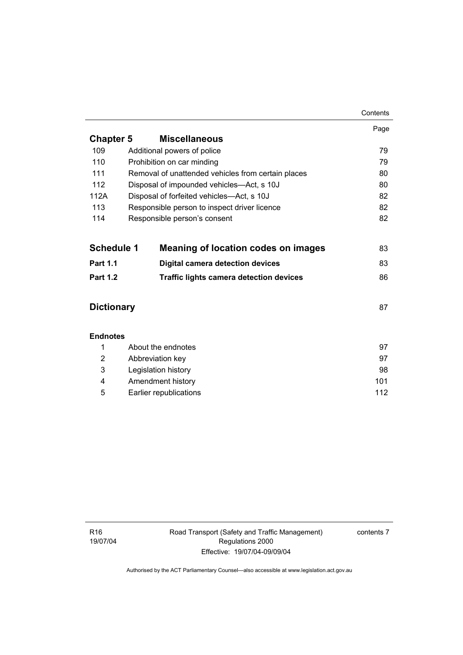|                   |                                                    | Contents |
|-------------------|----------------------------------------------------|----------|
|                   |                                                    | Page     |
| <b>Chapter 5</b>  | <b>Miscellaneous</b>                               |          |
| 109               | Additional powers of police                        | 79       |
| 110               | Prohibition on car minding                         | 79       |
| 111               | Removal of unattended vehicles from certain places | 80       |
| 112               | Disposal of impounded vehicles—Act, s 10J          | 80       |
| 112A              | Disposal of forfeited vehicles-Act, s 10J          | 82       |
| 113               | Responsible person to inspect driver licence       | 82       |
| 114               | Responsible person's consent                       | 82       |
|                   |                                                    |          |
| <b>Schedule 1</b> | Meaning of location codes on images                | 83       |
| <b>Part 1.1</b>   | <b>Digital camera detection devices</b>            | 83       |
| <b>Part 1.2</b>   | <b>Traffic lights camera detection devices</b>     | 86       |
|                   |                                                    |          |
| <b>Dictionary</b> |                                                    |          |
|                   |                                                    |          |
| <b>Endnotes</b>   |                                                    |          |
| 1                 | About the endnotes                                 | 97       |
| 2                 | Abbreviation key                                   |          |
| 3                 | Legislation history                                |          |
| 4                 | Amendment history                                  |          |

5 Earlier republications 112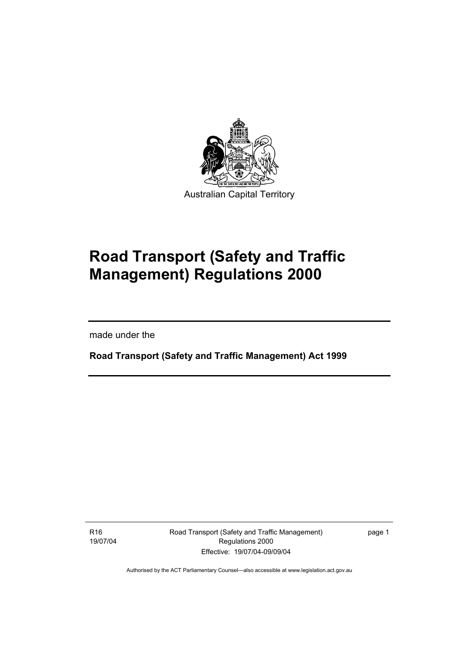

# **Road Transport (Safety and Traffic Management) Regulations 2000**

made under the

I

**Road Transport (Safety and Traffic Management) Act 1999** 

R16 19/07/04 Road Transport (Safety and Traffic Management) Regulations 2000 Effective: 19/07/04-09/09/04

page 1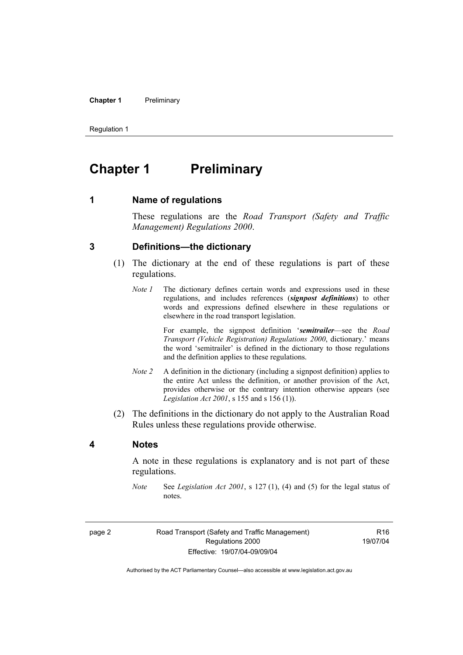#### **Chapter 1** Preliminary

Regulation 1

# **Chapter 1** Preliminary

**1 Name of regulations** 

These regulations are the *Road Transport (Safety and Traffic Management) Regulations 2000*.

#### **3 Definitions—the dictionary**

- (1) The dictionary at the end of these regulations is part of these regulations.
	- *Note 1* The dictionary defines certain words and expressions used in these regulations, and includes references (*signpost definitions*) to other words and expressions defined elsewhere in these regulations or elsewhere in the road transport legislation.

 For example, the signpost definition '*semitrailer*—see the *Road Transport (Vehicle Registration) Regulations 2000*, dictionary.' means the word 'semitrailer' is defined in the dictionary to those regulations and the definition applies to these regulations.

- *Note 2* A definition in the dictionary (including a signpost definition) applies to the entire Act unless the definition, or another provision of the Act, provides otherwise or the contrary intention otherwise appears (see *Legislation Act 2001*, s 155 and s 156 (1)).
- (2) The definitions in the dictionary do not apply to the Australian Road Rules unless these regulations provide otherwise.

#### **4 Notes**

A note in these regulations is explanatory and is not part of these regulations.

*Note* See *Legislation Act 2001*, s 127 (1), (4) and (5) for the legal status of notes.

page 2 Road Transport (Safety and Traffic Management) Regulations 2000 Effective: 19/07/04-09/09/04

R16 19/07/04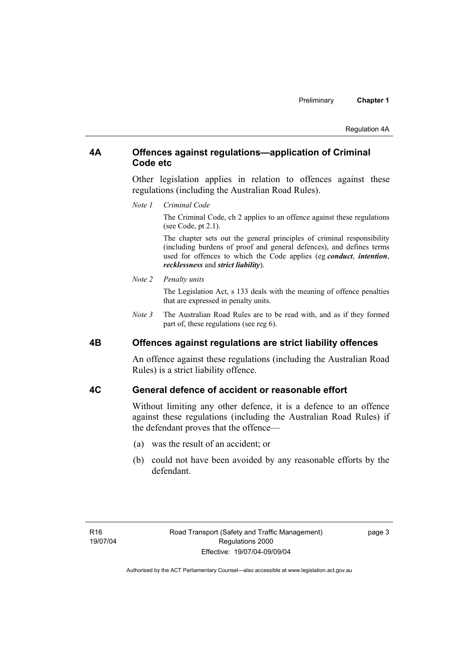#### **4A Offences against regulations—application of Criminal Code etc**

Other legislation applies in relation to offences against these regulations (including the Australian Road Rules).

*Note 1 Criminal Code*

The Criminal Code, ch 2 applies to an offence against these regulations (see Code, pt 2.1).

The chapter sets out the general principles of criminal responsibility (including burdens of proof and general defences), and defines terms used for offences to which the Code applies (eg *conduct*, *intention*, *recklessness* and *strict liability*).

#### *Note 2 Penalty units*

The Legislation Act, s 133 deals with the meaning of offence penalties that are expressed in penalty units.

*Note 3* The Australian Road Rules are to be read with, and as if they formed part of, these regulations (see reg 6).

#### **4B Offences against regulations are strict liability offences**

An offence against these regulations (including the Australian Road Rules) is a strict liability offence.

#### **4C General defence of accident or reasonable effort**

Without limiting any other defence, it is a defence to an offence against these regulations (including the Australian Road Rules) if the defendant proves that the offence—

- (a) was the result of an accident; or
- (b) could not have been avoided by any reasonable efforts by the defendant.

page 3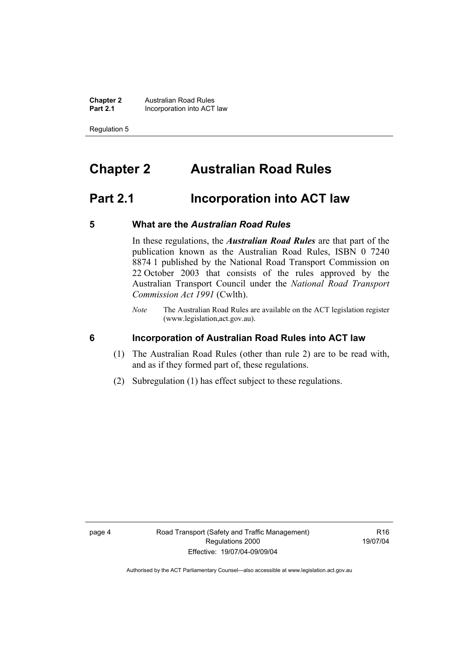**Chapter 2 Australian Road Rules**<br>**Part 2.1 Incorporation into ACT Incorporation into ACT law** 

Regulation 5

# **Chapter 2 Australian Road Rules**

# **Part 2.1 Incorporation into ACT law**

#### **5 What are the** *Australian Road Rules*

In these regulations, the *Australian Road Rules* are that part of the publication known as the Australian Road Rules, ISBN 0 7240 8874 1 published by the National Road Transport Commission on 22 October 2003 that consists of the rules approved by the Australian Transport Council under the *National Road Transport Commission Act 1991* (Cwlth).

*Note* The Australian Road Rules are available on the ACT legislation register (www.legislation,act.gov.au).

#### **6 Incorporation of Australian Road Rules into ACT law**

- (1) The Australian Road Rules (other than rule 2) are to be read with, and as if they formed part of, these regulations.
- (2) Subregulation (1) has effect subject to these regulations.

R16 19/07/04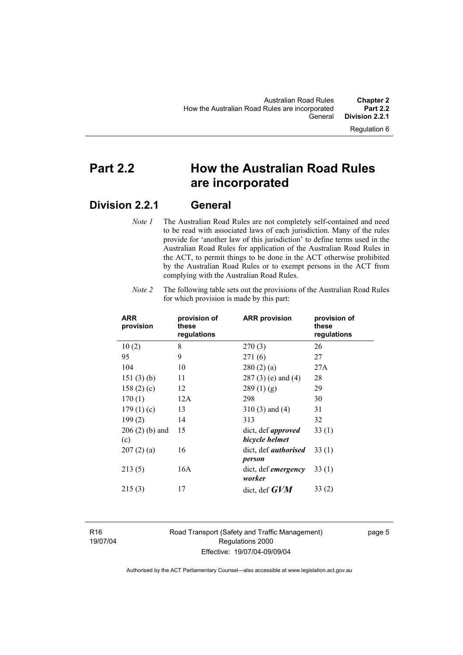# **Part 2.2 How the Australian Road Rules are incorporated**

# **Division 2.2.1 General**

*Note 1* The Australian Road Rules are not completely self-contained and need to be read with associated laws of each jurisdiction. Many of the rules provide for 'another law of this jurisdiction' to define terms used in the Australian Road Rules for application of the Australian Road Rules in the ACT, to permit things to be done in the ACT otherwise prohibited by the Australian Road Rules or to exempt persons in the ACT from complying with the Australian Road Rules.

| <b>ARR</b><br>provision | provision of<br>these<br>regulations | <b>ARR provision</b>                        | provision of<br>these<br>regulations |
|-------------------------|--------------------------------------|---------------------------------------------|--------------------------------------|
| 10(2)                   | 8                                    | 270(3)                                      | 26                                   |
| 95                      | 9                                    | 271(6)                                      | 27                                   |
| 104                     | 10                                   | 280(2)(a)                                   | 27A                                  |
| 151(3)(b)               | 11                                   | 287 (3) (e) and (4)                         | 28                                   |
| 158(2)(c)               | 12                                   | 289(1)(g)                                   | 29                                   |
| 170(1)                  | 12A                                  | 298                                         | 30                                   |
| 179(1)(c)               | 13                                   | $310(3)$ and $(4)$                          | 31                                   |
| 199(2)                  | 14                                   | 313                                         | 32                                   |
| $206(2)$ (b) and<br>(c) | 15                                   | dict, def <i>approved</i><br>bicycle helmet | 33(1)                                |
| 207(2)(a)               | 16                                   | dict, def <i>authorised</i><br>person       | 33(1)                                |
| 213(5)                  | 16A                                  | dict, def <i>emergency</i><br>worker        | 33(1)                                |
| 215(3)                  | 17                                   | dict, def $GVM$                             | 33(2)                                |

*Note 2* The following table sets out the provisions of the Australian Road Rules for which provision is made by this part:

R16 19/07/04 Road Transport (Safety and Traffic Management) Regulations 2000 Effective: 19/07/04-09/09/04

page 5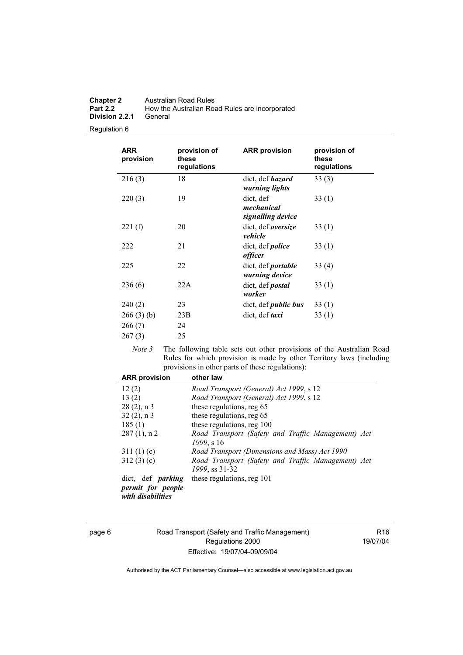| <b>Chapter 2</b> | Australian Road Rules                          |
|------------------|------------------------------------------------|
| <b>Part 2.2</b>  | How the Australian Road Rules are incorporated |
| Division 2.2.1   | General                                        |

Regulation 6

| <b>ARR</b><br>provision | provision of<br>these<br>regulations | <b>ARR</b> provision                         | provision of<br>these<br>regulations |
|-------------------------|--------------------------------------|----------------------------------------------|--------------------------------------|
| 216(3)                  | 18                                   | dict, def <i>hazard</i><br>warning lights    | 33(3)                                |
| 220(3)                  | 19                                   | dict, def<br>mechanical<br>signalling device | 33(1)                                |
| 221(f)                  | 20                                   | dict, def <i>oversize</i><br>vehicle         | 33(1)                                |
| 222                     | 21                                   | dict, def <i>police</i><br><i>officer</i>    | 33(1)                                |
| 225                     | 22                                   | dict, def <i>portable</i><br>warning device  | 33(4)                                |
| 236(6)                  | 22A                                  | dict, def <i>postal</i><br>worker            | 33(1)                                |
| 240(2)                  | 23                                   | dict, def <i>public bus</i>                  | 33(1)                                |
| 266(3)(b)               | 23B                                  | dict, def taxi                               | 33(1)                                |
| 266(7)                  | 24                                   |                                              |                                      |
| 267(3)                  | 25                                   |                                              |                                      |

*Note 3* The following table sets out other provisions of the Australian Road Rules for which provision is made by other Territory laws (including provisions in other parts of these regulations):

| <b>ARR provision</b>                   | other law                                          |
|----------------------------------------|----------------------------------------------------|
| 12(2)                                  | Road Transport (General) Act 1999, s 12            |
| 13(2)                                  | Road Transport (General) Act 1999, s 12            |
| $28(2)$ , n 3                          | these regulations, reg 65                          |
| $32(2)$ , n 3                          | these regulations, reg 65                          |
| 185(1)                                 | these regulations, reg 100                         |
| $287(1)$ , n 2                         | Road Transport (Safety and Traffic Management) Act |
|                                        | 1999, s 16                                         |
| 311(1)(c)                              | Road Transport (Dimensions and Mass) Act 1990      |
| 312(3)(c)                              | Road Transport (Safety and Traffic Management) Act |
|                                        | 1999, ss 31-32                                     |
| dict, def <i>parking</i>               | these regulations, reg 101                         |
| permit for people<br>with disabilities |                                                    |

page 6 Road Transport (Safety and Traffic Management) Regulations 2000 Effective: 19/07/04-09/09/04

R16 19/07/04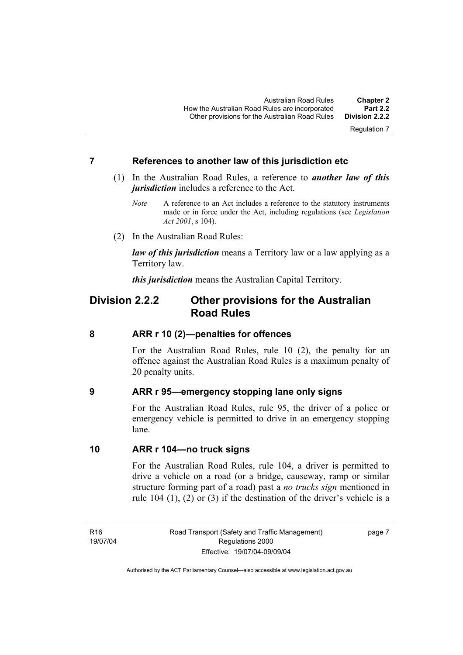Regulation 7

#### **7 References to another law of this jurisdiction etc**

- (1) In the Australian Road Rules, a reference to *another law of this jurisdiction* includes a reference to the Act.
	- *Note* A reference to an Act includes a reference to the statutory instruments made or in force under the Act, including regulations (see *Legislation Act 2001*, s 104).
- (2) In the Australian Road Rules:

*law of this jurisdiction* means a Territory law or a law applying as a Territory law.

*this jurisdiction* means the Australian Capital Territory.

# **Division 2.2.2 Other provisions for the Australian Road Rules**

#### **8 ARR r 10 (2)—penalties for offences**

For the Australian Road Rules, rule 10 (2), the penalty for an offence against the Australian Road Rules is a maximum penalty of 20 penalty units.

#### **9 ARR r 95—emergency stopping lane only signs**

For the Australian Road Rules, rule 95, the driver of a police or emergency vehicle is permitted to drive in an emergency stopping lane.

#### **10 ARR r 104—no truck signs**

For the Australian Road Rules, rule 104, a driver is permitted to drive a vehicle on a road (or a bridge, causeway, ramp or similar structure forming part of a road) past a *no trucks sign* mentioned in rule 104 (1), (2) or (3) if the destination of the driver's vehicle is a

R16 19/07/04 page 7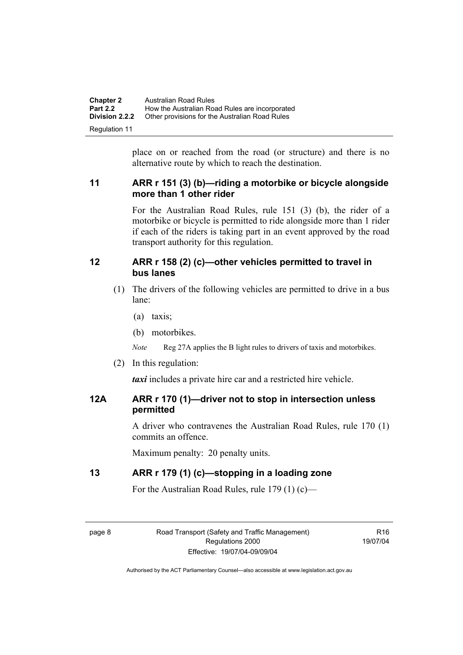| <b>Chapter 2</b>      | <b>Australian Road Rules</b>                   |
|-----------------------|------------------------------------------------|
| <b>Part 2.2</b>       | How the Australian Road Rules are incorporated |
| <b>Division 2.2.2</b> | Other provisions for the Australian Road Rules |
| Regulation 11         |                                                |

place on or reached from the road (or structure) and there is no alternative route by which to reach the destination.

# **11 ARR r 151 (3) (b)—riding a motorbike or bicycle alongside more than 1 other rider**

For the Australian Road Rules, rule 151 (3) (b), the rider of a motorbike or bicycle is permitted to ride alongside more than 1 rider if each of the riders is taking part in an event approved by the road transport authority for this regulation.

#### **12 ARR r 158 (2) (c)—other vehicles permitted to travel in bus lanes**

- (1) The drivers of the following vehicles are permitted to drive in a bus lane:
	- (a) taxis;
	- (b) motorbikes.

*Note* Reg 27A applies the B light rules to drivers of taxis and motorbikes.

(2) In this regulation:

*taxi* includes a private hire car and a restricted hire vehicle.

# **12A ARR r 170 (1)—driver not to stop in intersection unless permitted**

A driver who contravenes the Australian Road Rules, rule 170 (1) commits an offence.

Maximum penalty: 20 penalty units.

# **13 ARR r 179 (1) (c)—stopping in a loading zone**

For the Australian Road Rules, rule 179 (1) (c)—

page 8 Road Transport (Safety and Traffic Management) Regulations 2000 Effective: 19/07/04-09/09/04

 $P16$ 19/07/04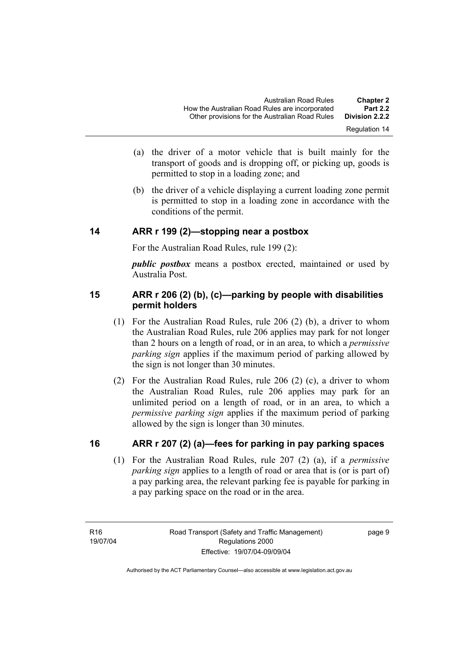- (a) the driver of a motor vehicle that is built mainly for the transport of goods and is dropping off, or picking up, goods is permitted to stop in a loading zone; and
- (b) the driver of a vehicle displaying a current loading zone permit is permitted to stop in a loading zone in accordance with the conditions of the permit.

#### **14 ARR r 199 (2)—stopping near a postbox**

For the Australian Road Rules, rule 199 (2):

*public postbox* means a postbox erected, maintained or used by Australia Post.

# **15 ARR r 206 (2) (b), (c)—parking by people with disabilities permit holders**

- (1) For the Australian Road Rules, rule 206 (2) (b), a driver to whom the Australian Road Rules, rule 206 applies may park for not longer than 2 hours on a length of road, or in an area, to which a *permissive parking sign* applies if the maximum period of parking allowed by the sign is not longer than 30 minutes.
- (2) For the Australian Road Rules, rule 206 (2) (c), a driver to whom the Australian Road Rules, rule 206 applies may park for an unlimited period on a length of road, or in an area, to which a *permissive parking sign* applies if the maximum period of parking allowed by the sign is longer than 30 minutes.

# **16 ARR r 207 (2) (a)—fees for parking in pay parking spaces**

 (1) For the Australian Road Rules, rule 207 (2) (a), if a *permissive parking sign* applies to a length of road or area that is (or is part of) a pay parking area, the relevant parking fee is payable for parking in a pay parking space on the road or in the area.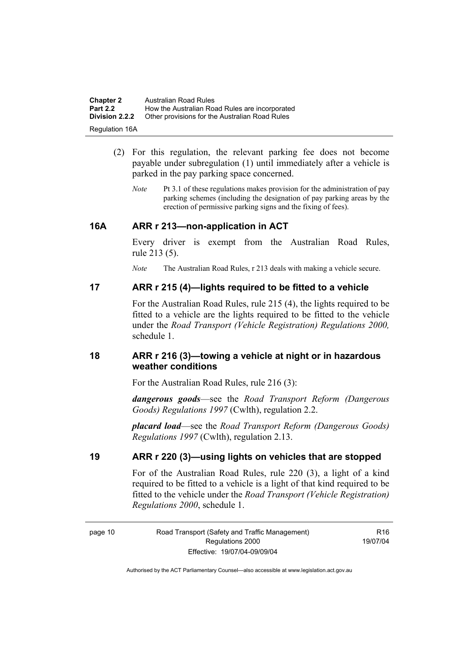| <b>Chapter 2</b>      | <b>Australian Road Rules</b>                   |
|-----------------------|------------------------------------------------|
| <b>Part 2.2</b>       | How the Australian Road Rules are incorporated |
| <b>Division 2.2.2</b> | Other provisions for the Australian Road Rules |
| <b>Regulation 16A</b> |                                                |

- (2) For this regulation, the relevant parking fee does not become payable under subregulation (1) until immediately after a vehicle is parked in the pay parking space concerned.
	- *Note* Pt 3.1 of these regulations makes provision for the administration of pay parking schemes (including the designation of pay parking areas by the erection of permissive parking signs and the fixing of fees).

#### **16A ARR r 213—non-application in ACT**

Every driver is exempt from the Australian Road Rules, rule 213 (5).

*Note* The Australian Road Rules, r 213 deals with making a vehicle secure.

#### **17 ARR r 215 (4)—lights required to be fitted to a vehicle**

For the Australian Road Rules, rule 215 (4), the lights required to be fitted to a vehicle are the lights required to be fitted to the vehicle under the *Road Transport (Vehicle Registration) Regulations 2000,*  schedule 1.

#### **18 ARR r 216 (3)—towing a vehicle at night or in hazardous weather conditions**

For the Australian Road Rules, rule 216 (3):

*dangerous goods*—see the *Road Transport Reform (Dangerous Goods) Regulations 1997* (Cwlth), regulation 2.2.

*placard load*—see the *Road Transport Reform (Dangerous Goods) Regulations 1997* (Cwlth), regulation 2.13.

#### **19 ARR r 220 (3)—using lights on vehicles that are stopped**

For of the Australian Road Rules, rule 220 (3), a light of a kind required to be fitted to a vehicle is a light of that kind required to be fitted to the vehicle under the *Road Transport (Vehicle Registration) Regulations 2000*, schedule 1.

R16 19/07/04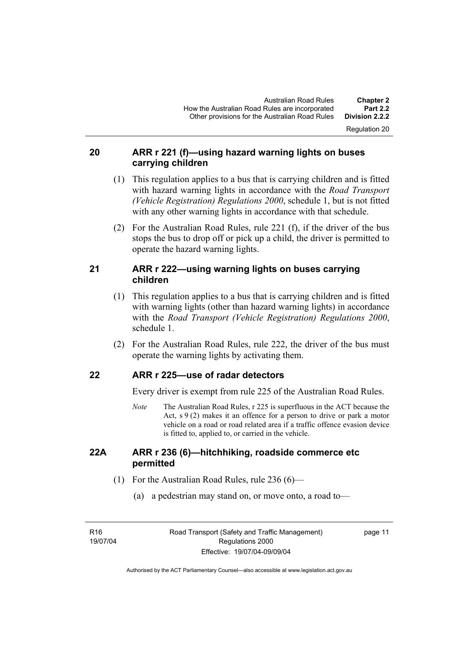Regulation 20

# **20 ARR r 221 (f)—using hazard warning lights on buses carrying children**

- (1) This regulation applies to a bus that is carrying children and is fitted with hazard warning lights in accordance with the *Road Transport (Vehicle Registration) Regulations 2000*, schedule 1, but is not fitted with any other warning lights in accordance with that schedule.
- (2) For the Australian Road Rules, rule 221 (f), if the driver of the bus stops the bus to drop off or pick up a child, the driver is permitted to operate the hazard warning lights.

# **21 ARR r 222—using warning lights on buses carrying children**

- (1) This regulation applies to a bus that is carrying children and is fitted with warning lights (other than hazard warning lights) in accordance with the *Road Transport (Vehicle Registration) Regulations 2000*, schedule 1.
- (2) For the Australian Road Rules, rule 222, the driver of the bus must operate the warning lights by activating them.

# **22 ARR r 225—use of radar detectors**

Every driver is exempt from rule 225 of the Australian Road Rules.

*Note* The Australian Road Rules, r 225 is superfluous in the ACT because the Act,  $s \theta(2)$  makes it an offence for a person to drive or park a motor vehicle on a road or road related area if a traffic offence evasion device is fitted to, applied to, or carried in the vehicle.

#### **22A ARR r 236 (6)—hitchhiking, roadside commerce etc permitted**

- (1) For the Australian Road Rules, rule 236 (6)—
	- (a) a pedestrian may stand on, or move onto, a road to—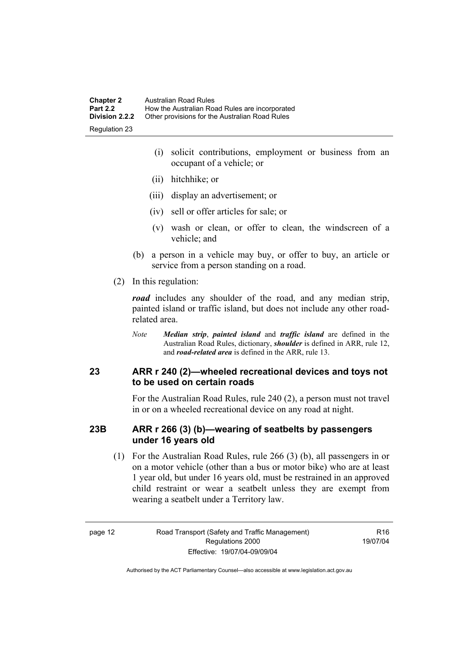- (i) solicit contributions, employment or business from an occupant of a vehicle; or
- (ii) hitchhike; or
- (iii) display an advertisement; or
- (iv) sell or offer articles for sale; or
- (v) wash or clean, or offer to clean, the windscreen of a vehicle; and
- (b) a person in a vehicle may buy, or offer to buy, an article or service from a person standing on a road.
- (2) In this regulation:

*road* includes any shoulder of the road, and any median strip, painted island or traffic island, but does not include any other roadrelated area.

*Note Median strip*, *painted island* and *traffic island* are defined in the Australian Road Rules, dictionary, *shoulder* is defined in ARR, rule 12, and *road-related area* is defined in the ARR, rule 13.

#### **23 ARR r 240 (2)—wheeled recreational devices and toys not to be used on certain roads**

For the Australian Road Rules, rule 240 (2), a person must not travel in or on a wheeled recreational device on any road at night.

#### **23B ARR r 266 (3) (b)—wearing of seatbelts by passengers under 16 years old**

 (1) For the Australian Road Rules, rule 266 (3) (b), all passengers in or on a motor vehicle (other than a bus or motor bike) who are at least 1 year old, but under 16 years old, must be restrained in an approved child restraint or wear a seatbelt unless they are exempt from wearing a seatbelt under a Territory law.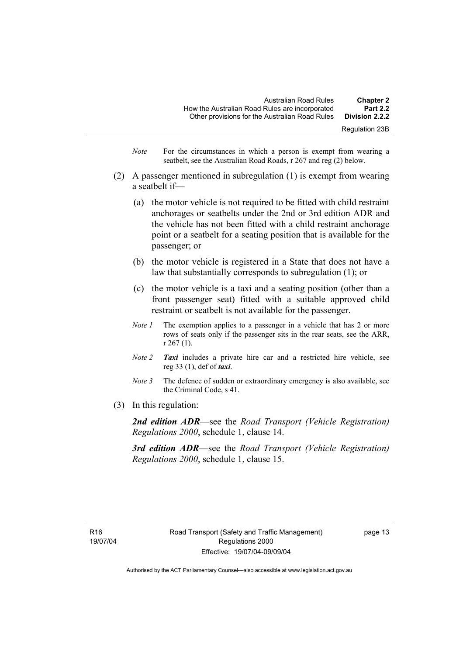- *Note* For the circumstances in which a person is exempt from wearing a seatbelt, see the Australian Road Roads, r 267 and reg (2) below.
- (2) A passenger mentioned in subregulation (1) is exempt from wearing a seatbelt if—
	- (a) the motor vehicle is not required to be fitted with child restraint anchorages or seatbelts under the 2nd or 3rd edition ADR and the vehicle has not been fitted with a child restraint anchorage point or a seatbelt for a seating position that is available for the passenger; or
	- (b) the motor vehicle is registered in a State that does not have a law that substantially corresponds to subregulation (1); or
	- (c) the motor vehicle is a taxi and a seating position (other than a front passenger seat) fitted with a suitable approved child restraint or seatbelt is not available for the passenger.
	- *Note 1* The exemption applies to a passenger in a vehicle that has 2 or more rows of seats only if the passenger sits in the rear seats, see the ARR, r 267 (1).
	- *Note 2 Taxi* includes a private hire car and a restricted hire vehicle, see reg 33 (1), def of *taxi*.
	- *Note 3* The defence of sudden or extraordinary emergency is also available, see the Criminal Code, s 41.
- (3) In this regulation:

*2nd edition ADR*—see the *Road Transport (Vehicle Registration) Regulations 2000*, schedule 1, clause 14.

*3rd edition ADR*—see the *Road Transport (Vehicle Registration) Regulations 2000*, schedule 1, clause 15.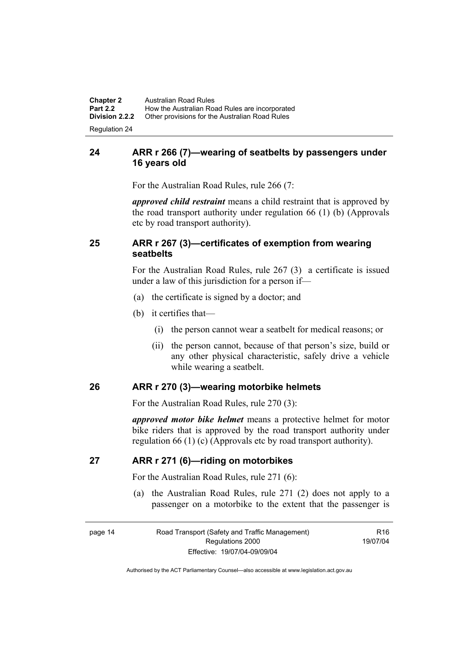**Chapter 2** Australian Road Rules<br>**Part 2.2** How the Australian Road **Part 2.2 How the Australian Road Rules are incorporated Division 2.2.2** Other provisions for the Australian Road Rules **Other provisions for the Australian Road Rules** 

Regulation 24

# **24 ARR r 266 (7)—wearing of seatbelts by passengers under 16 years old**

For the Australian Road Rules, rule 266 (7:

*approved child restraint* means a child restraint that is approved by the road transport authority under regulation 66 (1) (b) (Approvals etc by road transport authority).

# **25 ARR r 267 (3)—certificates of exemption from wearing seatbelts**

For the Australian Road Rules, rule 267 (3) a certificate is issued under a law of this jurisdiction for a person if—

- (a) the certificate is signed by a doctor; and
- (b) it certifies that—
	- (i) the person cannot wear a seatbelt for medical reasons; or
	- (ii) the person cannot, because of that person's size, build or any other physical characteristic, safely drive a vehicle while wearing a seatbelt.

# **26 ARR r 270 (3)—wearing motorbike helmets**

For the Australian Road Rules, rule 270 (3):

*approved motor bike helmet* means a protective helmet for motor bike riders that is approved by the road transport authority under regulation 66 (1) (c) (Approvals etc by road transport authority).

#### **27 ARR r 271 (6)—riding on motorbikes**

For the Australian Road Rules, rule 271 (6):

 (a) the Australian Road Rules, rule 271 (2) does not apply to a passenger on a motorbike to the extent that the passenger is

 $P16$ 19/07/04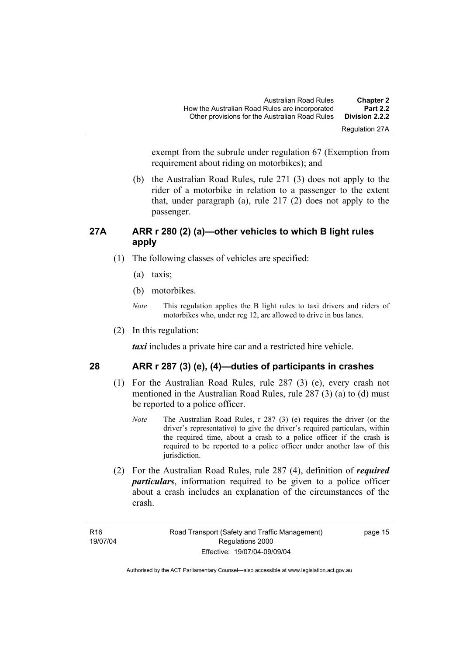Regulation 27A

exempt from the subrule under regulation 67 (Exemption from requirement about riding on motorbikes); and

 (b) the Australian Road Rules, rule 271 (3) does not apply to the rider of a motorbike in relation to a passenger to the extent that, under paragraph (a), rule  $217(2)$  does not apply to the passenger.

# **27A ARR r 280 (2) (a)—other vehicles to which B light rules apply**

- (1) The following classes of vehicles are specified:
	- (a) taxis;
	- (b) motorbikes.
	- *Note* This regulation applies the B light rules to taxi drivers and riders of motorbikes who, under reg 12, are allowed to drive in bus lanes.
- (2) In this regulation:

*taxi* includes a private hire car and a restricted hire vehicle.

# **28 ARR r 287 (3) (e), (4)—duties of participants in crashes**

- (1) For the Australian Road Rules, rule 287 (3) (e), every crash not mentioned in the Australian Road Rules, rule 287 (3) (a) to (d) must be reported to a police officer.
	- *Note* The Australian Road Rules, r 287 (3) (e) requires the driver (or the driver's representative) to give the driver's required particulars, within the required time, about a crash to a police officer if the crash is required to be reported to a police officer under another law of this jurisdiction.
- (2) For the Australian Road Rules, rule 287 (4), definition of *required particulars*, information required to be given to a police officer about a crash includes an explanation of the circumstances of the crash.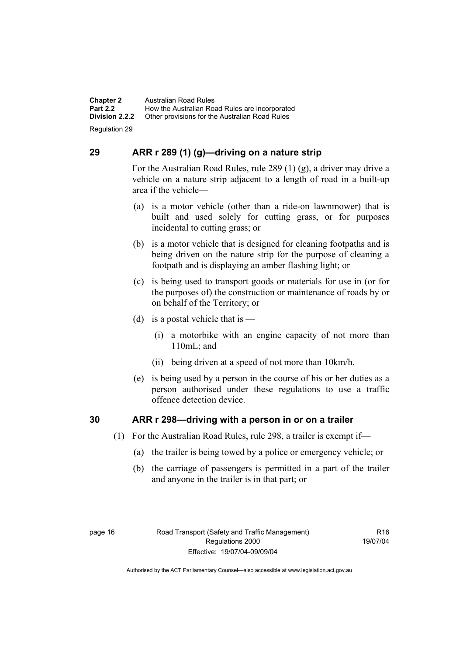**Chapter 2** Australian Road Rules<br>**Part 2.2** How the Australian Ro **Part 2.2 How the Australian Road Rules are incorporated Division 2.2.2** Other provisions for the Australian Road Rules **Other provisions for the Australian Road Rules** 

Regulation 29

# **29 ARR r 289 (1) (g)—driving on a nature strip**

For the Australian Road Rules, rule 289 (1) (g), a driver may drive a vehicle on a nature strip adjacent to a length of road in a built-up area if the vehicle—

- (a) is a motor vehicle (other than a ride-on lawnmower) that is built and used solely for cutting grass, or for purposes incidental to cutting grass; or
- (b) is a motor vehicle that is designed for cleaning footpaths and is being driven on the nature strip for the purpose of cleaning a footpath and is displaying an amber flashing light; or
- (c) is being used to transport goods or materials for use in (or for the purposes of) the construction or maintenance of roads by or on behalf of the Territory; or
- (d) is a postal vehicle that is  $-$ 
	- (i) a motorbike with an engine capacity of not more than 110mL; and
	- (ii) being driven at a speed of not more than 10km/h.
- (e) is being used by a person in the course of his or her duties as a person authorised under these regulations to use a traffic offence detection device.

# **30 ARR r 298—driving with a person in or on a trailer**

- (1) For the Australian Road Rules, rule 298, a trailer is exempt if—
	- (a) the trailer is being towed by a police or emergency vehicle; or
	- (b) the carriage of passengers is permitted in a part of the trailer and anyone in the trailer is in that part; or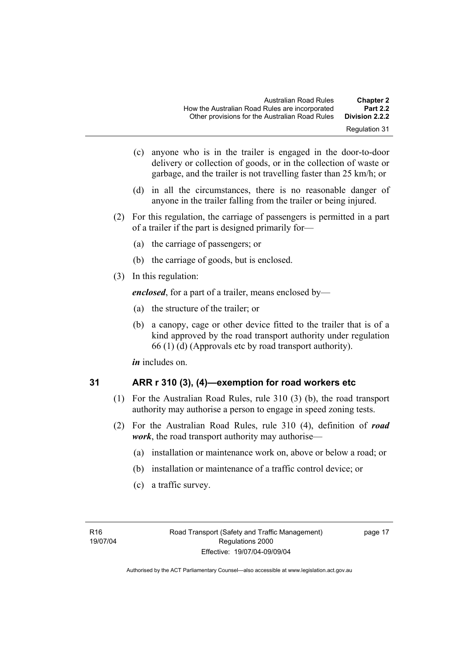- Regulation 31
- (c) anyone who is in the trailer is engaged in the door-to-door delivery or collection of goods, or in the collection of waste or garbage, and the trailer is not travelling faster than 25 km/h; or
- (d) in all the circumstances, there is no reasonable danger of anyone in the trailer falling from the trailer or being injured.
- (2) For this regulation, the carriage of passengers is permitted in a part of a trailer if the part is designed primarily for—
	- (a) the carriage of passengers; or
	- (b) the carriage of goods, but is enclosed.
- (3) In this regulation:

*enclosed*, for a part of a trailer, means enclosed by—

- (a) the structure of the trailer; or
- (b) a canopy, cage or other device fitted to the trailer that is of a kind approved by the road transport authority under regulation 66 (1) (d) (Approvals etc by road transport authority).

*in* includes on.

$$
31
$$

# **31 ARR r 310 (3), (4)—exemption for road workers etc**

- (1) For the Australian Road Rules, rule 310 (3) (b), the road transport authority may authorise a person to engage in speed zoning tests.
- (2) For the Australian Road Rules, rule 310 (4), definition of *road work*, the road transport authority may authorise—
	- (a) installation or maintenance work on, above or below a road; or
	- (b) installation or maintenance of a traffic control device; or
	- (c) a traffic survey.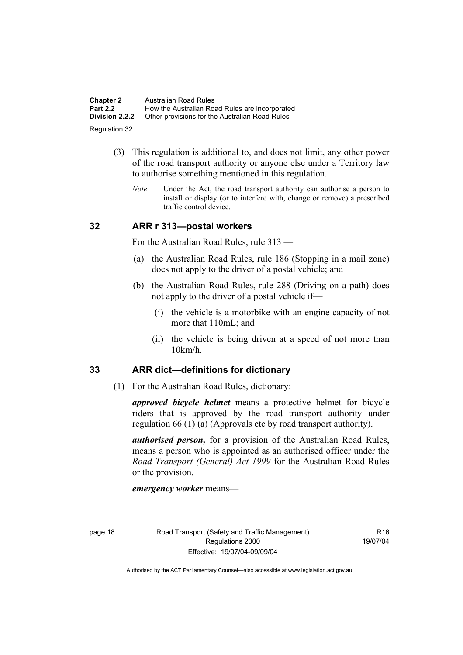| <b>Chapter 2</b>      | Australian Road Rules                          |
|-----------------------|------------------------------------------------|
| <b>Part 2.2</b>       | How the Australian Road Rules are incorporated |
| <b>Division 2.2.2</b> | Other provisions for the Australian Road Rules |
| Regulation 32         |                                                |

- (3) This regulation is additional to, and does not limit, any other power of the road transport authority or anyone else under a Territory law to authorise something mentioned in this regulation.
	- *Note* Under the Act, the road transport authority can authorise a person to install or display (or to interfere with, change or remove) a prescribed traffic control device.

#### **32 ARR r 313—postal workers**

For the Australian Road Rules, rule 313 —

- (a) the Australian Road Rules, rule 186 (Stopping in a mail zone) does not apply to the driver of a postal vehicle; and
- (b) the Australian Road Rules, rule 288 (Driving on a path) does not apply to the driver of a postal vehicle if—
	- (i) the vehicle is a motorbike with an engine capacity of not more that 110mL; and
	- (ii) the vehicle is being driven at a speed of not more than 10km/h.

#### **33 ARR dict—definitions for dictionary**

(1) For the Australian Road Rules, dictionary:

*approved bicycle helmet* means a protective helmet for bicycle riders that is approved by the road transport authority under regulation 66 (1) (a) (Approvals etc by road transport authority).

*authorised person,* for a provision of the Australian Road Rules, means a person who is appointed as an authorised officer under the *Road Transport (General) Act 1999* for the Australian Road Rules or the provision.

*emergency worker* means—

 $P16$ 19/07/04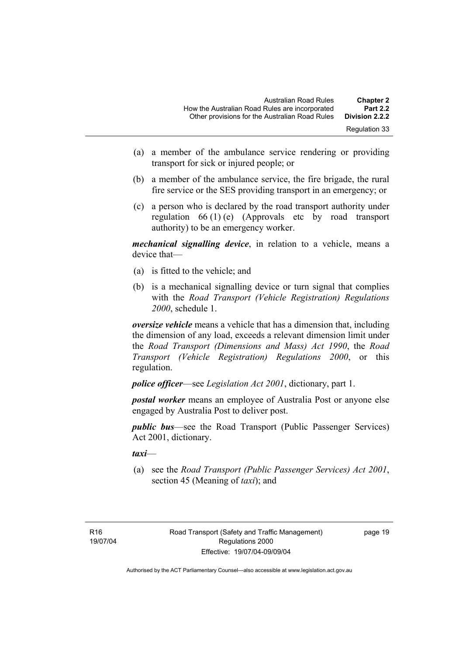- (a) a member of the ambulance service rendering or providing transport for sick or injured people; or
- (b) a member of the ambulance service, the fire brigade, the rural fire service or the SES providing transport in an emergency; or
- (c) a person who is declared by the road transport authority under regulation 66 (1) (e) (Approvals etc by road transport authority) to be an emergency worker.

*mechanical signalling device*, in relation to a vehicle, means a device that—

- (a) is fitted to the vehicle; and
- (b) is a mechanical signalling device or turn signal that complies with the *Road Transport (Vehicle Registration) Regulations 2000*, schedule 1.

*oversize vehicle* means a vehicle that has a dimension that, including the dimension of any load, exceeds a relevant dimension limit under the *Road Transport (Dimensions and Mass) Act 1990*, the *Road Transport (Vehicle Registration) Regulations 2000*, or this regulation.

*police officer*—see *Legislation Act 2001*, dictionary, part 1.

*postal worker* means an employee of Australia Post or anyone else engaged by Australia Post to deliver post.

*public bus*—see the Road Transport (Public Passenger Services) Act 2001, dictionary.

*taxi*—

 (a) see the *Road Transport (Public Passenger Services) Act 2001*, section 45 (Meaning of *taxi*); and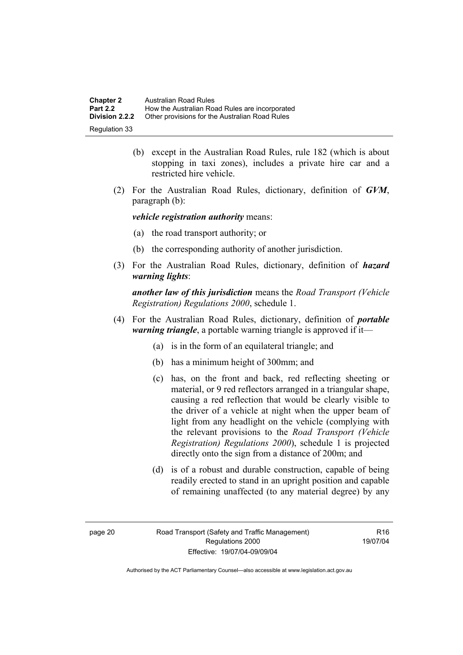| <b>Chapter 2</b>      | Australian Road Rules                          |
|-----------------------|------------------------------------------------|
| <b>Part 2.2</b>       | How the Australian Road Rules are incorporated |
| <b>Division 2.2.2</b> | Other provisions for the Australian Road Rules |
| Regulation 33         |                                                |

- (b) except in the Australian Road Rules, rule 182 (which is about stopping in taxi zones), includes a private hire car and a restricted hire vehicle.
- (2) For the Australian Road Rules, dictionary, definition of *GVM*, paragraph (b):

*vehicle registration authority* means:

- (a) the road transport authority; or
- (b) the corresponding authority of another jurisdiction.
- (3) For the Australian Road Rules, dictionary, definition of *hazard warning lights*:

*another law of this jurisdiction* means the *Road Transport (Vehicle Registration) Regulations 2000*, schedule 1.

- (4) For the Australian Road Rules, dictionary, definition of *portable warning triangle*, a portable warning triangle is approved if it—
	- (a) is in the form of an equilateral triangle; and
	- (b) has a minimum height of 300mm; and
	- (c) has, on the front and back, red reflecting sheeting or material, or 9 red reflectors arranged in a triangular shape, causing a red reflection that would be clearly visible to the driver of a vehicle at night when the upper beam of light from any headlight on the vehicle (complying with the relevant provisions to the *Road Transport (Vehicle Registration) Regulations 2000*), schedule 1 is projected directly onto the sign from a distance of 200m; and
	- (d) is of a robust and durable construction, capable of being readily erected to stand in an upright position and capable of remaining unaffected (to any material degree) by any

R16 19/07/04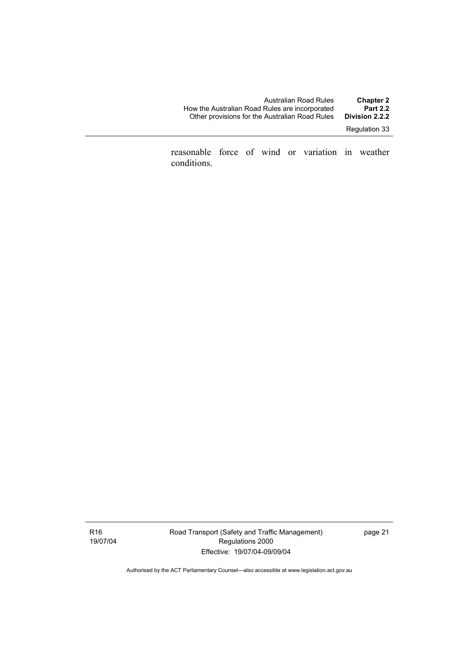| Australian Road Rules                          | <b>Chapter 2</b> |
|------------------------------------------------|------------------|
| How the Australian Road Rules are incorporated | <b>Part 2.2</b>  |
| Other provisions for the Australian Road Rules | Division 2.2.2   |
|                                                |                  |

Regulation 33

reasonable force of wind or variation in weather conditions.

R16 19/07/04 Road Transport (Safety and Traffic Management) Regulations 2000 Effective: 19/07/04-09/09/04

page 21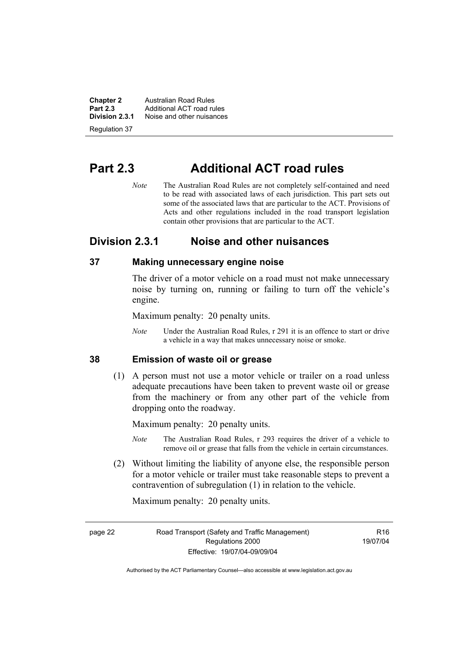**Chapter 2 Australian Road Rules**<br>**Part 2.3 Additional ACT road rules Part 2.3** Additional ACT road rules<br>**Division 2.3.1** Noise and other nuisances **Division 2.3.1** Noise and other nuisances

Regulation 37

# **Part 2.3 Additional ACT road rules**

*Note* The Australian Road Rules are not completely self-contained and need to be read with associated laws of each jurisdiction. This part sets out some of the associated laws that are particular to the ACT. Provisions of Acts and other regulations included in the road transport legislation contain other provisions that are particular to the ACT.

# **Division 2.3.1 Noise and other nuisances**

#### **37 Making unnecessary engine noise**

The driver of a motor vehicle on a road must not make unnecessary noise by turning on, running or failing to turn off the vehicle's engine.

Maximum penalty: 20 penalty units.

*Note* Under the Australian Road Rules, r 291 it is an offence to start or drive a vehicle in a way that makes unnecessary noise or smoke.

#### **38 Emission of waste oil or grease**

 (1) A person must not use a motor vehicle or trailer on a road unless adequate precautions have been taken to prevent waste oil or grease from the machinery or from any other part of the vehicle from dropping onto the roadway.

Maximum penalty: 20 penalty units.

- *Note* The Australian Road Rules, r 293 requires the driver of a vehicle to remove oil or grease that falls from the vehicle in certain circumstances.
- (2) Without limiting the liability of anyone else, the responsible person for a motor vehicle or trailer must take reasonable steps to prevent a contravention of subregulation (1) in relation to the vehicle.

Maximum penalty: 20 penalty units.

page 22 Road Transport (Safety and Traffic Management) Regulations 2000 Effective: 19/07/04-09/09/04

 $P16$ 19/07/04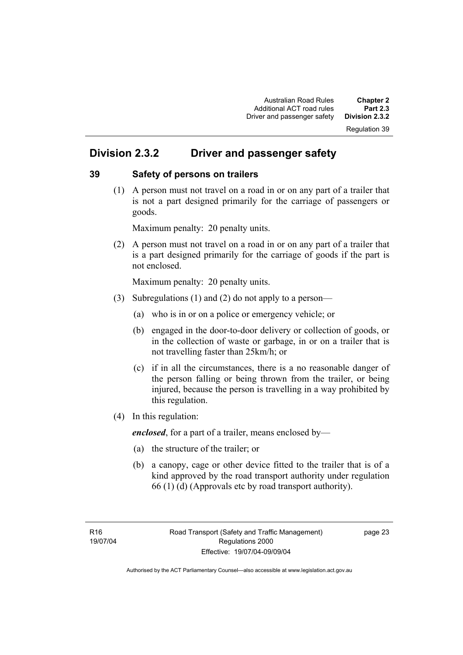# Regulation 39

# **Division 2.3.2 Driver and passenger safety**

#### **39 Safety of persons on trailers**

 (1) A person must not travel on a road in or on any part of a trailer that is not a part designed primarily for the carriage of passengers or goods.

Maximum penalty: 20 penalty units.

 (2) A person must not travel on a road in or on any part of a trailer that is a part designed primarily for the carriage of goods if the part is not enclosed.

Maximum penalty: 20 penalty units.

- (3) Subregulations (1) and (2) do not apply to a person—
	- (a) who is in or on a police or emergency vehicle; or
	- (b) engaged in the door-to-door delivery or collection of goods, or in the collection of waste or garbage, in or on a trailer that is not travelling faster than 25km/h; or
	- (c) if in all the circumstances, there is a no reasonable danger of the person falling or being thrown from the trailer, or being injured, because the person is travelling in a way prohibited by this regulation.
- (4) In this regulation:

*enclosed*, for a part of a trailer, means enclosed by—

- (a) the structure of the trailer; or
- (b) a canopy, cage or other device fitted to the trailer that is of a kind approved by the road transport authority under regulation 66 (1) (d) (Approvals etc by road transport authority).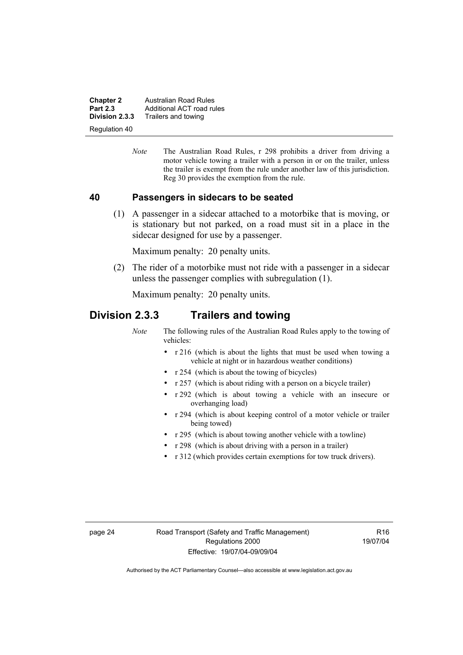**Chapter 2 Australian Road Rules**<br>**Part 2.3 Additional ACT road rules Part 2.3** Additional ACT road rules<br>**Division 2.3.3** Trailers and towing **Division 2.3.3** Trailers and towing

Regulation 40

*Note* The Australian Road Rules, r 298 prohibits a driver from driving a motor vehicle towing a trailer with a person in or on the trailer, unless the trailer is exempt from the rule under another law of this jurisdiction. Reg 30 provides the exemption from the rule.

#### **40 Passengers in sidecars to be seated**

 (1) A passenger in a sidecar attached to a motorbike that is moving, or is stationary but not parked, on a road must sit in a place in the sidecar designed for use by a passenger.

Maximum penalty: 20 penalty units.

 (2) The rider of a motorbike must not ride with a passenger in a sidecar unless the passenger complies with subregulation (1).

Maximum penalty: 20 penalty units.

# **Division 2.3.3 Trailers and towing**

*Note* The following rules of the Australian Road Rules apply to the towing of vehicles:

- r 216 (which is about the lights that must be used when towing a vehicle at night or in hazardous weather conditions)
- r 254 (which is about the towing of bicycles)
- r 257 (which is about riding with a person on a bicycle trailer)
- r 292 (which is about towing a vehicle with an insecure or overhanging load)
- r 294 (which is about keeping control of a motor vehicle or trailer being towed)
- r 295 (which is about towing another vehicle with a towline)
- r 298 (which is about driving with a person in a trailer)
- r 312 (which provides certain exemptions for tow truck drivers).

page 24 Road Transport (Safety and Traffic Management) Regulations 2000 Effective: 19/07/04-09/09/04

 $R<sub>16</sub>$ 19/07/04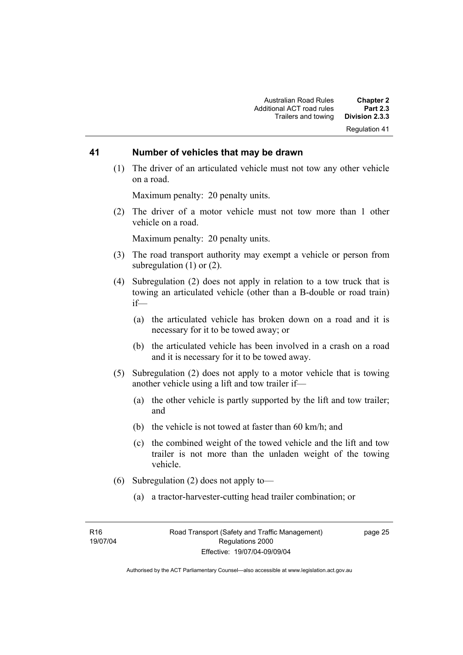#### **41 Number of vehicles that may be drawn**

 (1) The driver of an articulated vehicle must not tow any other vehicle on a road.

Maximum penalty: 20 penalty units.

 (2) The driver of a motor vehicle must not tow more than 1 other vehicle on a road.

Maximum penalty: 20 penalty units.

- (3) The road transport authority may exempt a vehicle or person from subregulation (1) or (2).
- (4) Subregulation (2) does not apply in relation to a tow truck that is towing an articulated vehicle (other than a B-double or road train) if—
	- (a) the articulated vehicle has broken down on a road and it is necessary for it to be towed away; or
	- (b) the articulated vehicle has been involved in a crash on a road and it is necessary for it to be towed away.
- (5) Subregulation (2) does not apply to a motor vehicle that is towing another vehicle using a lift and tow trailer if—
	- (a) the other vehicle is partly supported by the lift and tow trailer; and
	- (b) the vehicle is not towed at faster than 60 km/h; and
	- (c) the combined weight of the towed vehicle and the lift and tow trailer is not more than the unladen weight of the towing vehicle.
- (6) Subregulation (2) does not apply to—
	- (a) a tractor-harvester-cutting head trailer combination; or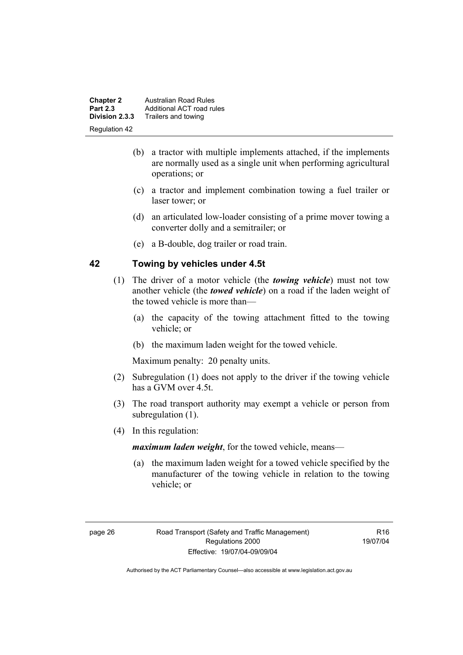| <b>Chapter 2</b> | Australian Road Rules     |
|------------------|---------------------------|
| <b>Part 2.3</b>  | Additional ACT road rules |
| Division 2.3.3   | Trailers and towing       |
| Regulation 42    |                           |

- (b) a tractor with multiple implements attached, if the implements are normally used as a single unit when performing agricultural operations; or
- (c) a tractor and implement combination towing a fuel trailer or laser tower; or
- (d) an articulated low-loader consisting of a prime mover towing a converter dolly and a semitrailer; or
- (e) a B-double, dog trailer or road train.

#### **42 Towing by vehicles under 4.5t**

- (1) The driver of a motor vehicle (the *towing vehicle*) must not tow another vehicle (the *towed vehicle*) on a road if the laden weight of the towed vehicle is more than—
	- (a) the capacity of the towing attachment fitted to the towing vehicle; or
	- (b) the maximum laden weight for the towed vehicle.

Maximum penalty: 20 penalty units.

- (2) Subregulation (1) does not apply to the driver if the towing vehicle has a GVM over 4.5t.
- (3) The road transport authority may exempt a vehicle or person from subregulation  $(1)$ .
- (4) In this regulation:

*maximum laden weight*, for the towed vehicle, means—

 (a) the maximum laden weight for a towed vehicle specified by the manufacturer of the towing vehicle in relation to the towing vehicle; or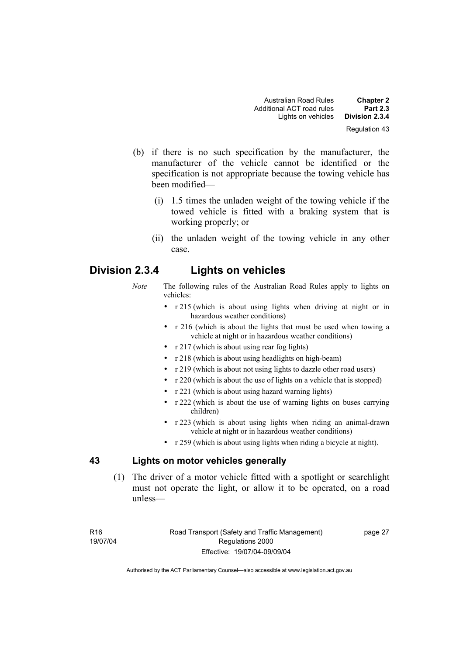- (b) if there is no such specification by the manufacturer, the manufacturer of the vehicle cannot be identified or the specification is not appropriate because the towing vehicle has been modified—
	- (i) 1.5 times the unladen weight of the towing vehicle if the towed vehicle is fitted with a braking system that is working properly; or
	- (ii) the unladen weight of the towing vehicle in any other case.

# **Division 2.3.4 Lights on vehicles**

- *Note* The following rules of the Australian Road Rules apply to lights on vehicles:
	- r 215 (which is about using lights when driving at night or in hazardous weather conditions)
	- r 216 (which is about the lights that must be used when towing a vehicle at night or in hazardous weather conditions)
	- r 217 (which is about using rear fog lights)
	- r 218 (which is about using headlights on high-beam)
	- r 219 (which is about not using lights to dazzle other road users)
	- r 220 (which is about the use of lights on a vehicle that is stopped)
	- r 221 (which is about using hazard warning lights)
	- r 222 (which is about the use of warning lights on buses carrying children)
	- r 223 (which is about using lights when riding an animal-drawn vehicle at night or in hazardous weather conditions)
	- r 259 (which is about using lights when riding a bicycle at night).

# **43 Lights on motor vehicles generally**

 (1) The driver of a motor vehicle fitted with a spotlight or searchlight must not operate the light, or allow it to be operated, on a road unless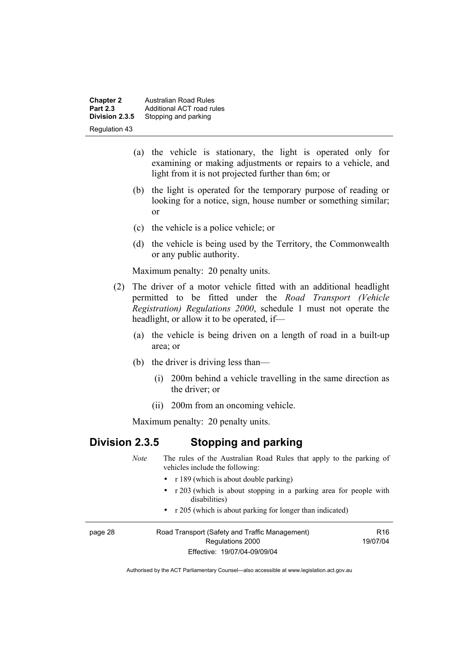**Chapter 2 Australian Road Rules**<br>**Part 2.3 Additional ACT road rules Part 2.3** Additional ACT road rules<br>**Division 2.3.5** Stopping and parking **Stopping and parking** Regulation 43

- (a) the vehicle is stationary, the light is operated only for examining or making adjustments or repairs to a vehicle, and light from it is not projected further than 6m; or
- (b) the light is operated for the temporary purpose of reading or looking for a notice, sign, house number or something similar; or
- (c) the vehicle is a police vehicle; or
- (d) the vehicle is being used by the Territory, the Commonwealth or any public authority.

Maximum penalty: 20 penalty units.

- (2) The driver of a motor vehicle fitted with an additional headlight permitted to be fitted under the *Road Transport (Vehicle Registration) Regulations 2000*, schedule 1 must not operate the headlight, or allow it to be operated, if—
	- (a) the vehicle is being driven on a length of road in a built-up area; or
	- (b) the driver is driving less than—
		- (i) 200m behind a vehicle travelling in the same direction as the driver; or
		- (ii) 200m from an oncoming vehicle.

Maximum penalty: 20 penalty units.

# **Division 2.3.5 Stopping and parking**

|         | <b>Note</b> | The rules of the Australian Road Rules that apply to the parking of<br>vehicles include the following: |                 |
|---------|-------------|--------------------------------------------------------------------------------------------------------|-----------------|
|         |             | • $r 189$ (which is about double parking)                                                              |                 |
|         |             | • r 203 (which is about stopping in a parking area for people with<br>disabilities)                    |                 |
|         |             | • r 205 (which is about parking for longer than indicated)                                             |                 |
| page 28 |             | Road Transport (Safety and Traffic Management)                                                         | R <sub>16</sub> |
|         |             | 19/07/04<br>Regulations 2000                                                                           |                 |
|         |             | Effective: 19/07/04-09/09/04                                                                           |                 |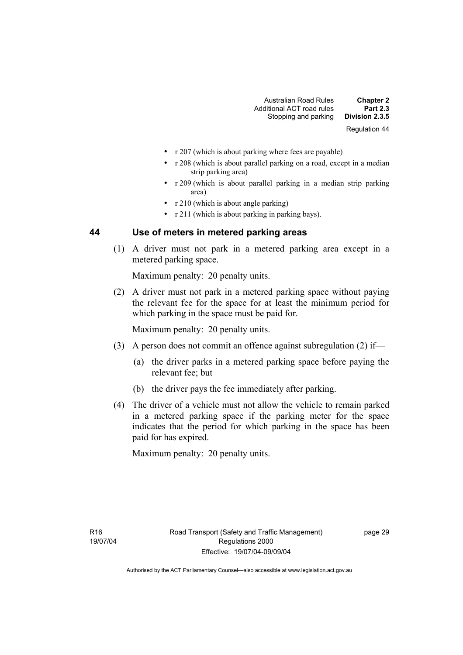- r 207 (which is about parking where fees are payable)
- r 208 (which is about parallel parking on a road, except in a median strip parking area)
- r 209 (which is about parallel parking in a median strip parking area)
- r 210 (which is about angle parking)
- r 211 (which is about parking in parking bays).

### **44 Use of meters in metered parking areas**

 (1) A driver must not park in a metered parking area except in a metered parking space.

Maximum penalty: 20 penalty units.

 (2) A driver must not park in a metered parking space without paying the relevant fee for the space for at least the minimum period for which parking in the space must be paid for.

Maximum penalty: 20 penalty units.

- (3) A person does not commit an offence against subregulation (2) if—
	- (a) the driver parks in a metered parking space before paying the relevant fee; but
	- (b) the driver pays the fee immediately after parking.
- (4) The driver of a vehicle must not allow the vehicle to remain parked in a metered parking space if the parking meter for the space indicates that the period for which parking in the space has been paid for has expired.

Maximum penalty: 20 penalty units.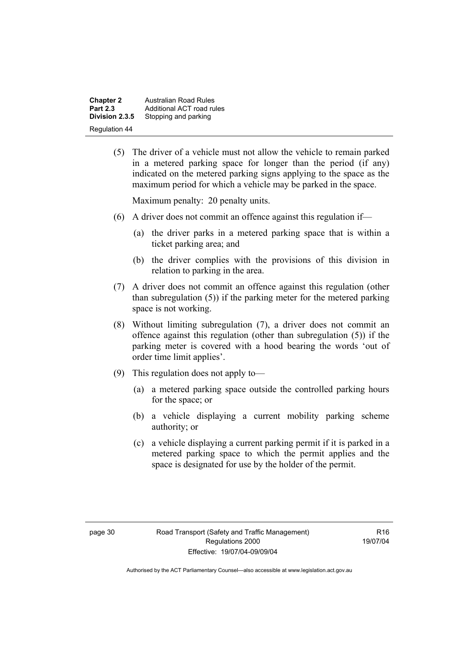**Chapter 2 Australian Road Rules**<br>**Part 2.3 Additional ACT road rules Part 2.3** Additional ACT road rules<br>**Division 2.3.5** Stopping and parking **Stopping and parking** Regulation 44

> (5) The driver of a vehicle must not allow the vehicle to remain parked in a metered parking space for longer than the period (if any) indicated on the metered parking signs applying to the space as the maximum period for which a vehicle may be parked in the space.

Maximum penalty: 20 penalty units.

- (6) A driver does not commit an offence against this regulation if—
	- (a) the driver parks in a metered parking space that is within a ticket parking area; and
	- (b) the driver complies with the provisions of this division in relation to parking in the area.
- (7) A driver does not commit an offence against this regulation (other than subregulation (5)) if the parking meter for the metered parking space is not working.
- (8) Without limiting subregulation (7), a driver does not commit an offence against this regulation (other than subregulation (5)) if the parking meter is covered with a hood bearing the words 'out of order time limit applies'.
- (9) This regulation does not apply to—
	- (a) a metered parking space outside the controlled parking hours for the space; or
	- (b) a vehicle displaying a current mobility parking scheme authority; or
	- (c) a vehicle displaying a current parking permit if it is parked in a metered parking space to which the permit applies and the space is designated for use by the holder of the permit.

 $P16$ 19/07/04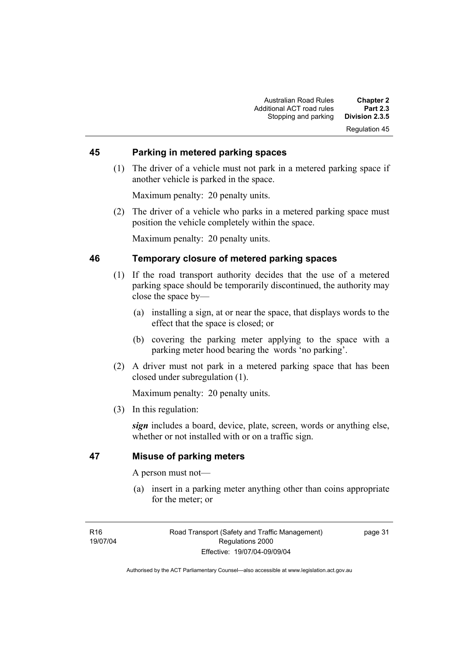#### **45 Parking in metered parking spaces**

 (1) The driver of a vehicle must not park in a metered parking space if another vehicle is parked in the space.

Maximum penalty: 20 penalty units.

 (2) The driver of a vehicle who parks in a metered parking space must position the vehicle completely within the space.

Maximum penalty: 20 penalty units.

## **46 Temporary closure of metered parking spaces**

- (1) If the road transport authority decides that the use of a metered parking space should be temporarily discontinued, the authority may close the space by—
	- (a) installing a sign, at or near the space, that displays words to the effect that the space is closed; or
	- (b) covering the parking meter applying to the space with a parking meter hood bearing the words 'no parking'.
- (2) A driver must not park in a metered parking space that has been closed under subregulation (1).

Maximum penalty: 20 penalty units.

(3) In this regulation:

*sign* includes a board, device, plate, screen, words or anything else, whether or not installed with or on a traffic sign.

## **47 Misuse of parking meters**

A person must not—

 (a) insert in a parking meter anything other than coins appropriate for the meter; or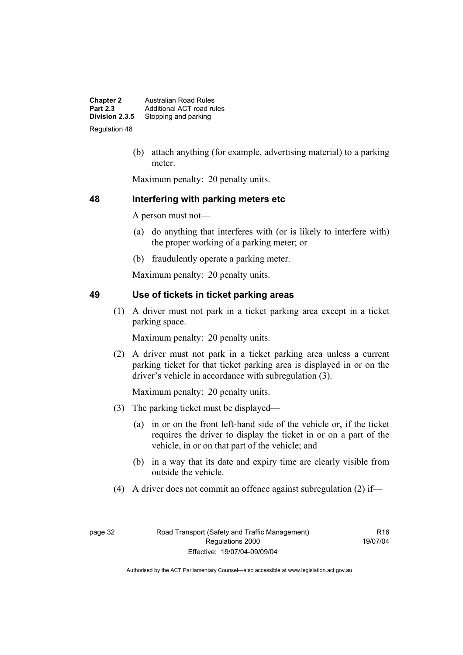**Chapter 2 Australian Road Rules**<br>**Part 2.3 Additional ACT road rules Part 2.3** Additional ACT road rules<br>**Division 2.3.5** Stopping and parking Stopping and parking Regulation 48

> (b) attach anything (for example, advertising material) to a parking meter.

Maximum penalty: 20 penalty units.

#### **48 Interfering with parking meters etc**

A person must not—

- (a) do anything that interferes with (or is likely to interfere with) the proper working of a parking meter; or
- (b) fraudulently operate a parking meter.

Maximum penalty: 20 penalty units.

# **49 Use of tickets in ticket parking areas**

 (1) A driver must not park in a ticket parking area except in a ticket parking space.

Maximum penalty: 20 penalty units.

 (2) A driver must not park in a ticket parking area unless a current parking ticket for that ticket parking area is displayed in or on the driver's vehicle in accordance with subregulation (3).

Maximum penalty: 20 penalty units.

- (3) The parking ticket must be displayed—
	- (a) in or on the front left-hand side of the vehicle or, if the ticket requires the driver to display the ticket in or on a part of the vehicle, in or on that part of the vehicle; and
	- (b) in a way that its date and expiry time are clearly visible from outside the vehicle.
- (4) A driver does not commit an offence against subregulation (2) if—

R16 19/07/04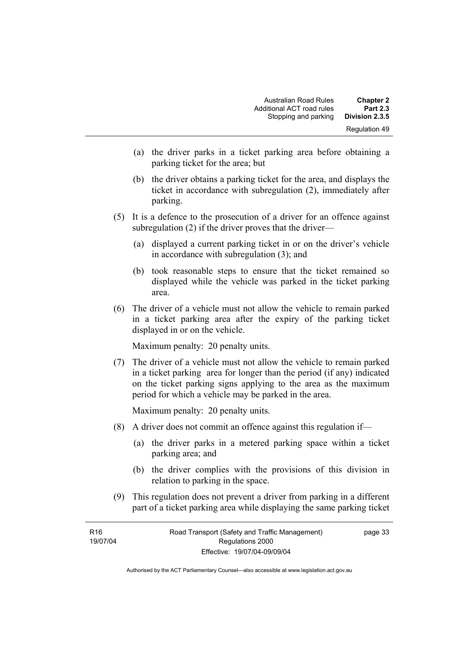- (a) the driver parks in a ticket parking area before obtaining a parking ticket for the area; but
- (b) the driver obtains a parking ticket for the area, and displays the ticket in accordance with subregulation (2), immediately after parking.
- (5) It is a defence to the prosecution of a driver for an offence against subregulation (2) if the driver proves that the driver—
	- (a) displayed a current parking ticket in or on the driver's vehicle in accordance with subregulation (3); and
	- (b) took reasonable steps to ensure that the ticket remained so displayed while the vehicle was parked in the ticket parking area.
- (6) The driver of a vehicle must not allow the vehicle to remain parked in a ticket parking area after the expiry of the parking ticket displayed in or on the vehicle.

Maximum penalty: 20 penalty units.

 (7) The driver of a vehicle must not allow the vehicle to remain parked in a ticket parking area for longer than the period (if any) indicated on the ticket parking signs applying to the area as the maximum period for which a vehicle may be parked in the area.

Maximum penalty: 20 penalty units.

- (8) A driver does not commit an offence against this regulation if—
	- (a) the driver parks in a metered parking space within a ticket parking area; and
	- (b) the driver complies with the provisions of this division in relation to parking in the space.
- (9) This regulation does not prevent a driver from parking in a different part of a ticket parking area while displaying the same parking ticket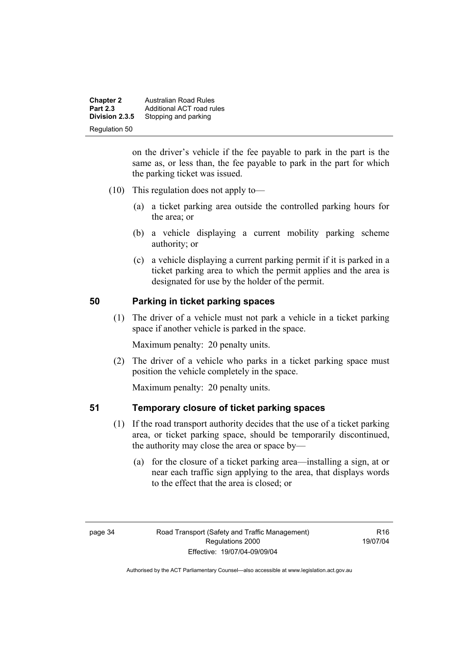**Chapter 2 Australian Road Rules**<br>**Part 2.3 Additional ACT road rules Part 2.3** Additional ACT road rules<br>**Division 2.3.5** Stopping and parking Stopping and parking Regulation 50

> on the driver's vehicle if the fee payable to park in the part is the same as, or less than, the fee payable to park in the part for which the parking ticket was issued.

- (10) This regulation does not apply to—
	- (a) a ticket parking area outside the controlled parking hours for the area; or
	- (b) a vehicle displaying a current mobility parking scheme authority; or
	- (c) a vehicle displaying a current parking permit if it is parked in a ticket parking area to which the permit applies and the area is designated for use by the holder of the permit.

# **50 Parking in ticket parking spaces**

 (1) The driver of a vehicle must not park a vehicle in a ticket parking space if another vehicle is parked in the space.

Maximum penalty: 20 penalty units.

 (2) The driver of a vehicle who parks in a ticket parking space must position the vehicle completely in the space.

Maximum penalty: 20 penalty units.

#### **51 Temporary closure of ticket parking spaces**

- (1) If the road transport authority decides that the use of a ticket parking area, or ticket parking space, should be temporarily discontinued, the authority may close the area or space by—
	- (a) for the closure of a ticket parking area—installing a sign, at or near each traffic sign applying to the area, that displays words to the effect that the area is closed; or

 $P16$ 19/07/04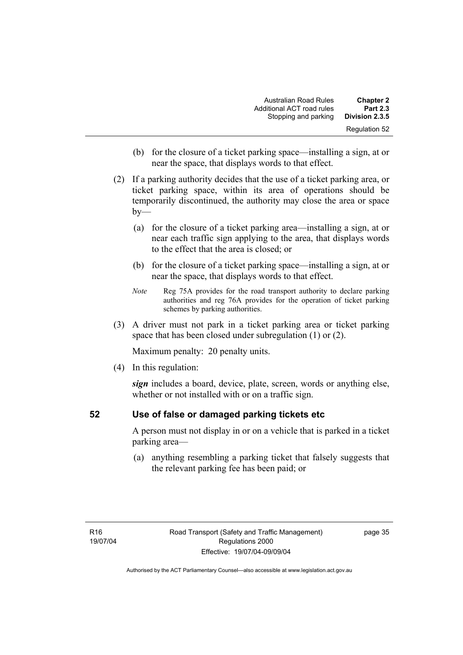| <b>Chapter 2</b> | <b>Australian Road Rules</b> |
|------------------|------------------------------|
| <b>Part 2.3</b>  | Additional ACT road rules    |
| Division 2.3.5   | Stopping and parking         |
| Regulation 52    |                              |

- (b) for the closure of a ticket parking space—installing a sign, at or near the space, that displays words to that effect.
- (2) If a parking authority decides that the use of a ticket parking area, or ticket parking space, within its area of operations should be temporarily discontinued, the authority may close the area or space  $by-$ 
	- (a) for the closure of a ticket parking area—installing a sign, at or near each traffic sign applying to the area, that displays words to the effect that the area is closed; or
	- (b) for the closure of a ticket parking space—installing a sign, at or near the space, that displays words to that effect.
	- *Note* Reg 75A provides for the road transport authority to declare parking authorities and reg 76A provides for the operation of ticket parking schemes by parking authorities.
- (3) A driver must not park in a ticket parking area or ticket parking space that has been closed under subregulation (1) or (2).

Maximum penalty: 20 penalty units.

(4) In this regulation:

*sign* includes a board, device, plate, screen, words or anything else, whether or not installed with or on a traffic sign.

# **52 Use of false or damaged parking tickets etc**

A person must not display in or on a vehicle that is parked in a ticket parking area—

 (a) anything resembling a parking ticket that falsely suggests that the relevant parking fee has been paid; or

page 35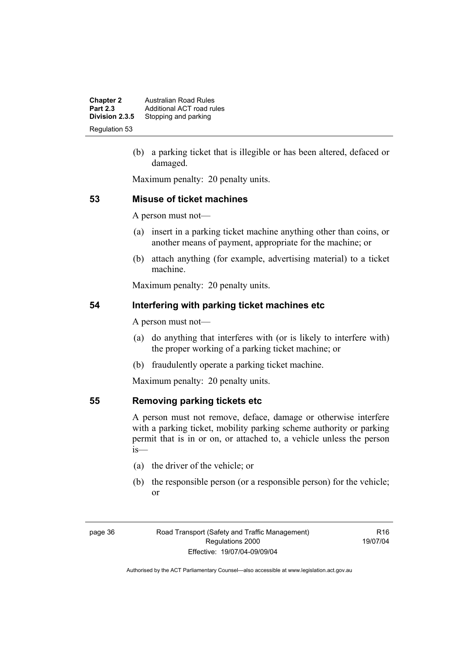**Chapter 2 Australian Road Rules**<br>**Part 2.3 Additional ACT road rules Part 2.3** Additional ACT road rules<br>**Division 2.3.5** Stopping and parking **Stopping and parking** Regulation 53

> (b) a parking ticket that is illegible or has been altered, defaced or damaged.

Maximum penalty: 20 penalty units.

#### **53 Misuse of ticket machines**

A person must not—

- (a) insert in a parking ticket machine anything other than coins, or another means of payment, appropriate for the machine; or
- (b) attach anything (for example, advertising material) to a ticket machine.

Maximum penalty: 20 penalty units.

# **54 Interfering with parking ticket machines etc**

A person must not—

- (a) do anything that interferes with (or is likely to interfere with) the proper working of a parking ticket machine; or
- (b) fraudulently operate a parking ticket machine.

Maximum penalty: 20 penalty units.

#### **55 Removing parking tickets etc**

A person must not remove, deface, damage or otherwise interfere with a parking ticket, mobility parking scheme authority or parking permit that is in or on, or attached to, a vehicle unless the person is—

- (a) the driver of the vehicle; or
- (b) the responsible person (or a responsible person) for the vehicle; or

 $P16$ 19/07/04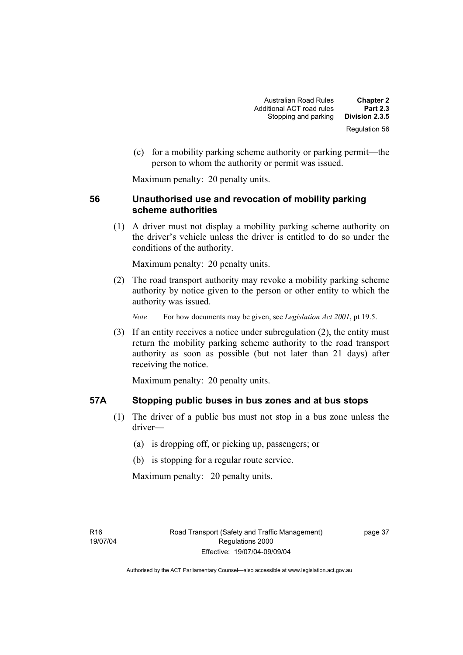(c) for a mobility parking scheme authority or parking permit—the person to whom the authority or permit was issued.

Maximum penalty: 20 penalty units.

# **56 Unauthorised use and revocation of mobility parking scheme authorities**

 (1) A driver must not display a mobility parking scheme authority on the driver's vehicle unless the driver is entitled to do so under the conditions of the authority.

Maximum penalty: 20 penalty units.

 (2) The road transport authority may revoke a mobility parking scheme authority by notice given to the person or other entity to which the authority was issued.

*Note* For how documents may be given, see *Legislation Act 2001*, pt 19.5.

 (3) If an entity receives a notice under subregulation (2), the entity must return the mobility parking scheme authority to the road transport authority as soon as possible (but not later than 21 days) after receiving the notice.

Maximum penalty: 20 penalty units.

#### **57A Stopping public buses in bus zones and at bus stops**

- (1) The driver of a public bus must not stop in a bus zone unless the driver—
	- (a) is dropping off, or picking up, passengers; or
	- (b) is stopping for a regular route service.

Maximum penalty: 20 penalty units.

page 37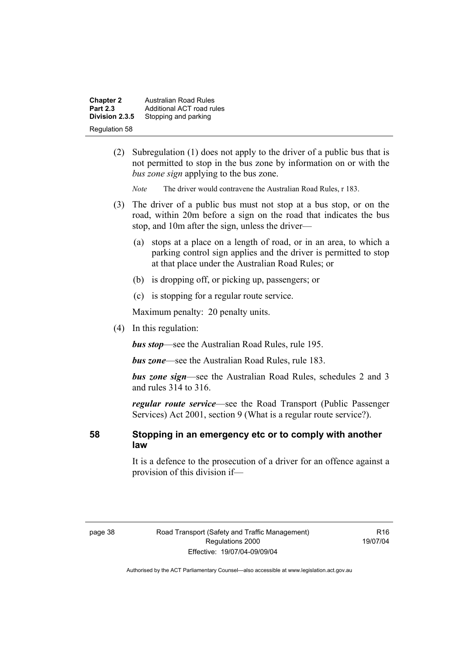| <b>Chapter 2</b> | Australian Road Rules     |
|------------------|---------------------------|
| <b>Part 2.3</b>  | Additional ACT road rules |
| Division 2.3.5   | Stopping and parking      |
| Regulation 58    |                           |

- (2) Subregulation (1) does not apply to the driver of a public bus that is not permitted to stop in the bus zone by information on or with the *bus zone sign* applying to the bus zone.
	- *Note* The driver would contravene the Australian Road Rules, r 183.
- (3) The driver of a public bus must not stop at a bus stop, or on the road, within 20m before a sign on the road that indicates the bus stop, and 10m after the sign, unless the driver—
	- (a) stops at a place on a length of road, or in an area, to which a parking control sign applies and the driver is permitted to stop at that place under the Australian Road Rules; or
	- (b) is dropping off, or picking up, passengers; or
	- (c) is stopping for a regular route service.

Maximum penalty: 20 penalty units.

(4) In this regulation:

*bus stop*—see the Australian Road Rules, rule 195.

*bus zone*—see the Australian Road Rules, rule 183.

*bus zone sign*—see the Australian Road Rules, schedules 2 and 3 and rules 314 to 316.

*regular route service*—see the Road Transport (Public Passenger Services) Act 2001, section 9 (What is a regular route service?).

**58 Stopping in an emergency etc or to comply with another law**

> It is a defence to the prosecution of a driver for an offence against a provision of this division if—

R16 19/07/04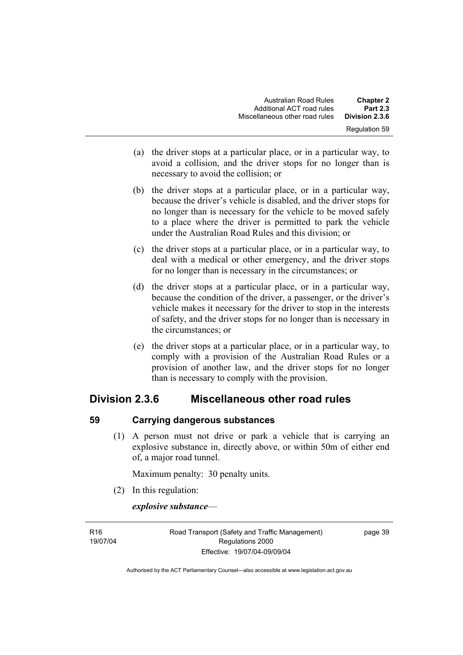| <b>Chapter 2</b>     | <b>Australian Road Rules</b>   |
|----------------------|--------------------------------|
| <b>Part 2.3</b>      | Additional ACT road rules      |
| Division 2.3.6       | Miscellaneous other road rules |
| <b>Regulation 59</b> |                                |

- (a) the driver stops at a particular place, or in a particular way, to avoid a collision, and the driver stops for no longer than is necessary to avoid the collision; or
- (b) the driver stops at a particular place, or in a particular way, because the driver's vehicle is disabled, and the driver stops for no longer than is necessary for the vehicle to be moved safely to a place where the driver is permitted to park the vehicle under the Australian Road Rules and this division; or
- (c) the driver stops at a particular place, or in a particular way, to deal with a medical or other emergency, and the driver stops for no longer than is necessary in the circumstances; or
- (d) the driver stops at a particular place, or in a particular way, because the condition of the driver, a passenger, or the driver's vehicle makes it necessary for the driver to stop in the interests of safety, and the driver stops for no longer than is necessary in the circumstances; or
- (e) the driver stops at a particular place, or in a particular way, to comply with a provision of the Australian Road Rules or a provision of another law, and the driver stops for no longer than is necessary to comply with the provision.

# **Division 2.3.6 Miscellaneous other road rules**

# **59 Carrying dangerous substances**

 (1) A person must not drive or park a vehicle that is carrying an explosive substance in, directly above, or within 50m of either end of, a major road tunnel.

Maximum penalty: 30 penalty units.

(2) In this regulation:

**R16** 

*explosive substance*—

19/07/04 Road Transport (Safety and Traffic Management) Regulations 2000 Effective: 19/07/04-09/09/04

page 39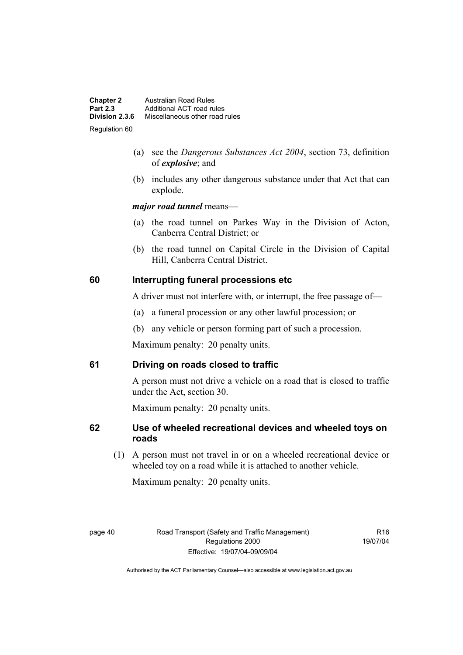| <b>Chapter 2</b> | <b>Australian Road Rules</b>   |
|------------------|--------------------------------|
| <b>Part 2.3</b>  | Additional ACT road rules      |
| Division 2.3.6   | Miscellaneous other road rules |
| Regulation 60    |                                |

- (a) see the *Dangerous Substances Act 2004*, section 73, definition of *explosive*; and
- (b) includes any other dangerous substance under that Act that can explode.

*major road tunnel* means—

- (a) the road tunnel on Parkes Way in the Division of Acton, Canberra Central District; or
- (b) the road tunnel on Capital Circle in the Division of Capital Hill, Canberra Central District.

# **60 Interrupting funeral processions etc**

A driver must not interfere with, or interrupt, the free passage of—

- (a) a funeral procession or any other lawful procession; or
- (b) any vehicle or person forming part of such a procession.

Maximum penalty: 20 penalty units.

# **61 Driving on roads closed to traffic**

A person must not drive a vehicle on a road that is closed to traffic under the Act, section 30.

Maximum penalty: 20 penalty units.

# **62 Use of wheeled recreational devices and wheeled toys on roads**

 (1) A person must not travel in or on a wheeled recreational device or wheeled toy on a road while it is attached to another vehicle.

Maximum penalty: 20 penalty units.

 $P16$ 19/07/04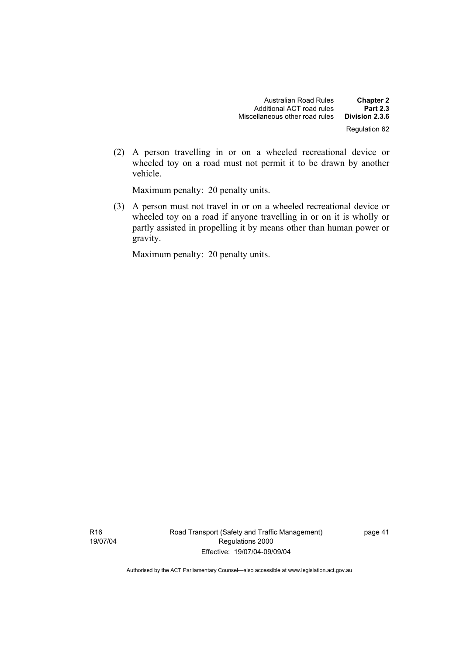(2) A person travelling in or on a wheeled recreational device or wheeled toy on a road must not permit it to be drawn by another vehicle.

Maximum penalty: 20 penalty units.

 (3) A person must not travel in or on a wheeled recreational device or wheeled toy on a road if anyone travelling in or on it is wholly or partly assisted in propelling it by means other than human power or gravity.

Maximum penalty: 20 penalty units.

Road Transport (Safety and Traffic Management) Regulations 2000 Effective: 19/07/04-09/09/04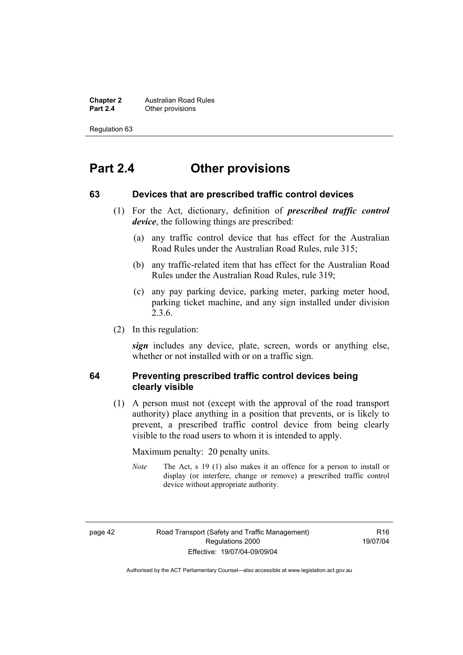**Chapter 2 Australian Road Rules**<br>**Part 2.4 Other provisions Other provisions** 

Regulation 63

# **Part 2.4 Other provisions**

#### **63 Devices that are prescribed traffic control devices**

- (1) For the Act, dictionary, definition of *prescribed traffic control device*, the following things are prescribed:
	- (a) any traffic control device that has effect for the Australian Road Rules under the Australian Road Rules, rule 315;
	- (b) any traffic-related item that has effect for the Australian Road Rules under the Australian Road Rules, rule 319;
	- (c) any pay parking device, parking meter, parking meter hood, parking ticket machine, and any sign installed under division 2.3.6.
- (2) In this regulation:

*sign* includes any device, plate, screen, words or anything else, whether or not installed with or on a traffic sign.

#### **64 Preventing prescribed traffic control devices being clearly visible**

 (1) A person must not (except with the approval of the road transport authority) place anything in a position that prevents, or is likely to prevent, a prescribed traffic control device from being clearly visible to the road users to whom it is intended to apply.

Maximum penalty: 20 penalty units.

*Note* The Act, s 19 (1) also makes it an offence for a person to install or display (or interfere, change or remove) a prescribed traffic control device without appropriate authority.

 $P16$ 19/07/04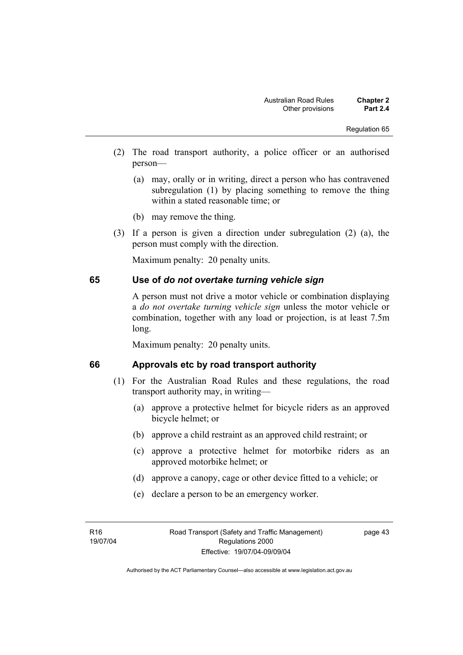- (2) The road transport authority, a police officer or an authorised person—
	- (a) may, orally or in writing, direct a person who has contravened subregulation (1) by placing something to remove the thing within a stated reasonable time; or
	- (b) may remove the thing.
- (3) If a person is given a direction under subregulation (2) (a), the person must comply with the direction.

Maximum penalty: 20 penalty units.

#### **65 Use of** *do not overtake turning vehicle sign*

A person must not drive a motor vehicle or combination displaying a *do not overtake turning vehicle sign* unless the motor vehicle or combination, together with any load or projection, is at least 7.5m long.

Maximum penalty: 20 penalty units.

# **66 Approvals etc by road transport authority**

- (1) For the Australian Road Rules and these regulations, the road transport authority may, in writing—
	- (a) approve a protective helmet for bicycle riders as an approved bicycle helmet; or
	- (b) approve a child restraint as an approved child restraint; or
	- (c) approve a protective helmet for motorbike riders as an approved motorbike helmet; or
	- (d) approve a canopy, cage or other device fitted to a vehicle; or
	- (e) declare a person to be an emergency worker.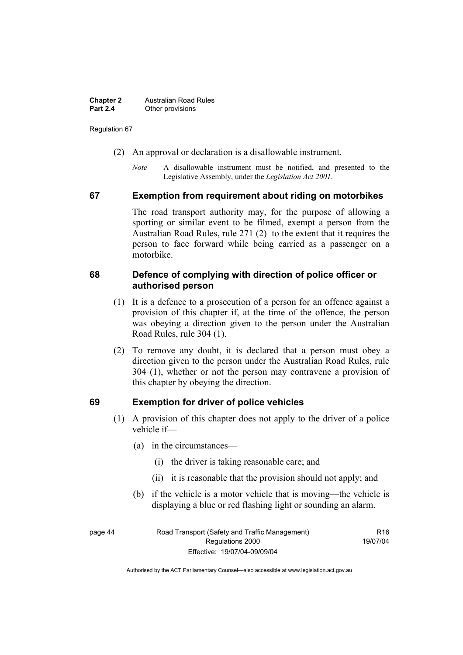| <b>Chapter 2</b> | <b>Australian Road Rules</b> |
|------------------|------------------------------|
| <b>Part 2.4</b>  | Other provisions             |

Regulation 67

- (2) An approval or declaration is a disallowable instrument.
	- *Note* A disallowable instrument must be notified, and presented to the Legislative Assembly, under the *Legislation Act 2001*.

#### **67 Exemption from requirement about riding on motorbikes**

The road transport authority may, for the purpose of allowing a sporting or similar event to be filmed, exempt a person from the Australian Road Rules, rule 271 (2) to the extent that it requires the person to face forward while being carried as a passenger on a motorbike.

#### **68 Defence of complying with direction of police officer or authorised person**

- (1) It is a defence to a prosecution of a person for an offence against a provision of this chapter if, at the time of the offence, the person was obeying a direction given to the person under the Australian Road Rules, rule 304 (1).
- (2) To remove any doubt, it is declared that a person must obey a direction given to the person under the Australian Road Rules, rule 304 (1), whether or not the person may contravene a provision of this chapter by obeying the direction.

#### **69 Exemption for driver of police vehicles**

- (1) A provision of this chapter does not apply to the driver of a police vehicle if—
	- (a) in the circumstances—
		- (i) the driver is taking reasonable care; and
		- (ii) it is reasonable that the provision should not apply; and
	- (b) if the vehicle is a motor vehicle that is moving—the vehicle is displaying a blue or red flashing light or sounding an alarm.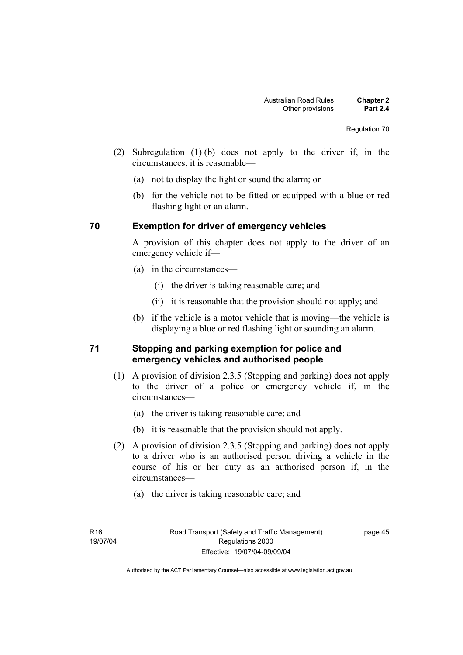- (2) Subregulation (1) (b) does not apply to the driver if, in the circumstances, it is reasonable—
	- (a) not to display the light or sound the alarm; or
	- (b) for the vehicle not to be fitted or equipped with a blue or red flashing light or an alarm.

# **70 Exemption for driver of emergency vehicles**

A provision of this chapter does not apply to the driver of an emergency vehicle if—

- (a) in the circumstances—
	- (i) the driver is taking reasonable care; and
	- (ii) it is reasonable that the provision should not apply; and
- (b) if the vehicle is a motor vehicle that is moving—the vehicle is displaying a blue or red flashing light or sounding an alarm.

# **71 Stopping and parking exemption for police and emergency vehicles and authorised people**

- (1) A provision of division 2.3.5 (Stopping and parking) does not apply to the driver of a police or emergency vehicle if, in the circumstances—
	- (a) the driver is taking reasonable care; and
	- (b) it is reasonable that the provision should not apply.
- (2) A provision of division 2.3.5 (Stopping and parking) does not apply to a driver who is an authorised person driving a vehicle in the course of his or her duty as an authorised person if, in the circumstances—
	- (a) the driver is taking reasonable care; and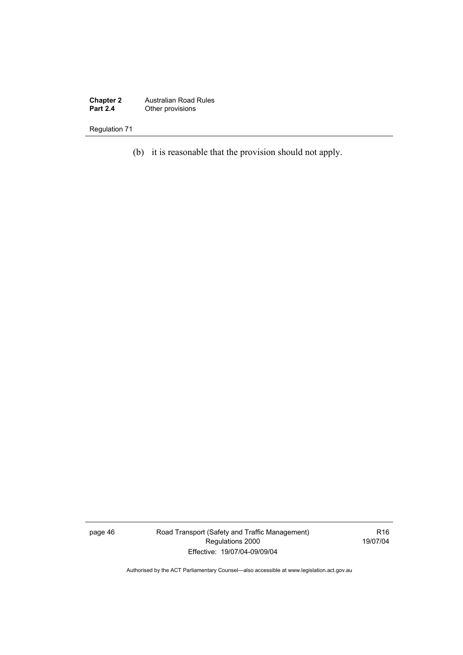**Chapter 2** Australian Road Rules **Part 2.4 Other provisions** 

Regulation 71

(b) it is reasonable that the provision should not apply.

page 46 Road Transport (Safety and Traffic Management) Regulations 2000 Effective: 19/07/04-09/09/04

R16 19/07/04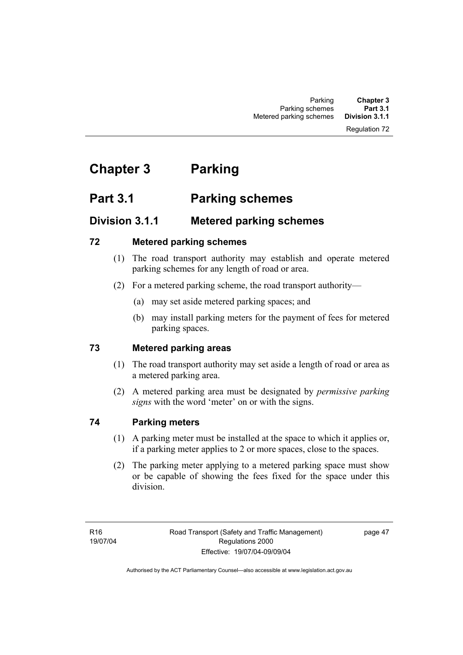#### Regulation 72

# **Chapter 3 Parking**

# **Part 3.1 Parking schemes**

# **Division 3.1.1 Metered parking schemes**

# **72 Metered parking schemes**

- (1) The road transport authority may establish and operate metered parking schemes for any length of road or area.
- (2) For a metered parking scheme, the road transport authority—
	- (a) may set aside metered parking spaces; and
	- (b) may install parking meters for the payment of fees for metered parking spaces.

# **73 Metered parking areas**

- (1) The road transport authority may set aside a length of road or area as a metered parking area.
- (2) A metered parking area must be designated by *permissive parking signs* with the word 'meter' on or with the signs.

# **74 Parking meters**

- (1) A parking meter must be installed at the space to which it applies or, if a parking meter applies to 2 or more spaces, close to the spaces.
- (2) The parking meter applying to a metered parking space must show or be capable of showing the fees fixed for the space under this division.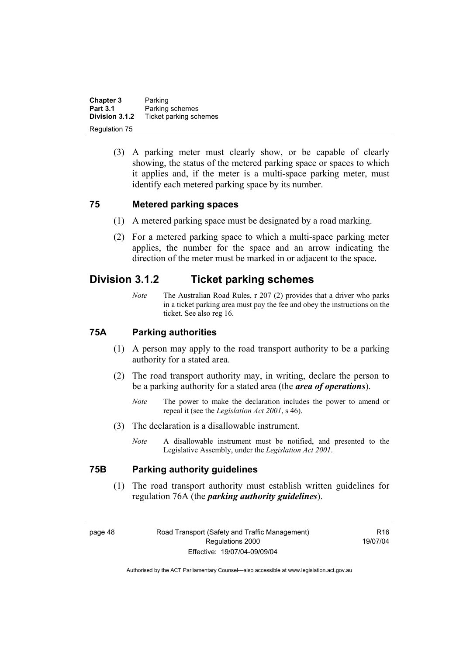**Chapter 3** Parking<br>**Part 3.1** Parking **Part 3.1 Parking schemes**<br>**Division 3.1.2** Ticket parking sch **Division 3.1.2** Ticket parking schemes Regulation 75

> (3) A parking meter must clearly show, or be capable of clearly showing, the status of the metered parking space or spaces to which it applies and, if the meter is a multi-space parking meter, must identify each metered parking space by its number.

#### **75 Metered parking spaces**

- (1) A metered parking space must be designated by a road marking.
- (2) For a metered parking space to which a multi-space parking meter applies, the number for the space and an arrow indicating the direction of the meter must be marked in or adjacent to the space.

# **Division 3.1.2 Ticket parking schemes**

*Note* The Australian Road Rules, r 207 (2) provides that a driver who parks in a ticket parking area must pay the fee and obey the instructions on the ticket. See also reg 16.

#### **75A Parking authorities**

- (1) A person may apply to the road transport authority to be a parking authority for a stated area.
- (2) The road transport authority may, in writing, declare the person to be a parking authority for a stated area (the *area of operations*).
	- *Note* The power to make the declaration includes the power to amend or repeal it (see the *Legislation Act 2001*, s 46).
- (3) The declaration is a disallowable instrument.
	- *Note* A disallowable instrument must be notified, and presented to the Legislative Assembly, under the *Legislation Act 2001*.

#### **75B Parking authority guidelines**

 (1) The road transport authority must establish written guidelines for regulation 76A (the *parking authority guidelines*).

 $P16$ 19/07/04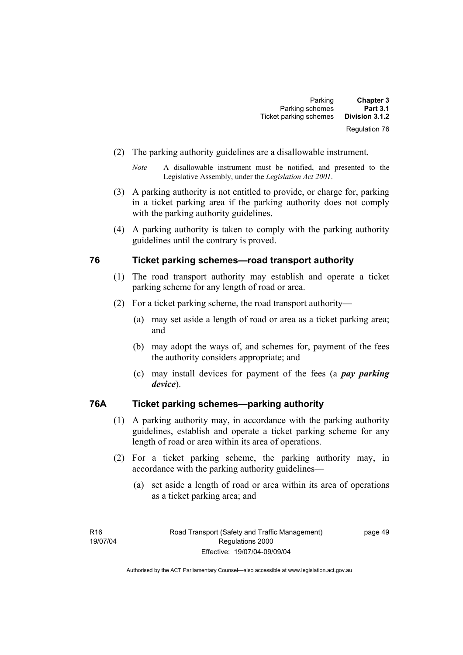| <b>Chapter 3</b>     | Parking                |
|----------------------|------------------------|
| <b>Part 3.1</b>      | Parking schemes        |
| Division 3.1.2       | Ticket parking schemes |
| <b>Regulation 76</b> |                        |

(2) The parking authority guidelines are a disallowable instrument.

- (3) A parking authority is not entitled to provide, or charge for, parking in a ticket parking area if the parking authority does not comply with the parking authority guidelines.
- (4) A parking authority is taken to comply with the parking authority guidelines until the contrary is proved.

#### **76 Ticket parking schemes—road transport authority**

- (1) The road transport authority may establish and operate a ticket parking scheme for any length of road or area.
- (2) For a ticket parking scheme, the road transport authority—
	- (a) may set aside a length of road or area as a ticket parking area; and
	- (b) may adopt the ways of, and schemes for, payment of the fees the authority considers appropriate; and
	- (c) may install devices for payment of the fees (a *pay parking device*).

#### **76A Ticket parking schemes—parking authority**

- (1) A parking authority may, in accordance with the parking authority guidelines, establish and operate a ticket parking scheme for any length of road or area within its area of operations.
- (2) For a ticket parking scheme, the parking authority may, in accordance with the parking authority guidelines—
	- (a) set aside a length of road or area within its area of operations as a ticket parking area; and

*Note* A disallowable instrument must be notified, and presented to the Legislative Assembly, under the *Legislation Act 2001*.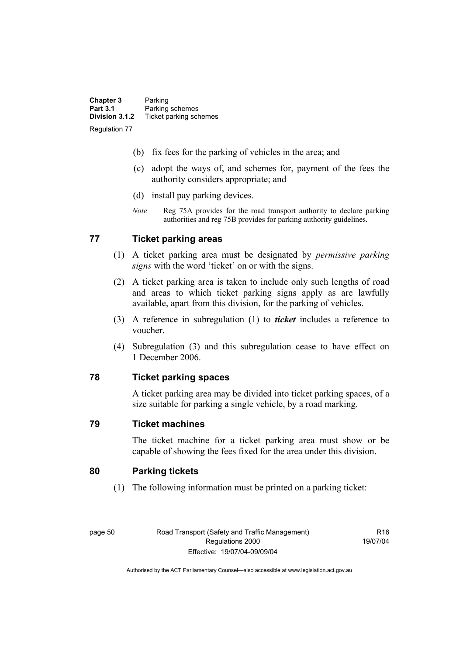| <b>Chapter 3</b>     | Parking                |
|----------------------|------------------------|
| <b>Part 3.1</b>      | Parking schemes        |
| Division 3.1.2       | Ticket parking schemes |
| <b>Regulation 77</b> |                        |

- (b) fix fees for the parking of vehicles in the area; and
- (c) adopt the ways of, and schemes for, payment of the fees the authority considers appropriate; and
- (d) install pay parking devices.
- *Note* Reg 75A provides for the road transport authority to declare parking authorities and reg 75B provides for parking authority guidelines.

# **77 Ticket parking areas**

- (1) A ticket parking area must be designated by *permissive parking signs* with the word 'ticket' on or with the signs.
- (2) A ticket parking area is taken to include only such lengths of road and areas to which ticket parking signs apply as are lawfully available, apart from this division, for the parking of vehicles.
- (3) A reference in subregulation (1) to *ticket* includes a reference to voucher.
- (4) Subregulation (3) and this subregulation cease to have effect on 1 December 2006.

## **78 Ticket parking spaces**

A ticket parking area may be divided into ticket parking spaces, of a size suitable for parking a single vehicle, by a road marking.

#### **79 Ticket machines**

The ticket machine for a ticket parking area must show or be capable of showing the fees fixed for the area under this division.

#### **80 Parking tickets**

(1) The following information must be printed on a parking ticket:

page 50 Road Transport (Safety and Traffic Management) Regulations 2000 Effective: 19/07/04-09/09/04

R16 19/07/04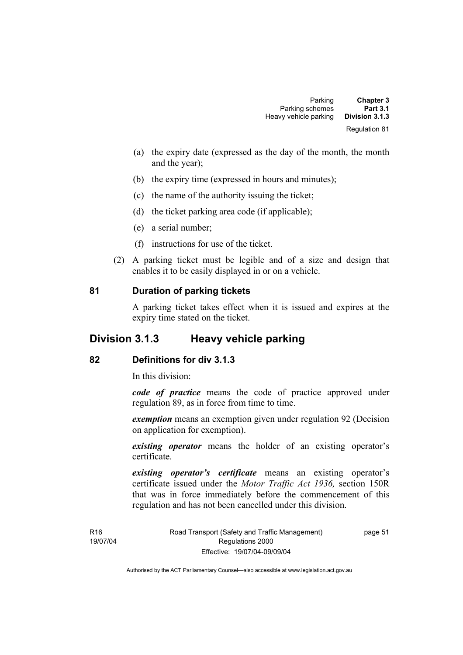| <b>Chapter 3</b>     | Parking               |
|----------------------|-----------------------|
| <b>Part 3.1</b>      | Parking schemes       |
| Division 3.1.3       | Heavy vehicle parking |
| <b>Regulation 81</b> |                       |

- (a) the expiry date (expressed as the day of the month, the month and the year);
- (b) the expiry time (expressed in hours and minutes);
- (c) the name of the authority issuing the ticket;
- (d) the ticket parking area code (if applicable);
- (e) a serial number;
- (f) instructions for use of the ticket.
- (2) A parking ticket must be legible and of a size and design that enables it to be easily displayed in or on a vehicle.

#### **81 Duration of parking tickets**

A parking ticket takes effect when it is issued and expires at the expiry time stated on the ticket.

# **Division 3.1.3 Heavy vehicle parking**

# **82 Definitions for div 3.1.3**

In this division:

*code of practice* means the code of practice approved under regulation 89, as in force from time to time.

*exemption* means an exemption given under regulation 92 (Decision on application for exemption).

*existing operator* means the holder of an existing operator's certificate.

*existing operator's certificate* means an existing operator's certificate issued under the *Motor Traffic Act 1936,* section 150R that was in force immediately before the commencement of this regulation and has not been cancelled under this division.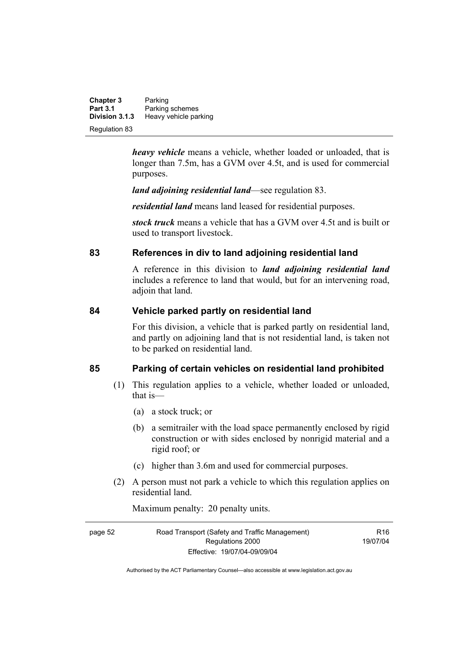**Chapter 3** Parking<br>**Part 3.1** Parking **Part 3.1 Parking schemes**<br>**Division 3.1.3 Heavy vehicle part Division 3.1.3** Heavy vehicle parking Regulation 83

> *heavy vehicle* means a vehicle, whether loaded or unloaded, that is longer than 7.5m, has a GVM over 4.5t, and is used for commercial purposes.

*land adjoining residential land*—see regulation 83.

*residential land* means land leased for residential purposes.

*stock truck* means a vehicle that has a GVM over 4.5t and is built or used to transport livestock.

# **83 References in div to land adjoining residential land**

A reference in this division to *land adjoining residential land* includes a reference to land that would, but for an intervening road, adjoin that land.

# **84 Vehicle parked partly on residential land**

For this division, a vehicle that is parked partly on residential land, and partly on adjoining land that is not residential land, is taken not to be parked on residential land.

# **85 Parking of certain vehicles on residential land prohibited**

- (1) This regulation applies to a vehicle, whether loaded or unloaded, that is—
	- (a) a stock truck; or
	- (b) a semitrailer with the load space permanently enclosed by rigid construction or with sides enclosed by nonrigid material and a rigid roof; or
	- (c) higher than 3.6m and used for commercial purposes.
- (2) A person must not park a vehicle to which this regulation applies on residential land.

Maximum penalty: 20 penalty units.

page 52 Road Transport (Safety and Traffic Management) Regulations 2000 Effective: 19/07/04-09/09/04  $P16$ 19/07/04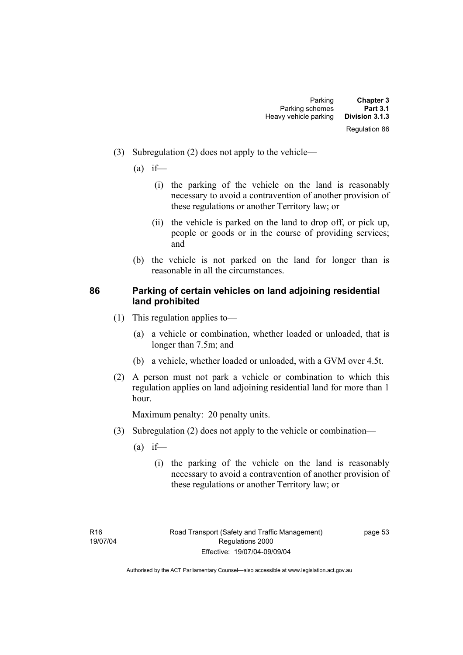- (3) Subregulation (2) does not apply to the vehicle—
	- $(a)$  if—
		- (i) the parking of the vehicle on the land is reasonably necessary to avoid a contravention of another provision of these regulations or another Territory law; or
		- (ii) the vehicle is parked on the land to drop off, or pick up, people or goods or in the course of providing services; and
	- (b) the vehicle is not parked on the land for longer than is reasonable in all the circumstances.

# **86 Parking of certain vehicles on land adjoining residential land prohibited**

- (1) This regulation applies to—
	- (a) a vehicle or combination, whether loaded or unloaded, that is longer than 7.5m; and
	- (b) a vehicle, whether loaded or unloaded, with a GVM over 4.5t.
- (2) A person must not park a vehicle or combination to which this regulation applies on land adjoining residential land for more than 1 hour.

Maximum penalty: 20 penalty units.

- (3) Subregulation (2) does not apply to the vehicle or combination—
	- $(a)$  if—
		- (i) the parking of the vehicle on the land is reasonably necessary to avoid a contravention of another provision of these regulations or another Territory law; or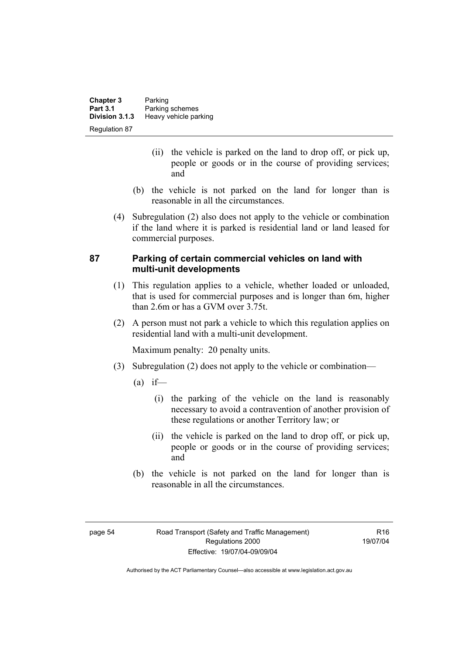| <b>Chapter 3</b> | Parking               |
|------------------|-----------------------|
| <b>Part 3.1</b>  | Parking schemes       |
| Division 3.1.3   | Heavy vehicle parking |
| Regulation 87    |                       |

- (ii) the vehicle is parked on the land to drop off, or pick up, people or goods or in the course of providing services; and
- (b) the vehicle is not parked on the land for longer than is reasonable in all the circumstances.
- (4) Subregulation (2) also does not apply to the vehicle or combination if the land where it is parked is residential land or land leased for commercial purposes.

# **87 Parking of certain commercial vehicles on land with multi-unit developments**

- (1) This regulation applies to a vehicle, whether loaded or unloaded, that is used for commercial purposes and is longer than 6m, higher than 2.6m or has a GVM over 3.75t.
- (2) A person must not park a vehicle to which this regulation applies on residential land with a multi-unit development.

Maximum penalty: 20 penalty units.

- (3) Subregulation (2) does not apply to the vehicle or combination—
	- $(a)$  if—
		- (i) the parking of the vehicle on the land is reasonably necessary to avoid a contravention of another provision of these regulations or another Territory law; or
		- (ii) the vehicle is parked on the land to drop off, or pick up, people or goods or in the course of providing services; and
	- (b) the vehicle is not parked on the land for longer than is reasonable in all the circumstances.

 $P16$ 19/07/04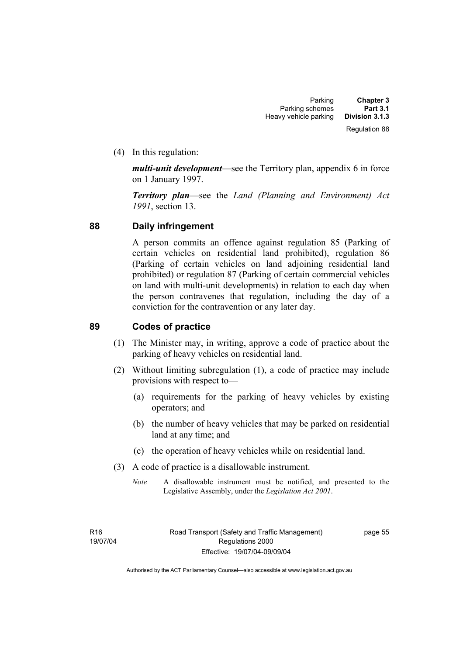(4) In this regulation:

*multi-unit development*—see the Territory plan, appendix 6 in force on 1 January 1997.

*Territory plan*—see the *Land (Planning and Environment) Act 1991*, section 13.

# **88 Daily infringement**

A person commits an offence against regulation 85 (Parking of certain vehicles on residential land prohibited), regulation 86 (Parking of certain vehicles on land adjoining residential land prohibited) or regulation 87 (Parking of certain commercial vehicles on land with multi-unit developments) in relation to each day when the person contravenes that regulation, including the day of a conviction for the contravention or any later day.

# **89 Codes of practice**

- (1) The Minister may, in writing, approve a code of practice about the parking of heavy vehicles on residential land.
- (2) Without limiting subregulation (1), a code of practice may include provisions with respect to—
	- (a) requirements for the parking of heavy vehicles by existing operators; and
	- (b) the number of heavy vehicles that may be parked on residential land at any time; and
	- (c) the operation of heavy vehicles while on residential land.
- (3) A code of practice is a disallowable instrument.
	- *Note* A disallowable instrument must be notified, and presented to the Legislative Assembly, under the *Legislation Act 2001*.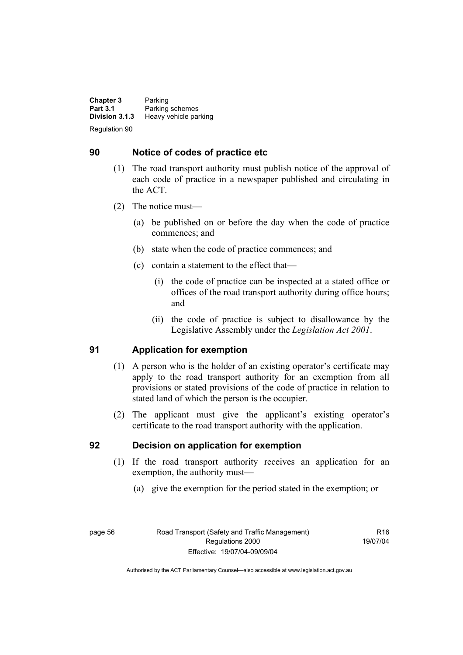**Chapter 3** Parking<br>**Part 3.1** Parking **Part 3.1 Parking schemes**<br>**Division 3.1.3 Heavy vehicle part Division 3.1.3** Heavy vehicle parking Regulation 90

# **90 Notice of codes of practice etc**

- (1) The road transport authority must publish notice of the approval of each code of practice in a newspaper published and circulating in the ACT.
- (2) The notice must—
	- (a) be published on or before the day when the code of practice commences; and
	- (b) state when the code of practice commences; and
	- (c) contain a statement to the effect that—
		- (i) the code of practice can be inspected at a stated office or offices of the road transport authority during office hours; and
		- (ii) the code of practice is subject to disallowance by the Legislative Assembly under the *Legislation Act 2001*.

## **91 Application for exemption**

- (1) A person who is the holder of an existing operator's certificate may apply to the road transport authority for an exemption from all provisions or stated provisions of the code of practice in relation to stated land of which the person is the occupier.
- (2) The applicant must give the applicant's existing operator's certificate to the road transport authority with the application.

#### **92 Decision on application for exemption**

- (1) If the road transport authority receives an application for an exemption, the authority must—
	- (a) give the exemption for the period stated in the exemption; or

page 56 Road Transport (Safety and Traffic Management) Regulations 2000 Effective: 19/07/04-09/09/04

 $P16$ 19/07/04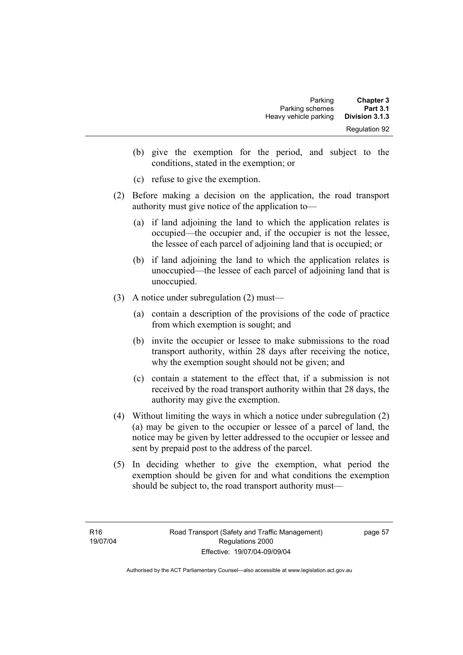| <b>Chapter 3</b><br><b>Part 3.1</b> | Parking<br>Parking schemes |
|-------------------------------------|----------------------------|
| Division 3.1.3                      | Heavy vehicle parking      |
| <b>Regulation 92</b>                |                            |

- (b) give the exemption for the period, and subject to the conditions, stated in the exemption; or
- (c) refuse to give the exemption.
- (2) Before making a decision on the application, the road transport authority must give notice of the application to—
	- (a) if land adjoining the land to which the application relates is occupied—the occupier and, if the occupier is not the lessee, the lessee of each parcel of adjoining land that is occupied; or
	- (b) if land adjoining the land to which the application relates is unoccupied—the lessee of each parcel of adjoining land that is unoccupied.
- (3) A notice under subregulation (2) must—
	- (a) contain a description of the provisions of the code of practice from which exemption is sought; and
	- (b) invite the occupier or lessee to make submissions to the road transport authority, within 28 days after receiving the notice, why the exemption sought should not be given; and
	- (c) contain a statement to the effect that, if a submission is not received by the road transport authority within that 28 days, the authority may give the exemption.
- (4) Without limiting the ways in which a notice under subregulation (2) (a) may be given to the occupier or lessee of a parcel of land, the notice may be given by letter addressed to the occupier or lessee and sent by prepaid post to the address of the parcel.
- (5) In deciding whether to give the exemption, what period the exemption should be given for and what conditions the exemption should be subject to, the road transport authority must—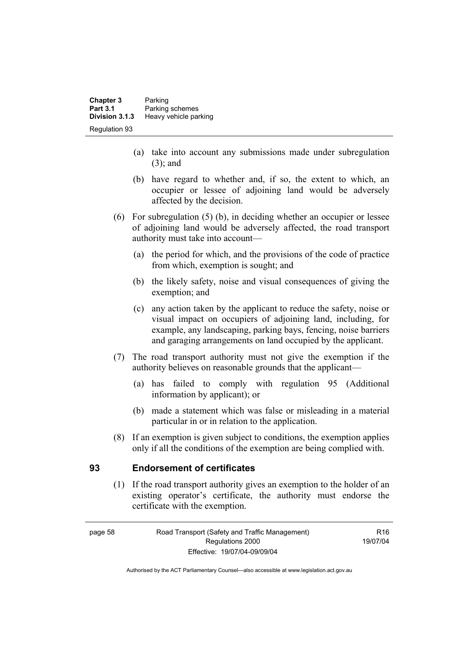| <b>Chapter 3</b><br><b>Part 3.1</b> | Parking                                  |
|-------------------------------------|------------------------------------------|
| Division 3.1.3                      | Parking schemes<br>Heavy vehicle parking |
| <b>Regulation 93</b>                |                                          |

- (a) take into account any submissions made under subregulation (3); and
- (b) have regard to whether and, if so, the extent to which, an occupier or lessee of adjoining land would be adversely affected by the decision.
- (6) For subregulation (5) (b), in deciding whether an occupier or lessee of adjoining land would be adversely affected, the road transport authority must take into account—
	- (a) the period for which, and the provisions of the code of practice from which, exemption is sought; and
	- (b) the likely safety, noise and visual consequences of giving the exemption; and
	- (c) any action taken by the applicant to reduce the safety, noise or visual impact on occupiers of adjoining land, including, for example, any landscaping, parking bays, fencing, noise barriers and garaging arrangements on land occupied by the applicant.
- (7) The road transport authority must not give the exemption if the authority believes on reasonable grounds that the applicant—
	- (a) has failed to comply with regulation 95 (Additional information by applicant); or
	- (b) made a statement which was false or misleading in a material particular in or in relation to the application.
- (8) If an exemption is given subject to conditions, the exemption applies only if all the conditions of the exemption are being complied with.

#### **93 Endorsement of certificates**

 (1) If the road transport authority gives an exemption to the holder of an existing operator's certificate, the authority must endorse the certificate with the exemption.

R16 19/07/04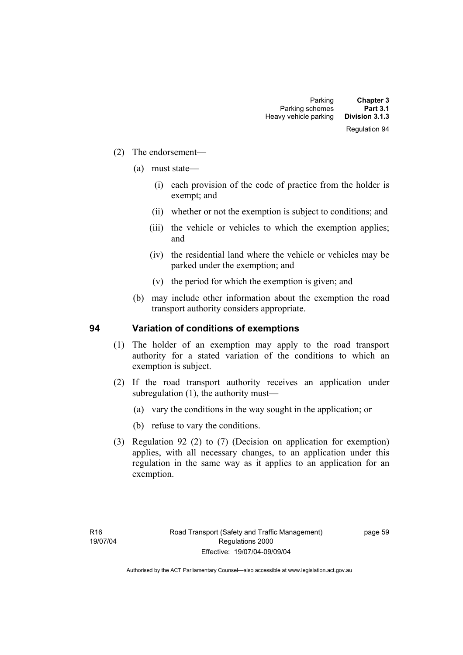- (2) The endorsement—
	- (a) must state—
		- (i) each provision of the code of practice from the holder is exempt; and
		- (ii) whether or not the exemption is subject to conditions; and
		- (iii) the vehicle or vehicles to which the exemption applies; and
		- (iv) the residential land where the vehicle or vehicles may be parked under the exemption; and
		- (v) the period for which the exemption is given; and
	- (b) may include other information about the exemption the road transport authority considers appropriate.

#### **94 Variation of conditions of exemptions**

- (1) The holder of an exemption may apply to the road transport authority for a stated variation of the conditions to which an exemption is subject.
- (2) If the road transport authority receives an application under subregulation (1), the authority must—
	- (a) vary the conditions in the way sought in the application; or
	- (b) refuse to vary the conditions.
- (3) Regulation 92 (2) to (7) (Decision on application for exemption) applies, with all necessary changes, to an application under this regulation in the same way as it applies to an application for an exemption.

page 59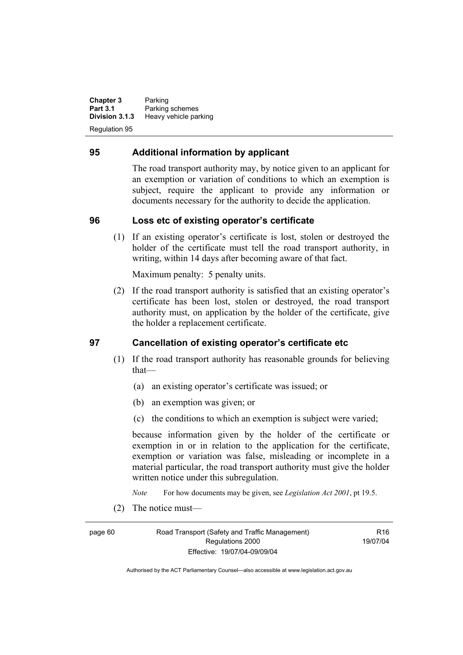**Chapter 3** Parking<br>**Part 3.1** Parking **Part 3.1 Parking schemes**<br>**Division 3.1.3 Heavy vehicle part Division 3.1.3** Heavy vehicle parking Regulation 95

## **95 Additional information by applicant**

The road transport authority may, by notice given to an applicant for an exemption or variation of conditions to which an exemption is subject, require the applicant to provide any information or documents necessary for the authority to decide the application.

#### **96 Loss etc of existing operator's certificate**

 (1) If an existing operator's certificate is lost, stolen or destroyed the holder of the certificate must tell the road transport authority, in writing, within 14 days after becoming aware of that fact.

Maximum penalty: 5 penalty units.

 (2) If the road transport authority is satisfied that an existing operator's certificate has been lost, stolen or destroyed, the road transport authority must, on application by the holder of the certificate, give the holder a replacement certificate.

#### **97 Cancellation of existing operator's certificate etc**

- (1) If the road transport authority has reasonable grounds for believing that—
	- (a) an existing operator's certificate was issued; or
	- (b) an exemption was given; or
	- (c) the conditions to which an exemption is subject were varied;

because information given by the holder of the certificate or exemption in or in relation to the application for the certificate, exemption or variation was false, misleading or incomplete in a material particular, the road transport authority must give the holder written notice under this subregulation.

*Note* For how documents may be given, see *Legislation Act 2001*, pt 19.5.

(2) The notice must—

page 60 Road Transport (Safety and Traffic Management) Regulations 2000 Effective: 19/07/04-09/09/04

 $P16$ 19/07/04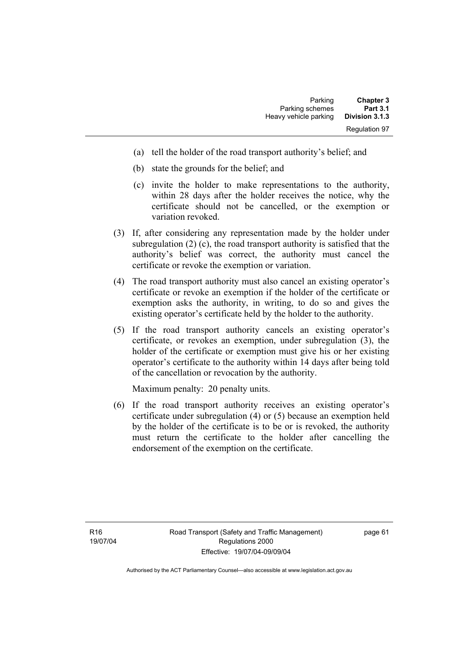| <b>Chapter 3</b>     | Parking               |
|----------------------|-----------------------|
| <b>Part 3.1</b>      | Parking schemes       |
| Division 3.1.3       | Heavy vehicle parking |
| <b>Regulation 97</b> |                       |

- (a) tell the holder of the road transport authority's belief; and
- (b) state the grounds for the belief; and
- (c) invite the holder to make representations to the authority, within 28 days after the holder receives the notice, why the certificate should not be cancelled, or the exemption or variation revoked.
- (3) If, after considering any representation made by the holder under subregulation (2) (c), the road transport authority is satisfied that the authority's belief was correct, the authority must cancel the certificate or revoke the exemption or variation.
- (4) The road transport authority must also cancel an existing operator's certificate or revoke an exemption if the holder of the certificate or exemption asks the authority, in writing, to do so and gives the existing operator's certificate held by the holder to the authority.
- (5) If the road transport authority cancels an existing operator's certificate, or revokes an exemption, under subregulation (3), the holder of the certificate or exemption must give his or her existing operator's certificate to the authority within 14 days after being told of the cancellation or revocation by the authority.

Maximum penalty: 20 penalty units.

 (6) If the road transport authority receives an existing operator's certificate under subregulation (4) or (5) because an exemption held by the holder of the certificate is to be or is revoked, the authority must return the certificate to the holder after cancelling the endorsement of the exemption on the certificate.

page 61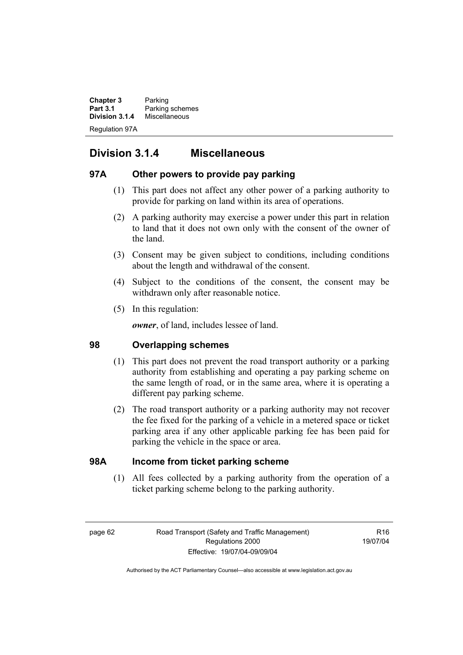**Chapter 3** Parking<br>**Part 3.1** Parking **Part 3.1** Parking schemes<br>**Division 3.1.4** Miscellaneous **Division 3.1.4** Miscellaneous Regulation 97A

# **Division 3.1.4 Miscellaneous**

# **97A Other powers to provide pay parking**

- (1) This part does not affect any other power of a parking authority to provide for parking on land within its area of operations.
- (2) A parking authority may exercise a power under this part in relation to land that it does not own only with the consent of the owner of the land.
- (3) Consent may be given subject to conditions, including conditions about the length and withdrawal of the consent.
- (4) Subject to the conditions of the consent, the consent may be withdrawn only after reasonable notice.
- (5) In this regulation:

*owner*, of land, includes lessee of land.

# **98 Overlapping schemes**

- (1) This part does not prevent the road transport authority or a parking authority from establishing and operating a pay parking scheme on the same length of road, or in the same area, where it is operating a different pay parking scheme.
- (2) The road transport authority or a parking authority may not recover the fee fixed for the parking of a vehicle in a metered space or ticket parking area if any other applicable parking fee has been paid for parking the vehicle in the space or area.

# **98A Income from ticket parking scheme**

 (1) All fees collected by a parking authority from the operation of a ticket parking scheme belong to the parking authority.

 $P16$ 19/07/04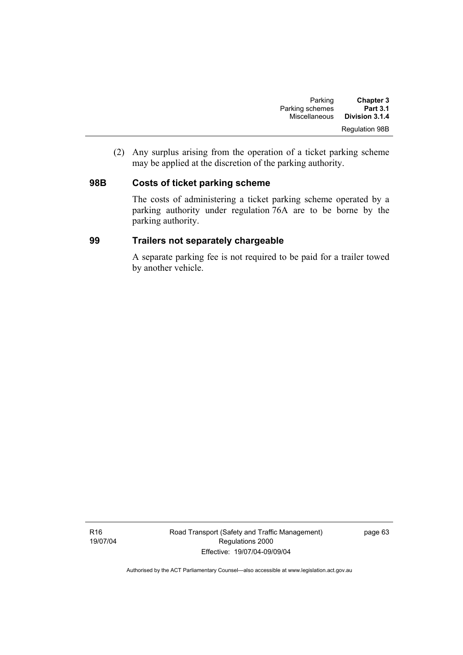| <b>Chapter 3</b>      | Parking         |
|-----------------------|-----------------|
| <b>Part 3.1</b>       | Parking schemes |
| Division 3.1.4        | Miscellaneous   |
| <b>Regulation 98B</b> |                 |

 (2) Any surplus arising from the operation of a ticket parking scheme may be applied at the discretion of the parking authority.

## **98B Costs of ticket parking scheme**

The costs of administering a ticket parking scheme operated by a parking authority under regulation 76A are to be borne by the parking authority.

## **99 Trailers not separately chargeable**

A separate parking fee is not required to be paid for a trailer towed by another vehicle.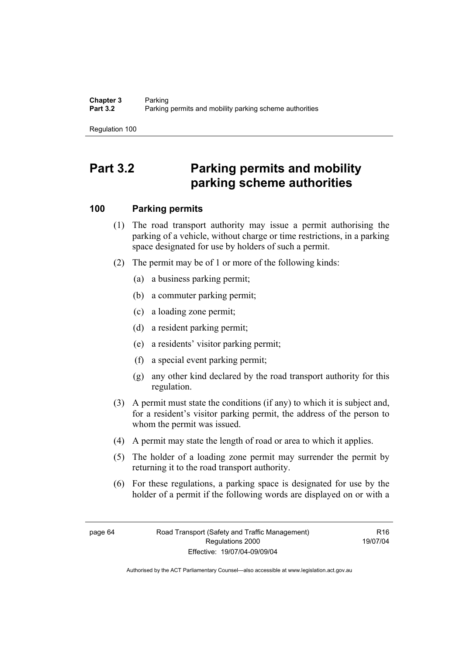Regulation 100

## **Part 3.2 Parking permits and mobility parking scheme authorities**

## **100 Parking permits**

- (1) The road transport authority may issue a permit authorising the parking of a vehicle, without charge or time restrictions, in a parking space designated for use by holders of such a permit.
- (2) The permit may be of 1 or more of the following kinds:
	- (a) a business parking permit;
	- (b) a commuter parking permit;
	- (c) a loading zone permit;
	- (d) a resident parking permit;
	- (e) a residents' visitor parking permit;
	- (f) a special event parking permit;
	- (g) any other kind declared by the road transport authority for this regulation.
- (3) A permit must state the conditions (if any) to which it is subject and, for a resident's visitor parking permit, the address of the person to whom the permit was issued.
- (4) A permit may state the length of road or area to which it applies.
- (5) The holder of a loading zone permit may surrender the permit by returning it to the road transport authority.
- (6) For these regulations, a parking space is designated for use by the holder of a permit if the following words are displayed on or with a

R16 19/07/04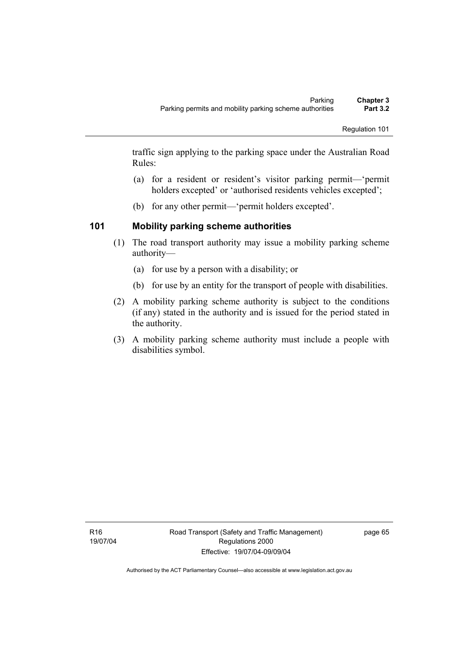traffic sign applying to the parking space under the Australian Road Rules:

- (a) for a resident or resident's visitor parking permit—'permit holders excepted' or 'authorised residents vehicles excepted';
- (b) for any other permit—'permit holders excepted'.

## **101 Mobility parking scheme authorities**

- (1) The road transport authority may issue a mobility parking scheme authority—
	- (a) for use by a person with a disability; or
	- (b) for use by an entity for the transport of people with disabilities.
- (2) A mobility parking scheme authority is subject to the conditions (if any) stated in the authority and is issued for the period stated in the authority.
- (3) A mobility parking scheme authority must include a people with disabilities symbol.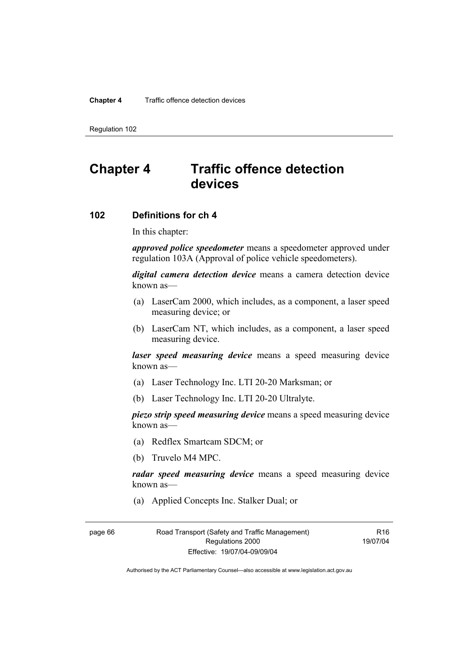#### **Chapter 4** Traffic offence detection devices

Regulation 102

## **Chapter 4 Traffic offence detection devices**

## **102 Definitions for ch 4**

In this chapter:

*approved police speedometer* means a speedometer approved under regulation 103A (Approval of police vehicle speedometers).

*digital camera detection device* means a camera detection device known as—

- (a) LaserCam 2000, which includes, as a component, a laser speed measuring device; or
- (b) LaserCam NT, which includes, as a component, a laser speed measuring device.

*laser speed measuring device* means a speed measuring device known as—

- (a) Laser Technology Inc. LTI 20-20 Marksman; or
- (b) Laser Technology Inc. LTI 20-20 Ultralyte.

*piezo strip speed measuring device* means a speed measuring device known as—

- (a) Redflex Smartcam SDCM; or
- (b) Truvelo M4 MPC.

*radar speed measuring device* means a speed measuring device known as—

(a) Applied Concepts Inc. Stalker Dual; or

page 66 Road Transport (Safety and Traffic Management) Regulations 2000 Effective: 19/07/04-09/09/04

R16 19/07/04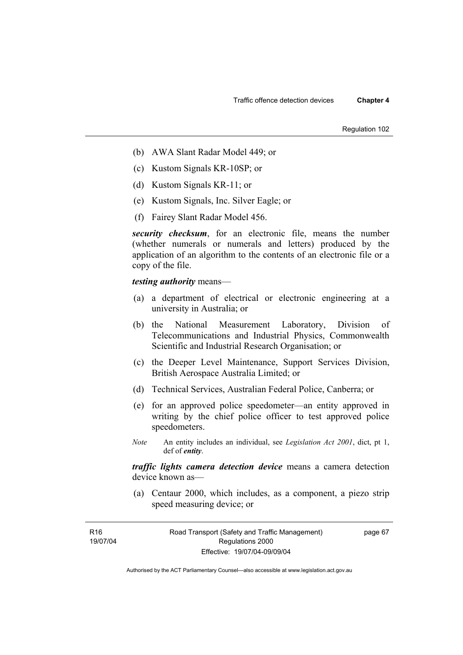Regulation 102

- (b) AWA Slant Radar Model 449; or
- (c) Kustom Signals KR-10SP; or
- (d) Kustom Signals KR-11; or
- (e) Kustom Signals, Inc. Silver Eagle; or
- (f) Fairey Slant Radar Model 456.

*security checksum*, for an electronic file, means the number (whether numerals or numerals and letters) produced by the application of an algorithm to the contents of an electronic file or a copy of the file.

*testing authority* means—

- (a) a department of electrical or electronic engineering at a university in Australia; or
- (b) the National Measurement Laboratory, Division of Telecommunications and Industrial Physics, Commonwealth Scientific and Industrial Research Organisation; or
- (c) the Deeper Level Maintenance, Support Services Division, British Aerospace Australia Limited; or
- (d) Technical Services, Australian Federal Police, Canberra; or
- (e) for an approved police speedometer—an entity approved in writing by the chief police officer to test approved police speedometers.
- *Note* An entity includes an individual, see *Legislation Act 2001*, dict, pt 1, def of *entity*.

*traffic lights camera detection device* means a camera detection device known as—

 (a) Centaur 2000, which includes, as a component, a piezo strip speed measuring device; or

R16 19/07/04

page 67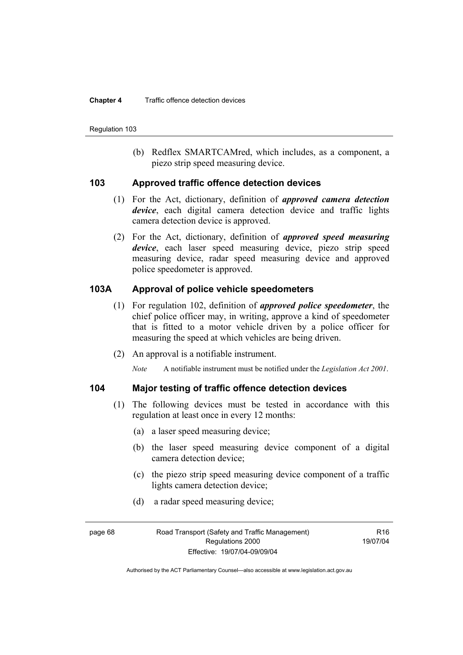#### **Chapter 4** Traffic offence detection devices

Regulation 103

 (b) Redflex SMARTCAMred, which includes, as a component, a piezo strip speed measuring device.

### **103 Approved traffic offence detection devices**

- (1) For the Act, dictionary, definition of *approved camera detection device*, each digital camera detection device and traffic lights camera detection device is approved.
- (2) For the Act, dictionary, definition of *approved speed measuring device*, each laser speed measuring device, piezo strip speed measuring device, radar speed measuring device and approved police speedometer is approved.

## **103A Approval of police vehicle speedometers**

- (1) For regulation 102, definition of *approved police speedometer*, the chief police officer may, in writing, approve a kind of speedometer that is fitted to a motor vehicle driven by a police officer for measuring the speed at which vehicles are being driven.
- (2) An approval is a notifiable instrument.

*Note* A notifiable instrument must be notified under the *Legislation Act 2001*.

## **104 Major testing of traffic offence detection devices**

- (1) The following devices must be tested in accordance with this regulation at least once in every 12 months:
	- (a) a laser speed measuring device;
	- (b) the laser speed measuring device component of a digital camera detection device;
	- (c) the piezo strip speed measuring device component of a traffic lights camera detection device;
	- (d) a radar speed measuring device;

 $P16$ 19/07/04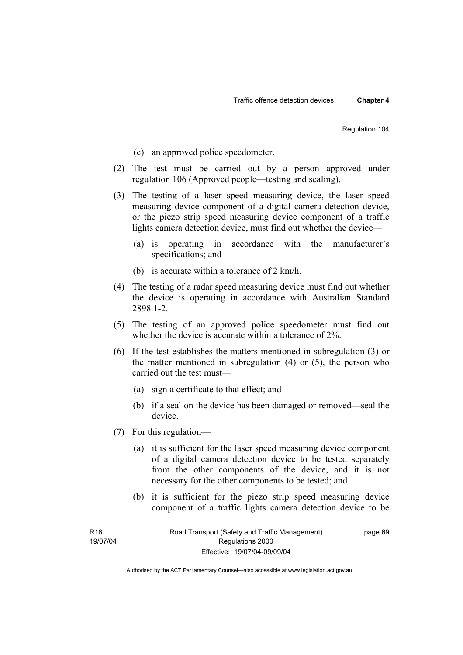- (e) an approved police speedometer.
- (2) The test must be carried out by a person approved under regulation 106 (Approved people—testing and sealing).
- (3) The testing of a laser speed measuring device, the laser speed measuring device component of a digital camera detection device, or the piezo strip speed measuring device component of a traffic lights camera detection device, must find out whether the device—
	- (a) is operating in accordance with the manufacturer's specifications; and
	- (b) is accurate within a tolerance of 2 km/h.
- (4) The testing of a radar speed measuring device must find out whether the device is operating in accordance with Australian Standard 2898.1-2.
- (5) The testing of an approved police speedometer must find out whether the device is accurate within a tolerance of 2%.
- (6) If the test establishes the matters mentioned in subregulation (3) or the matter mentioned in subregulation (4) or (5), the person who carried out the test must—
	- (a) sign a certificate to that effect; and
	- (b) if a seal on the device has been damaged or removed—seal the device.
- (7) For this regulation—
	- (a) it is sufficient for the laser speed measuring device component of a digital camera detection device to be tested separately from the other components of the device, and it is not necessary for the other components to be tested; and
	- (b) it is sufficient for the piezo strip speed measuring device component of a traffic lights camera detection device to be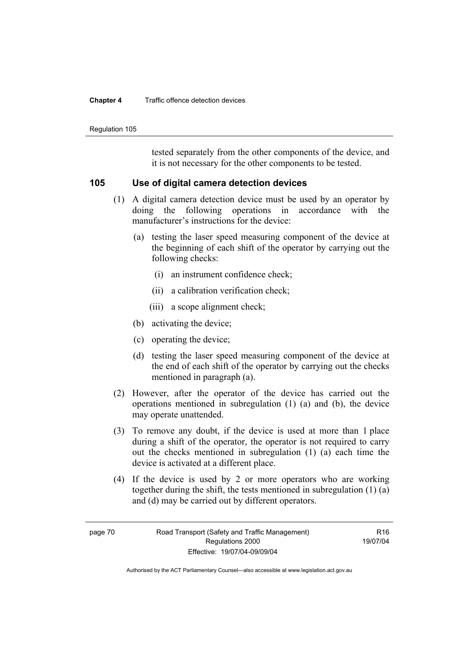#### **Chapter 4** Traffic offence detection devices

Regulation 105

tested separately from the other components of the device, and it is not necessary for the other components to be tested.

### **105 Use of digital camera detection devices**

- (1) A digital camera detection device must be used by an operator by doing the following operations in accordance with the manufacturer's instructions for the device:
	- (a) testing the laser speed measuring component of the device at the beginning of each shift of the operator by carrying out the following checks:
		- (i) an instrument confidence check;
		- (ii) a calibration verification check;
		- (iii) a scope alignment check;
	- (b) activating the device;
	- (c) operating the device;
	- (d) testing the laser speed measuring component of the device at the end of each shift of the operator by carrying out the checks mentioned in paragraph (a).
- (2) However, after the operator of the device has carried out the operations mentioned in subregulation (1) (a) and (b), the device may operate unattended.
- (3) To remove any doubt, if the device is used at more than 1 place during a shift of the operator, the operator is not required to carry out the checks mentioned in subregulation (1) (a) each time the device is activated at a different place.
- (4) If the device is used by 2 or more operators who are working together during the shift, the tests mentioned in subregulation (1) (a) and (d) may be carried out by different operators.

 $P16$ 19/07/04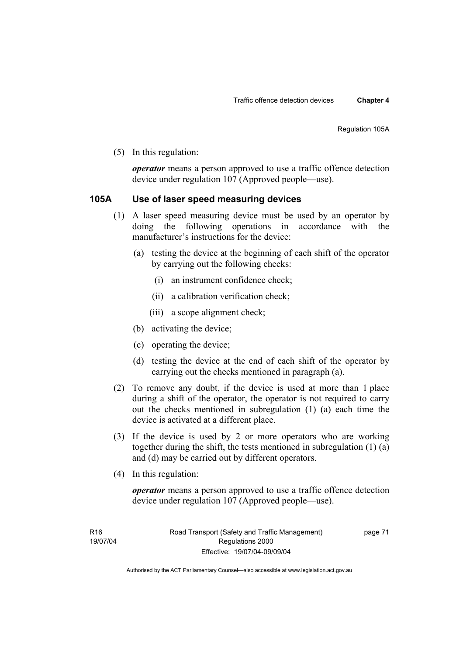(5) In this regulation:

*operator* means a person approved to use a traffic offence detection device under regulation 107 (Approved people—use).

## **105A Use of laser speed measuring devices**

- (1) A laser speed measuring device must be used by an operator by doing the following operations in accordance with the manufacturer's instructions for the device:
	- (a) testing the device at the beginning of each shift of the operator by carrying out the following checks:
		- (i) an instrument confidence check;
		- (ii) a calibration verification check;
		- (iii) a scope alignment check;
	- (b) activating the device;
	- (c) operating the device;
	- (d) testing the device at the end of each shift of the operator by carrying out the checks mentioned in paragraph (a).
- (2) To remove any doubt, if the device is used at more than 1 place during a shift of the operator, the operator is not required to carry out the checks mentioned in subregulation (1) (a) each time the device is activated at a different place.
- (3) If the device is used by 2 or more operators who are working together during the shift, the tests mentioned in subregulation (1) (a) and (d) may be carried out by different operators.
- (4) In this regulation:

*operator* means a person approved to use a traffic offence detection device under regulation 107 (Approved people—use).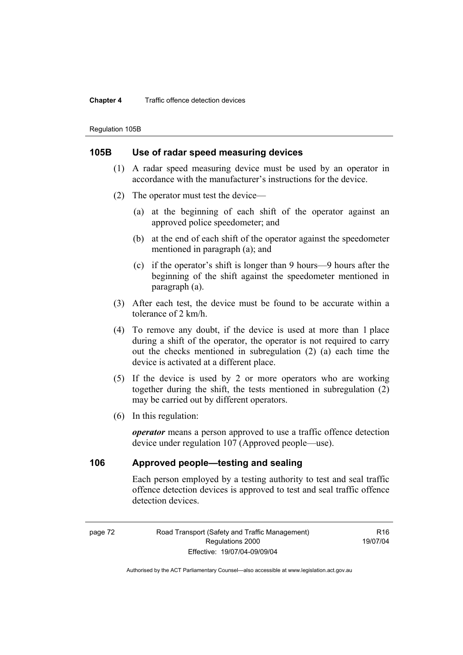#### **Chapter 4** Traffic offence detection devices

Regulation 105B

### **105B Use of radar speed measuring devices**

- (1) A radar speed measuring device must be used by an operator in accordance with the manufacturer's instructions for the device.
- (2) The operator must test the device—
	- (a) at the beginning of each shift of the operator against an approved police speedometer; and
	- (b) at the end of each shift of the operator against the speedometer mentioned in paragraph (a); and
	- (c) if the operator's shift is longer than 9 hours—9 hours after the beginning of the shift against the speedometer mentioned in paragraph (a).
- (3) After each test, the device must be found to be accurate within a tolerance of 2 km/h.
- (4) To remove any doubt, if the device is used at more than 1 place during a shift of the operator, the operator is not required to carry out the checks mentioned in subregulation (2) (a) each time the device is activated at a different place.
- (5) If the device is used by 2 or more operators who are working together during the shift, the tests mentioned in subregulation (2) may be carried out by different operators.
- (6) In this regulation:

*operator* means a person approved to use a traffic offence detection device under regulation 107 (Approved people—use).

## **106 Approved people—testing and sealing**

Each person employed by a testing authority to test and seal traffic offence detection devices is approved to test and seal traffic offence detection devices.

page 72 Road Transport (Safety and Traffic Management) Regulations 2000 Effective: 19/07/04-09/09/04

R<sub>16</sub> 19/07/04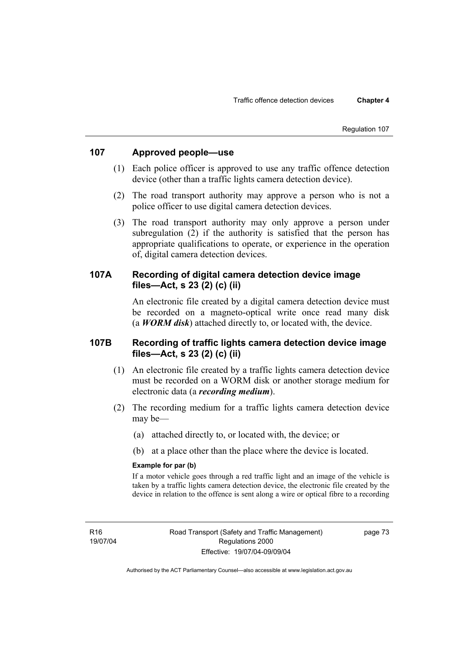#### Regulation 107

## **107 Approved people—use**

- (1) Each police officer is approved to use any traffic offence detection device (other than a traffic lights camera detection device).
- (2) The road transport authority may approve a person who is not a police officer to use digital camera detection devices.
- (3) The road transport authority may only approve a person under subregulation (2) if the authority is satisfied that the person has appropriate qualifications to operate, or experience in the operation of, digital camera detection devices.

## **107A Recording of digital camera detection device image files—Act, s 23 (2) (c) (ii)**

An electronic file created by a digital camera detection device must be recorded on a magneto-optical write once read many disk (a *WORM disk*) attached directly to, or located with, the device.

## **107B Recording of traffic lights camera detection device image files—Act, s 23 (2) (c) (ii)**

- (1) An electronic file created by a traffic lights camera detection device must be recorded on a WORM disk or another storage medium for electronic data (a *recording medium*).
- (2) The recording medium for a traffic lights camera detection device may be—
	- (a) attached directly to, or located with, the device; or
	- (b) at a place other than the place where the device is located.

#### **Example for par (b)**

If a motor vehicle goes through a red traffic light and an image of the vehicle is taken by a traffic lights camera detection device, the electronic file created by the device in relation to the offence is sent along a wire or optical fibre to a recording

page 73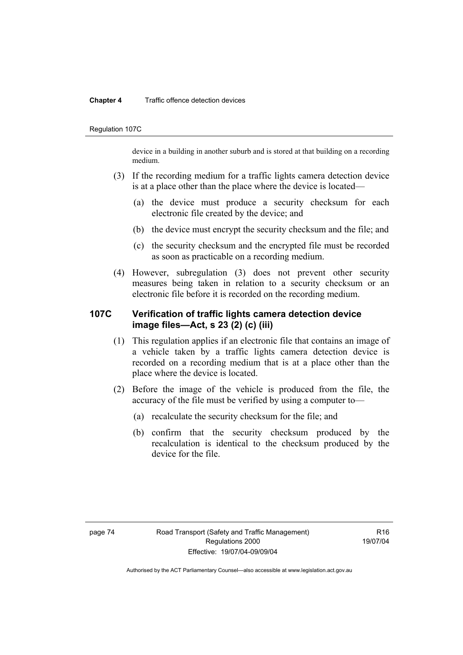#### **Chapter 4** Traffic offence detection devices

Regulation 107C

device in a building in another suburb and is stored at that building on a recording medium.

- (3) If the recording medium for a traffic lights camera detection device is at a place other than the place where the device is located—
	- (a) the device must produce a security checksum for each electronic file created by the device; and
	- (b) the device must encrypt the security checksum and the file; and
	- (c) the security checksum and the encrypted file must be recorded as soon as practicable on a recording medium.
- (4) However, subregulation (3) does not prevent other security measures being taken in relation to a security checksum or an electronic file before it is recorded on the recording medium.

## **107C Verification of traffic lights camera detection device image files—Act, s 23 (2) (c) (iii)**

- (1) This regulation applies if an electronic file that contains an image of a vehicle taken by a traffic lights camera detection device is recorded on a recording medium that is at a place other than the place where the device is located.
- (2) Before the image of the vehicle is produced from the file, the accuracy of the file must be verified by using a computer to—
	- (a) recalculate the security checksum for the file; and
	- (b) confirm that the security checksum produced by the recalculation is identical to the checksum produced by the device for the file.

 $P16$ 19/07/04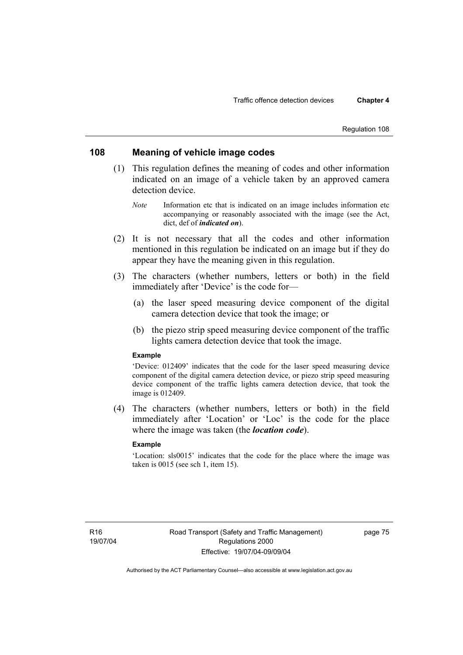#### Regulation 108

### **108 Meaning of vehicle image codes**

- (1) This regulation defines the meaning of codes and other information indicated on an image of a vehicle taken by an approved camera detection device.
	- *Note* Information etc that is indicated on an image includes information etc accompanying or reasonably associated with the image (see the Act, dict, def of *indicated on*).
- (2) It is not necessary that all the codes and other information mentioned in this regulation be indicated on an image but if they do appear they have the meaning given in this regulation.
- (3) The characters (whether numbers, letters or both) in the field immediately after 'Device' is the code for—
	- (a) the laser speed measuring device component of the digital camera detection device that took the image; or
	- (b) the piezo strip speed measuring device component of the traffic lights camera detection device that took the image.

#### **Example**

'Device: 012409' indicates that the code for the laser speed measuring device component of the digital camera detection device, or piezo strip speed measuring device component of the traffic lights camera detection device, that took the image is 012409.

 (4) The characters (whether numbers, letters or both) in the field immediately after 'Location' or 'Loc' is the code for the place where the image was taken (the *location code*).

### **Example**

'Location: sls0015' indicates that the code for the place where the image was taken is 0015 (see sch 1, item 15).

page 75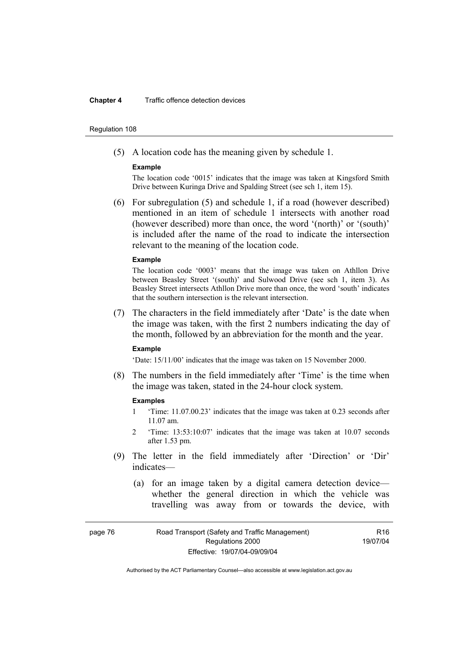#### **Chapter 4** Traffic offence detection devices

#### Regulation 108

(5) A location code has the meaning given by schedule 1.

#### **Example**

The location code '0015' indicates that the image was taken at Kingsford Smith Drive between Kuringa Drive and Spalding Street (see sch 1, item 15).

 (6) For subregulation (5) and schedule 1, if a road (however described) mentioned in an item of schedule 1 intersects with another road (however described) more than once, the word '(north)' or '(south)' is included after the name of the road to indicate the intersection relevant to the meaning of the location code.

#### **Example**

The location code '0003' means that the image was taken on Athllon Drive between Beasley Street '(south)' and Sulwood Drive (see sch 1, item 3). As Beasley Street intersects Athllon Drive more than once, the word 'south' indicates that the southern intersection is the relevant intersection.

 (7) The characters in the field immediately after 'Date' is the date when the image was taken, with the first 2 numbers indicating the day of the month, followed by an abbreviation for the month and the year.

#### **Example**

'Date: 15/11/00' indicates that the image was taken on 15 November 2000.

 (8) The numbers in the field immediately after 'Time' is the time when the image was taken, stated in the 24-hour clock system.

#### **Examples**

- 1 'Time: 11.07.00.23' indicates that the image was taken at 0.23 seconds after 11.07 am.
- 2 'Time: 13:53:10:07' indicates that the image was taken at 10.07 seconds after 1.53 pm.
- (9) The letter in the field immediately after 'Direction' or 'Dir' indicates—
	- (a) for an image taken by a digital camera detection device whether the general direction in which the vehicle was travelling was away from or towards the device, with

R16 19/07/04

page 76 Road Transport (Safety and Traffic Management) Regulations 2000 Effective: 19/07/04-09/09/04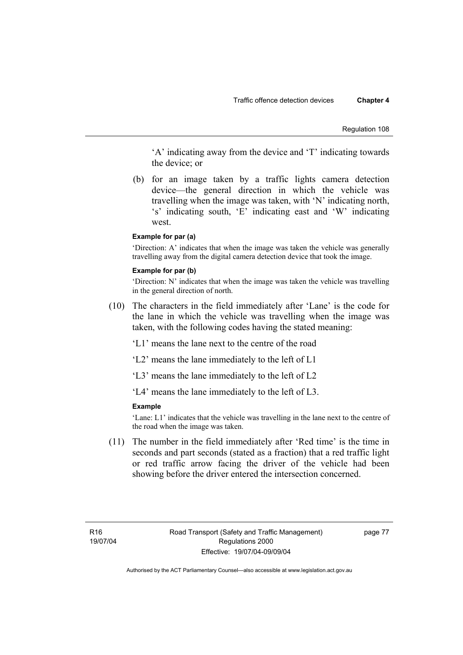Regulation 108

'A' indicating away from the device and 'T' indicating towards the device; or

 (b) for an image taken by a traffic lights camera detection device—the general direction in which the vehicle was travelling when the image was taken, with 'N' indicating north, 's' indicating south, 'E' indicating east and 'W' indicating west.

#### **Example for par (a)**

'Direction: A' indicates that when the image was taken the vehicle was generally travelling away from the digital camera detection device that took the image.

#### **Example for par (b)**

'Direction: N' indicates that when the image was taken the vehicle was travelling in the general direction of north.

 (10) The characters in the field immediately after 'Lane' is the code for the lane in which the vehicle was travelling when the image was taken, with the following codes having the stated meaning:

'L1' means the lane next to the centre of the road

'L2' means the lane immediately to the left of L1

'L3' means the lane immediately to the left of L2

'L4' means the lane immediately to the left of L3.

#### **Example**

'Lane: L1' indicates that the vehicle was travelling in the lane next to the centre of the road when the image was taken.

 (11) The number in the field immediately after 'Red time' is the time in seconds and part seconds (stated as a fraction) that a red traffic light or red traffic arrow facing the driver of the vehicle had been showing before the driver entered the intersection concerned.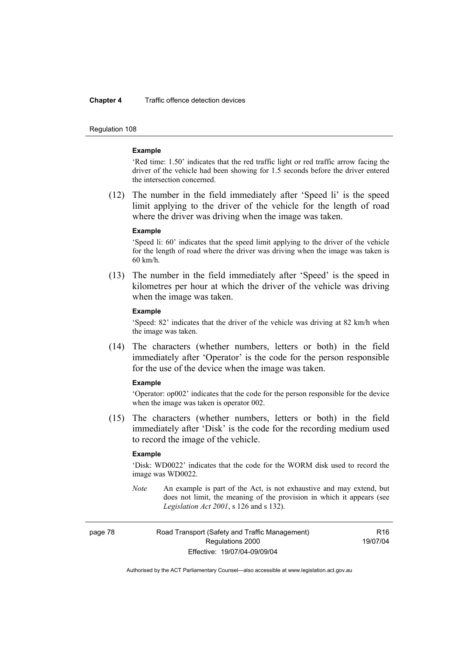#### **Chapter 4** Traffic offence detection devices

Regulation 108

#### **Example**

'Red time: 1.50' indicates that the red traffic light or red traffic arrow facing the driver of the vehicle had been showing for 1.5 seconds before the driver entered the intersection concerned.

 (12) The number in the field immediately after 'Speed li' is the speed limit applying to the driver of the vehicle for the length of road where the driver was driving when the image was taken.

#### **Example**

'Speed li: 60' indicates that the speed limit applying to the driver of the vehicle for the length of road where the driver was driving when the image was taken is 60 km/h.

 (13) The number in the field immediately after 'Speed' is the speed in kilometres per hour at which the driver of the vehicle was driving when the image was taken.

#### **Example**

'Speed: 82' indicates that the driver of the vehicle was driving at 82 km/h when the image was taken.

 (14) The characters (whether numbers, letters or both) in the field immediately after 'Operator' is the code for the person responsible for the use of the device when the image was taken.

#### **Example**

'Operator: op002' indicates that the code for the person responsible for the device when the image was taken is operator 002.

 (15) The characters (whether numbers, letters or both) in the field immediately after 'Disk' is the code for the recording medium used to record the image of the vehicle.

#### **Example**

'Disk: WD0022' indicates that the code for the WORM disk used to record the image was WD0022.

*Note* An example is part of the Act, is not exhaustive and may extend, but does not limit, the meaning of the provision in which it appears (see *Legislation Act 2001*, s 126 and s 132).

page 78 Road Transport (Safety and Traffic Management) Regulations 2000 Effective: 19/07/04-09/09/04

R16 19/07/04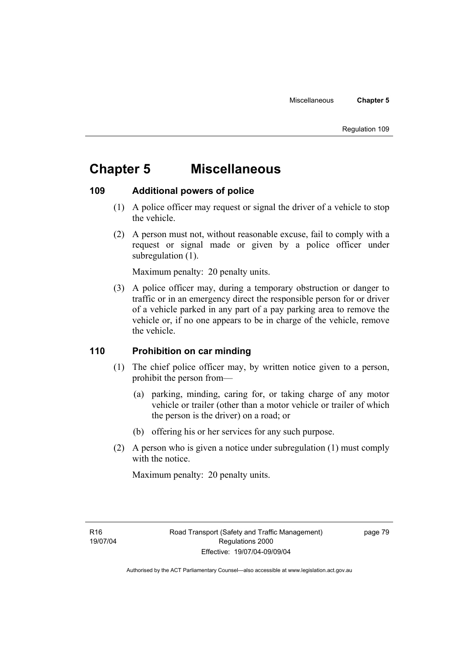## **Chapter 5 Miscellaneous**

## **109 Additional powers of police**

- (1) A police officer may request or signal the driver of a vehicle to stop the vehicle.
- (2) A person must not, without reasonable excuse, fail to comply with a request or signal made or given by a police officer under subregulation  $(1)$ .

Maximum penalty: 20 penalty units.

 (3) A police officer may, during a temporary obstruction or danger to traffic or in an emergency direct the responsible person for or driver of a vehicle parked in any part of a pay parking area to remove the vehicle or, if no one appears to be in charge of the vehicle, remove the vehicle.

## **110 Prohibition on car minding**

- (1) The chief police officer may, by written notice given to a person, prohibit the person from—
	- (a) parking, minding, caring for, or taking charge of any motor vehicle or trailer (other than a motor vehicle or trailer of which the person is the driver) on a road; or
	- (b) offering his or her services for any such purpose.
- (2) A person who is given a notice under subregulation (1) must comply with the notice.

Maximum penalty: 20 penalty units.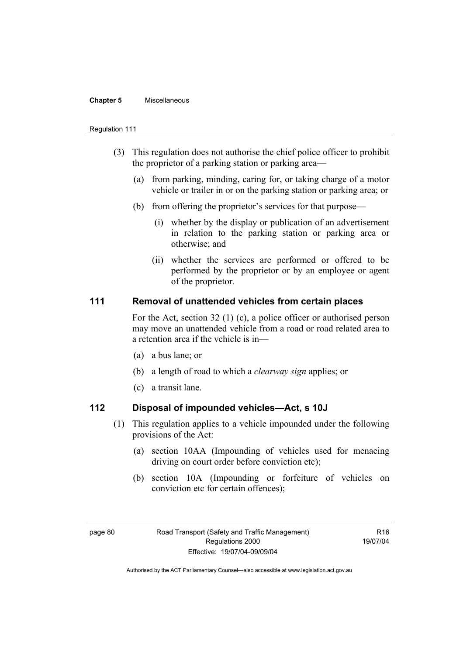#### **Chapter 5** Miscellaneous

#### Regulation 111

- (3) This regulation does not authorise the chief police officer to prohibit the proprietor of a parking station or parking area—
	- (a) from parking, minding, caring for, or taking charge of a motor vehicle or trailer in or on the parking station or parking area; or
	- (b) from offering the proprietor's services for that purpose—
		- (i) whether by the display or publication of an advertisement in relation to the parking station or parking area or otherwise; and
		- (ii) whether the services are performed or offered to be performed by the proprietor or by an employee or agent of the proprietor.

## **111 Removal of unattended vehicles from certain places**

For the Act, section 32 (1) (c), a police officer or authorised person may move an unattended vehicle from a road or road related area to a retention area if the vehicle is in—

- (a) a bus lane; or
- (b) a length of road to which a *clearway sign* applies; or
- (c) a transit lane.

## **112 Disposal of impounded vehicles—Act, s 10J**

- (1) This regulation applies to a vehicle impounded under the following provisions of the Act:
	- (a) section 10AA (Impounding of vehicles used for menacing driving on court order before conviction etc);
	- (b) section 10A (Impounding or forfeiture of vehicles on conviction etc for certain offences);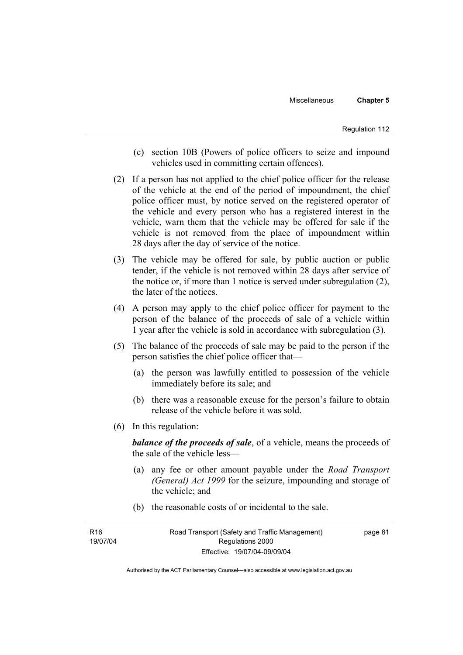- (c) section 10B (Powers of police officers to seize and impound vehicles used in committing certain offences).
- (2) If a person has not applied to the chief police officer for the release of the vehicle at the end of the period of impoundment, the chief police officer must, by notice served on the registered operator of the vehicle and every person who has a registered interest in the vehicle, warn them that the vehicle may be offered for sale if the vehicle is not removed from the place of impoundment within 28 days after the day of service of the notice.
- (3) The vehicle may be offered for sale, by public auction or public tender, if the vehicle is not removed within 28 days after service of the notice or, if more than 1 notice is served under subregulation (2), the later of the notices.
- (4) A person may apply to the chief police officer for payment to the person of the balance of the proceeds of sale of a vehicle within 1 year after the vehicle is sold in accordance with subregulation (3).
- (5) The balance of the proceeds of sale may be paid to the person if the person satisfies the chief police officer that—
	- (a) the person was lawfully entitled to possession of the vehicle immediately before its sale; and
	- (b) there was a reasonable excuse for the person's failure to obtain release of the vehicle before it was sold.
- (6) In this regulation:

*balance of the proceeds of sale*, of a vehicle, means the proceeds of the sale of the vehicle less—

- (a) any fee or other amount payable under the *Road Transport (General) Act 1999* for the seizure, impounding and storage of the vehicle; and
- (b) the reasonable costs of or incidental to the sale.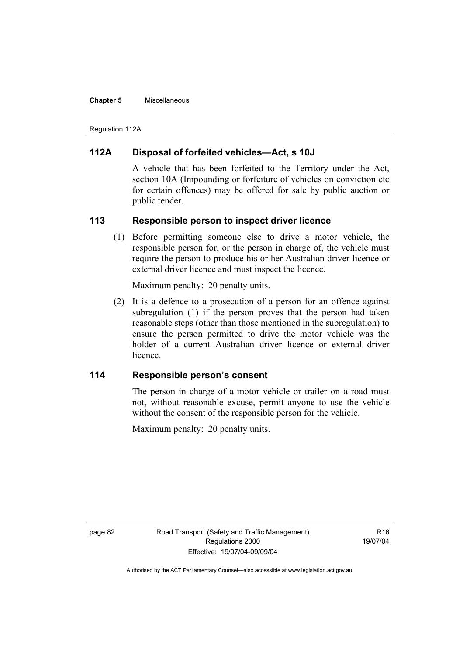#### **Chapter 5** Miscellaneous

Regulation 112A

## **112A Disposal of forfeited vehicles—Act, s 10J**

A vehicle that has been forfeited to the Territory under the Act, section 10A (Impounding or forfeiture of vehicles on conviction etc for certain offences) may be offered for sale by public auction or public tender.

## **113 Responsible person to inspect driver licence**

 (1) Before permitting someone else to drive a motor vehicle, the responsible person for, or the person in charge of, the vehicle must require the person to produce his or her Australian driver licence or external driver licence and must inspect the licence.

Maximum penalty: 20 penalty units.

 (2) It is a defence to a prosecution of a person for an offence against subregulation (1) if the person proves that the person had taken reasonable steps (other than those mentioned in the subregulation) to ensure the person permitted to drive the motor vehicle was the holder of a current Australian driver licence or external driver licence.

## **114 Responsible person's consent**

The person in charge of a motor vehicle or trailer on a road must not, without reasonable excuse, permit anyone to use the vehicle without the consent of the responsible person for the vehicle.

Maximum penalty: 20 penalty units.

page 82 Road Transport (Safety and Traffic Management) Regulations 2000 Effective: 19/07/04-09/09/04

R<sub>16</sub> 19/07/04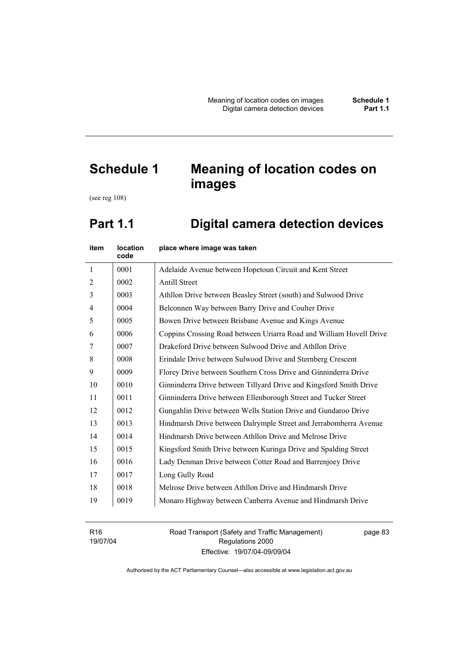# **Schedule 1 Meaning of location codes on images**

(see reg 108)

## **Part 1.1 Digital camera detection devices**

| item           | <b>location</b><br>code | place where image was taken                                         |
|----------------|-------------------------|---------------------------------------------------------------------|
| $\mathbf{1}$   | 0001                    | Adelaide Avenue between Hopetoun Circuit and Kent Street            |
| $\overline{2}$ | 0002                    | <b>Antill Street</b>                                                |
| $\overline{3}$ | 0003                    | Athllon Drive between Beasley Street (south) and Sulwood Drive      |
| $\overline{4}$ | 0004                    | Belconnen Way between Barry Drive and Coulter Drive                 |
| 5              | 0005                    | Bowen Drive between Brisbane Avenue and Kings Avenue                |
| 6              | 0006                    | Coppins Crossing Road between Uriarra Road and William Hovell Drive |
| 7              | 0007                    | Drakeford Drive between Sulwood Drive and Athllon Drive             |
| 8              | 0008                    | Erindale Drive between Sulwood Drive and Sternberg Crescent         |
| 9              | 0009                    | Florey Drive between Southern Cross Drive and Ginninderra Drive     |
| 10             | 0010                    | Ginninderra Drive between Tillyard Drive and Kingsford Smith Drive  |
| 11             | 0011                    | Ginninderra Drive between Ellenborough Street and Tucker Street     |
| 12             | 0012                    | Gungahlin Drive between Wells Station Drive and Gundaroo Drive      |
| 13             | 0013                    | Hindmarsh Drive between Dalrymple Street and Jerrabomberra Avenue   |
| 14             | 0014                    | Hindmarsh Drive between Athllon Drive and Melrose Drive             |
| 15             | 0015                    | Kingsford Smith Drive between Kuringa Drive and Spalding Street     |
| 16             | 0016                    | Lady Denman Drive between Cotter Road and Barrenjoey Drive          |
| 17             | 0017                    | Long Gully Road                                                     |
| 18             | 0018                    | Melrose Drive between Athllon Drive and Hindmarsh Drive             |
| 19             | 0019                    | Monaro Highway between Canberra Avenue and Hindmarsh Drive          |
|                |                         |                                                                     |

R16 19/07/04 Road Transport (Safety and Traffic Management) Regulations 2000 Effective: 19/07/04-09/09/04

page 83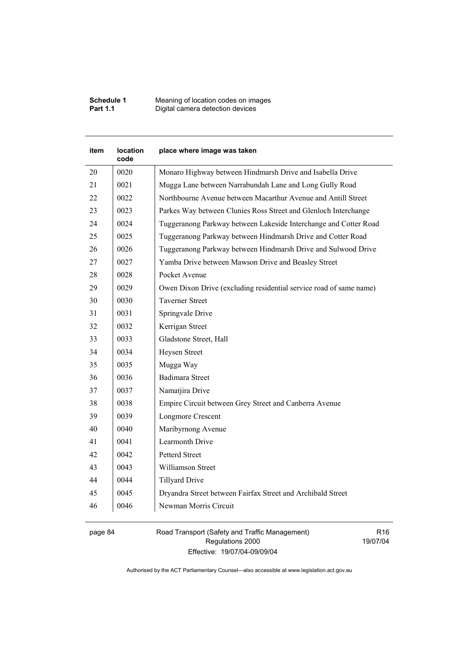| Schedule 1      | Meaning of location codes on images |
|-----------------|-------------------------------------|
| <b>Part 1.1</b> | Digital camera detection devices    |

| item | location<br>code | place where image was taken                                        |
|------|------------------|--------------------------------------------------------------------|
| 20   | 0020             | Monaro Highway between Hindmarsh Drive and Isabella Drive          |
| 21   | 0021             | Mugga Lane between Narrabundah Lane and Long Gully Road            |
| 22   | 0022             | Northbourne Avenue between Macarthur Avenue and Antill Street      |
| 23   | 0023             | Parkes Way between Clunies Ross Street and Glenloch Interchange    |
| 24   | 0024             | Tuggeranong Parkway between Lakeside Interchange and Cotter Road   |
| 25   | 0025             | Tuggeranong Parkway between Hindmarsh Drive and Cotter Road        |
| 26   | 0026             | Tuggeranong Parkway between Hindmarsh Drive and Sulwood Drive      |
| 27   | 0027             | Yamba Drive between Mawson Drive and Beasley Street                |
| 28   | 0028             | Pocket Avenue                                                      |
| 29   | 0029             | Owen Dixon Drive (excluding residential service road of same name) |
| 30   | 0030             | <b>Taverner Street</b>                                             |
| 31   | 0031             | Springvale Drive                                                   |
| 32   | 0032             | Kerrigan Street                                                    |
| 33   | 0033             | Gladstone Street, Hall                                             |
| 34   | 0034             | Heysen Street                                                      |
| 35   | 0035             | Mugga Way                                                          |
| 36   | 0036             | <b>Badimara Street</b>                                             |
| 37   | 0037             | Namatjira Drive                                                    |
| 38   | 0038             | Empire Circuit between Grey Street and Canberra Avenue             |
| 39   | 0039             | Longmore Crescent                                                  |
| 40   | 0040             | Maribyrnong Avenue                                                 |
| 41   | 0041             | Learmonth Drive                                                    |
| 42   | 0042             | <b>Petterd Street</b>                                              |
| 43   | 0043             | Williamson Street                                                  |
| 44   | 0044             | <b>Tillyard Drive</b>                                              |
| 45   | 0045             | Dryandra Street between Fairfax Street and Archibald Street        |
| 46   | 0046             | Newman Morris Circuit                                              |

page 84 Road Transport (Safety and Traffic Management) Regulations 2000 Effective: 19/07/04-09/09/04

R16 19/07/04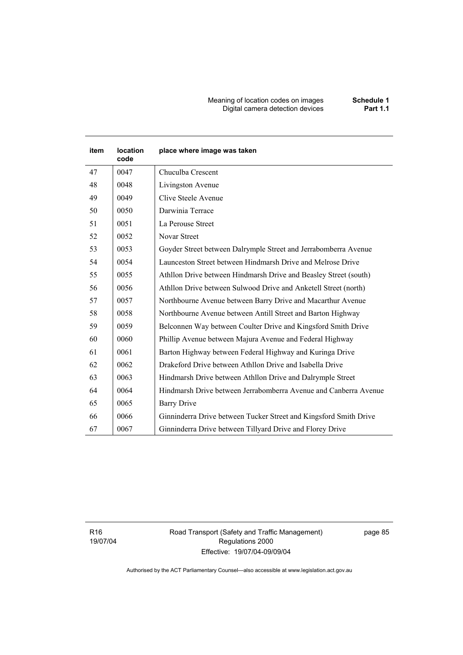#### Meaning of location codes on images **Schedule 1**  Digital camera detection devices **Part 1.1**

| item | <b>location</b><br>code | place where image was taken                                       |
|------|-------------------------|-------------------------------------------------------------------|
| 47   | 0047                    | Chuculba Crescent                                                 |
| 48   | 0048                    | Livingston Avenue                                                 |
| 49   | 0049                    | Clive Steele Avenue                                               |
| 50   | 0050                    | Darwinia Terrace                                                  |
| 51   | 0051                    | La Perouse Street                                                 |
| 52   | 0052                    | Novar Street                                                      |
| 53   | 0053                    | Goyder Street between Dalrymple Street and Jerrabomberra Avenue   |
| 54   | 0054                    | Launceston Street between Hindmarsh Drive and Melrose Drive       |
| 55   | 0055                    | Athllon Drive between Hindmarsh Drive and Beasley Street (south)  |
| 56   | 0056                    | Athllon Drive between Sulwood Drive and Anketell Street (north)   |
| 57   | 0057                    | Northbourne Avenue between Barry Drive and Macarthur Avenue       |
| 58   | 0058                    | Northbourne Avenue between Antill Street and Barton Highway       |
| 59   | 0059                    | Belconnen Way between Coulter Drive and Kingsford Smith Drive     |
| 60   | 0060                    | Phillip Avenue between Majura Avenue and Federal Highway          |
| 61   | 0061                    | Barton Highway between Federal Highway and Kuringa Drive          |
| 62   | 0062                    | Drakeford Drive between Athllon Drive and Isabella Drive          |
| 63   | 0063                    | Hindmarsh Drive between Athllon Drive and Dalrymple Street        |
| 64   | 0064                    | Hindmarsh Drive between Jerrabomberra Avenue and Canberra Avenue  |
| 65   | 0065                    | <b>Barry Drive</b>                                                |
| 66   | 0066                    | Ginninderra Drive between Tucker Street and Kingsford Smith Drive |
| 67   | 0067                    | Ginninderra Drive between Tillyard Drive and Florey Drive         |

R16 19/07/04 Road Transport (Safety and Traffic Management) Regulations 2000 Effective: 19/07/04-09/09/04

page 85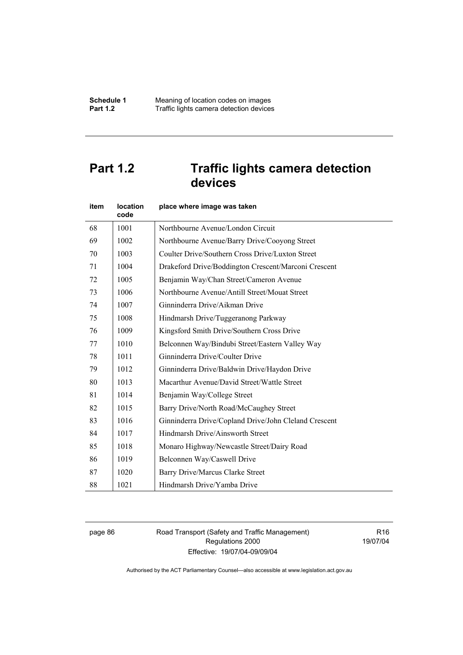## **Part 1.2 Traffic lights camera detection devices**

| item | location<br>code | place where image was taken                           |
|------|------------------|-------------------------------------------------------|
| 68   | 1001             | Northbourne Avenue/London Circuit                     |
| 69   | 1002             | Northbourne Avenue/Barry Drive/Cooyong Street         |
| 70   | 1003             | Coulter Drive/Southern Cross Drive/Luxton Street      |
| 71   | 1004             | Drakeford Drive/Boddington Crescent/Marconi Crescent  |
| 72   | 1005             | Benjamin Way/Chan Street/Cameron Avenue               |
| 73   | 1006             | Northbourne Avenue/Antill Street/Mouat Street         |
| 74   | 1007             | Ginninderra Drive/Aikman Drive                        |
| 75   | 1008             | Hindmarsh Drive/Tuggeranong Parkway                   |
| 76   | 1009             | Kingsford Smith Drive/Southern Cross Drive            |
| 77   | 1010             | Belconnen Way/Bindubi Street/Eastern Valley Way       |
| 78   | 1011             | Ginninderra Drive/Coulter Drive                       |
| 79   | 1012             | Ginninderra Drive/Baldwin Drive/Haydon Drive          |
| 80   | 1013             | Macarthur Avenue/David Street/Wattle Street           |
| 81   | 1014             | Benjamin Way/College Street                           |
| 82   | 1015             | Barry Drive/North Road/McCaughey Street               |
| 83   | 1016             | Ginninderra Drive/Copland Drive/John Cleland Crescent |
| 84   | 1017             | Hindmarsh Drive/Ainsworth Street                      |
| 85   | 1018             | Monaro Highway/Newcastle Street/Dairy Road            |
| 86   | 1019             | Belconnen Way/Caswell Drive                           |
| 87   | 1020             | Barry Drive/Marcus Clarke Street                      |
| 88   | 1021             | Hindmarsh Drive/Yamba Drive                           |

page 86 Road Transport (Safety and Traffic Management) Regulations 2000 Effective: 19/07/04-09/09/04

R16 19/07/04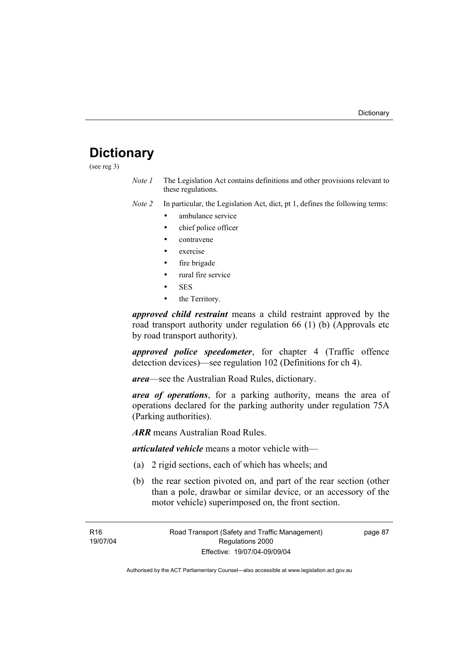## **Dictionary**

(see reg 3)

*Note 1* The Legislation Act contains definitions and other provisions relevant to these regulations.

*Note 2* In particular, the Legislation Act, dict, pt 1, defines the following terms:

- ambulance service
- chief police officer
- contravene
- exercise
- fire brigade
- rural fire service
- SES
- the Territory.

*approved child restraint* means a child restraint approved by the road transport authority under regulation 66 (1) (b) (Approvals etc by road transport authority).

*approved police speedometer*, for chapter 4 (Traffic offence detection devices)—see regulation 102 (Definitions for ch 4).

*area*—see the Australian Road Rules, dictionary.

*area of operations*, for a parking authority, means the area of operations declared for the parking authority under regulation 75A (Parking authorities).

*ARR* means Australian Road Rules.

*articulated vehicle* means a motor vehicle with—

- (a) 2 rigid sections, each of which has wheels; and
- (b) the rear section pivoted on, and part of the rear section (other than a pole, drawbar or similar device, or an accessory of the motor vehicle) superimposed on, the front section.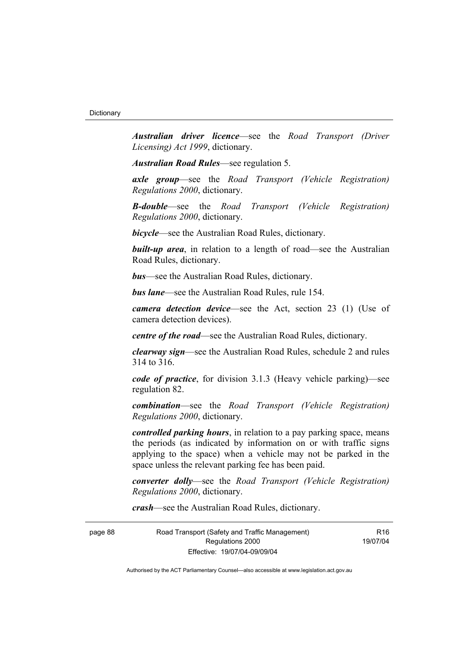*Australian driver licence*—see the *Road Transport (Driver Licensing) Act 1999*, dictionary.

*Australian Road Rules*—see regulation 5.

*axle group*—see the *Road Transport (Vehicle Registration) Regulations 2000*, dictionary.

*B-double*—see the *Road Transport (Vehicle Registration) Regulations 2000*, dictionary.

*bicycle*—see the Australian Road Rules, dictionary.

**built-up area**, in relation to a length of road—see the Australian Road Rules, dictionary.

*bus*—see the Australian Road Rules, dictionary.

*bus lane*—see the Australian Road Rules, rule 154.

*camera detection device*—see the Act, section 23 (1) (Use of camera detection devices).

*centre of the road*—see the Australian Road Rules, dictionary.

*clearway sign*—see the Australian Road Rules, schedule 2 and rules 314 to 316.

*code of practice*, for division 3.1.3 (Heavy vehicle parking)—see regulation 82.

*combination*—see the *Road Transport (Vehicle Registration) Regulations 2000*, dictionary.

*controlled parking hours*, in relation to a pay parking space, means the periods (as indicated by information on or with traffic signs applying to the space) when a vehicle may not be parked in the space unless the relevant parking fee has been paid.

*converter dolly*—see the *Road Transport (Vehicle Registration) Regulations 2000*, dictionary.

*crash*—see the Australian Road Rules, dictionary.

page 88 Road Transport (Safety and Traffic Management) Regulations 2000 Effective: 19/07/04-09/09/04

R16 19/07/04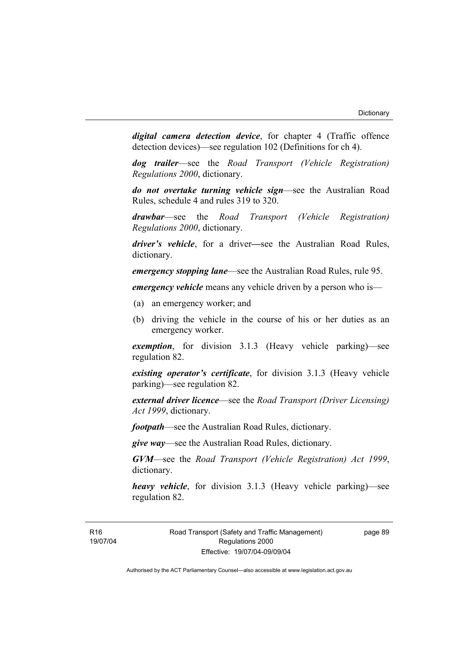*digital camera detection device*, for chapter 4 (Traffic offence detection devices)—see regulation 102 (Definitions for ch 4).

*dog trailer*—see the *Road Transport (Vehicle Registration) Regulations 2000*, dictionary.

*do not overtake turning vehicle sign*—see the Australian Road Rules, schedule 4 and rules 319 to 320.

*drawbar*—see the *Road Transport (Vehicle Registration) Regulations 2000*, dictionary.

*driver's vehicle*, for a driver*—*see the Australian Road Rules, dictionary.

*emergency stopping lane*—see the Australian Road Rules, rule 95.

*emergency vehicle* means any vehicle driven by a person who is—

- (a) an emergency worker; and
- (b) driving the vehicle in the course of his or her duties as an emergency worker.

*exemption*, for division 3.1.3 (Heavy vehicle parking)—see regulation 82.

*existing operator's certificate*, for division 3.1.3 (Heavy vehicle parking)—see regulation 82.

*external driver licence*—see the *Road Transport (Driver Licensing) Act 1999*, dictionary.

*footpath*—see the Australian Road Rules, dictionary.

*give way*—see the Australian Road Rules, dictionary.

*GVM*—see the *Road Transport (Vehicle Registration) Act 1999*, dictionary.

*heavy vehicle*, for division 3.1.3 (Heavy vehicle parking)—see regulation 82.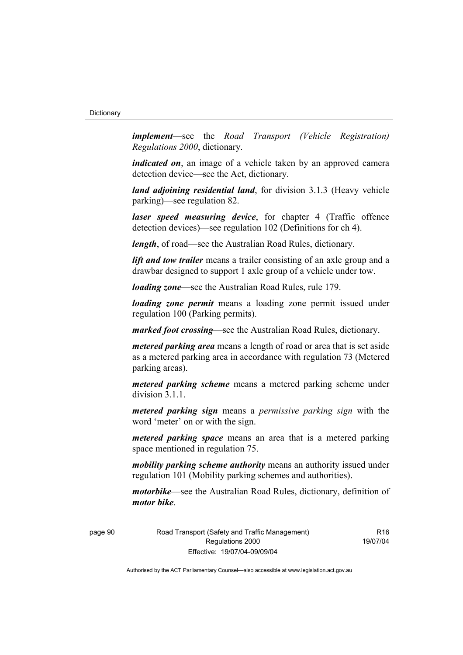*implement*—see the *Road Transport (Vehicle Registration) Regulations 2000*, dictionary.

*indicated on*, an image of a vehicle taken by an approved camera detection device—see the Act, dictionary.

*land adjoining residential land*, for division 3.1.3 (Heavy vehicle parking)—see regulation 82.

*laser speed measuring device*, for chapter 4 (Traffic offence detection devices)—see regulation 102 (Definitions for ch 4).

*length*, of road—see the Australian Road Rules, dictionary.

*lift and tow trailer* means a trailer consisting of an axle group and a drawbar designed to support 1 axle group of a vehicle under tow.

*loading zone*—see the Australian Road Rules, rule 179.

*loading zone permit* means a loading zone permit issued under regulation 100 (Parking permits).

*marked foot crossing*—see the Australian Road Rules, dictionary.

*metered parking area* means a length of road or area that is set aside as a metered parking area in accordance with regulation 73 (Metered parking areas).

*metered parking scheme* means a metered parking scheme under division 3.1.1.

*metered parking sign* means a *permissive parking sign* with the word 'meter' on or with the sign.

*metered parking space* means an area that is a metered parking space mentioned in regulation 75.

*mobility parking scheme authority* means an authority issued under regulation 101 (Mobility parking schemes and authorities).

*motorbike*—see the Australian Road Rules, dictionary, definition of *motor bike*.

page 90 Road Transport (Safety and Traffic Management) Regulations 2000 Effective: 19/07/04-09/09/04

R<sub>16</sub> 19/07/04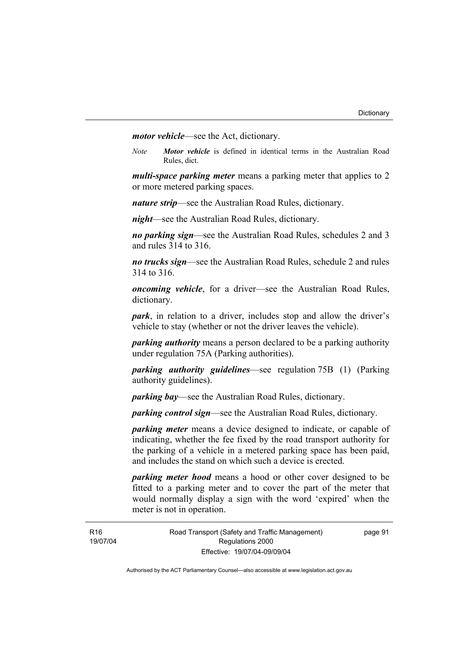*motor vehicle*—see the Act, dictionary.

*Note Motor vehicle* is defined in identical terms in the Australian Road Rules, dict.

*multi-space parking meter* means a parking meter that applies to 2 or more metered parking spaces.

*nature strip*—see the Australian Road Rules, dictionary.

*night*—see the Australian Road Rules, dictionary.

*no parking sign*—see the Australian Road Rules, schedules 2 and 3 and rules 314 to 316.

*no trucks sign*—see the Australian Road Rules, schedule 2 and rules 314 to 316.

*oncoming vehicle*, for a driver—see the Australian Road Rules, dictionary.

*park*, in relation to a driver, includes stop and allow the driver's vehicle to stay (whether or not the driver leaves the vehicle).

*parking authority* means a person declared to be a parking authority under regulation 75A (Parking authorities).

*parking authority guidelines*—see regulation 75B (1) (Parking authority guidelines).

*parking bay*—see the Australian Road Rules, dictionary.

*parking control sign*—see the Australian Road Rules, dictionary.

*parking meter* means a device designed to indicate, or capable of indicating, whether the fee fixed by the road transport authority for the parking of a vehicle in a metered parking space has been paid, and includes the stand on which such a device is erected.

*parking meter hood* means a hood or other cover designed to be fitted to a parking meter and to cover the part of the meter that would normally display a sign with the word 'expired' when the meter is not in operation.

**R16** 19/07/04 page 91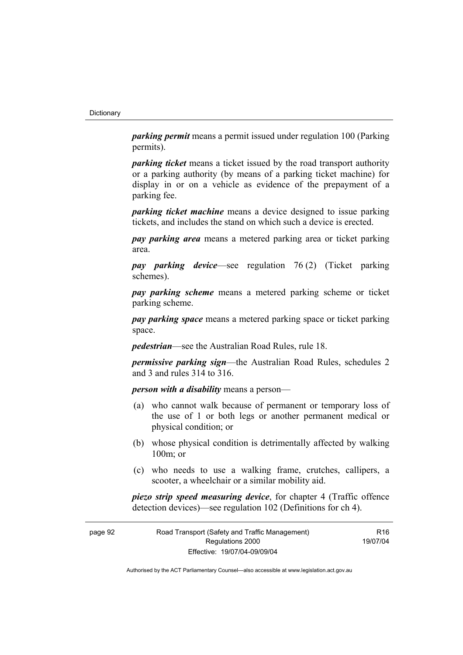*parking permit* means a permit issued under regulation 100 (Parking permits).

*parking ticket* means a ticket issued by the road transport authority or a parking authority (by means of a parking ticket machine) for display in or on a vehicle as evidence of the prepayment of a parking fee.

*parking ticket machine* means a device designed to issue parking tickets, and includes the stand on which such a device is erected.

*pay parking area* means a metered parking area or ticket parking area.

*pay parking device*—see regulation 76 (2) (Ticket parking schemes).

*pay parking scheme* means a metered parking scheme or ticket parking scheme.

*pay parking space* means a metered parking space or ticket parking space.

*pedestrian*—see the Australian Road Rules, rule 18.

*permissive parking sign*—the Australian Road Rules, schedules 2 and 3 and rules 314 to 316.

*person with a disability* means a person—

- (a) who cannot walk because of permanent or temporary loss of the use of 1 or both legs or another permanent medical or physical condition; or
- (b) whose physical condition is detrimentally affected by walking 100m; or
- (c) who needs to use a walking frame, crutches, callipers, a scooter, a wheelchair or a similar mobility aid.

*piezo strip speed measuring device*, for chapter 4 (Traffic offence detection devices)—see regulation 102 (Definitions for ch 4).

| page 92 | Road Transport (Safety and Traffic Management) | R <sub>16</sub> |
|---------|------------------------------------------------|-----------------|
|         | Regulations 2000                               | 19/07/04        |
|         | Effective: 19/07/04-09/09/04                   |                 |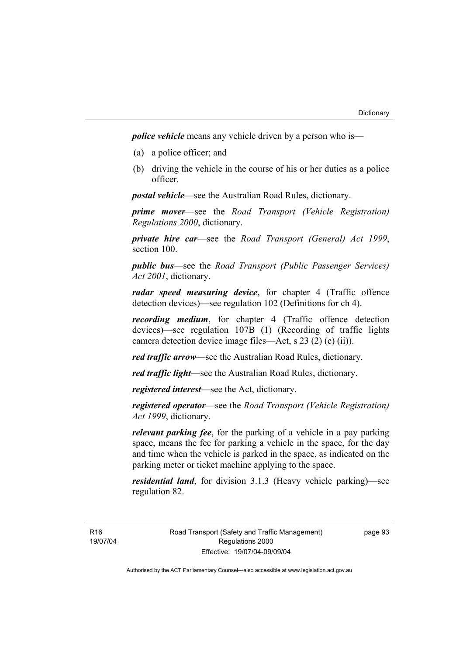*police vehicle* means any vehicle driven by a person who is—

- (a) a police officer; and
- (b) driving the vehicle in the course of his or her duties as a police officer.

*postal vehicle*—see the Australian Road Rules, dictionary.

*prime mover*—see the *Road Transport (Vehicle Registration) Regulations 2000*, dictionary.

*private hire car*—see the *Road Transport (General) Act 1999*, section 100.

*public bus*—see the *Road Transport (Public Passenger Services) Act 2001*, dictionary.

*radar speed measuring device*, for chapter 4 (Traffic offence detection devices)—see regulation 102 (Definitions for ch 4).

*recording medium*, for chapter 4 (Traffic offence detection devices)—see regulation 107B (1) (Recording of traffic lights camera detection device image files—Act, s 23 (2) (c) (ii)).

*red traffic arrow*—see the Australian Road Rules, dictionary.

*red traffic light*—see the Australian Road Rules, dictionary.

*registered interest*—see the Act, dictionary.

*registered operator*—see the *Road Transport (Vehicle Registration) Act 1999*, dictionary.

*relevant parking fee*, for the parking of a vehicle in a pay parking space, means the fee for parking a vehicle in the space, for the day and time when the vehicle is parked in the space, as indicated on the parking meter or ticket machine applying to the space.

*residential land*, for division 3.1.3 (Heavy vehicle parking)—see regulation 82.

R16 19/07/04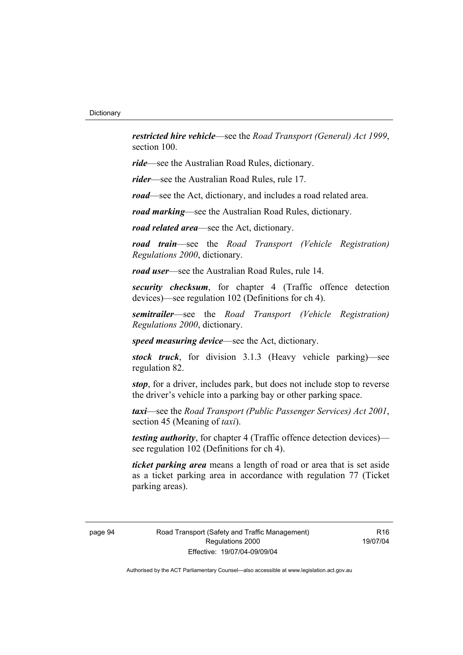*restricted hire vehicle*—see the *Road Transport (General) Act 1999*, section 100.

*ride*—see the Australian Road Rules, dictionary.

*rider*—see the Australian Road Rules, rule 17.

*road*—see the Act, dictionary, and includes a road related area.

*road marking*—see the Australian Road Rules, dictionary.

*road related area*—see the Act, dictionary.

*road train*—see the *Road Transport (Vehicle Registration) Regulations 2000*, dictionary.

*road user*—see the Australian Road Rules, rule 14.

*security checksum*, for chapter 4 (Traffic offence detection devices)—see regulation 102 (Definitions for ch 4).

*semitrailer*—see the *Road Transport (Vehicle Registration) Regulations 2000*, dictionary.

*speed measuring device*—see the Act, dictionary.

*stock truck*, for division 3.1.3 (Heavy vehicle parking)—see regulation 82.

*stop*, for a driver, includes park, but does not include stop to reverse the driver's vehicle into a parking bay or other parking space.

*taxi*—see the *Road Transport (Public Passenger Services) Act 2001*, section 45 (Meaning of *taxi*).

*testing authority*, for chapter 4 (Traffic offence detection devices) see regulation 102 (Definitions for ch 4).

*ticket parking area* means a length of road or area that is set aside as a ticket parking area in accordance with regulation 77 (Ticket parking areas).

page 94 Road Transport (Safety and Traffic Management) Regulations 2000 Effective: 19/07/04-09/09/04

R16 19/07/04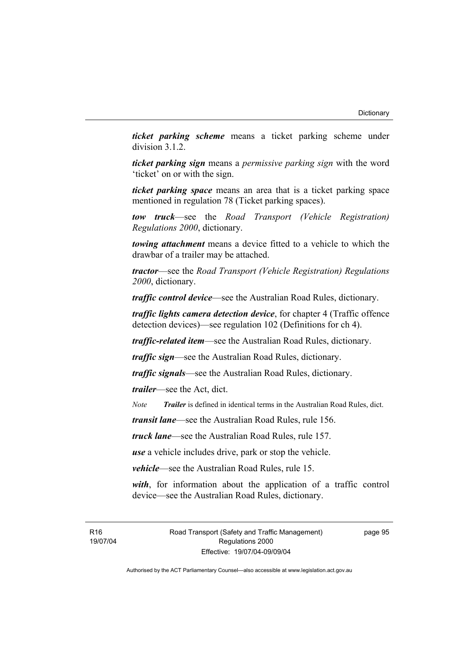*ticket parking scheme* means a ticket parking scheme under division 3.1.2.

*ticket parking sign* means a *permissive parking sign* with the word 'ticket' on or with the sign.

*ticket parking space* means an area that is a ticket parking space mentioned in regulation 78 (Ticket parking spaces).

*tow truck*—see the *Road Transport (Vehicle Registration) Regulations 2000*, dictionary.

*towing attachment* means a device fitted to a vehicle to which the drawbar of a trailer may be attached.

*tractor*—see the *Road Transport (Vehicle Registration) Regulations 2000*, dictionary.

*traffic control device*—see the Australian Road Rules, dictionary.

*traffic lights camera detection device*, for chapter 4 (Traffic offence detection devices)—see regulation 102 (Definitions for ch 4).

*traffic-related item*—see the Australian Road Rules, dictionary.

*traffic sign*—see the Australian Road Rules, dictionary.

*traffic signals*—see the Australian Road Rules, dictionary.

*trailer*—see the Act, dict.

*Note Trailer* is defined in identical terms in the Australian Road Rules, dict.

*transit lane*—see the Australian Road Rules, rule 156.

*truck lane*—see the Australian Road Rules, rule 157.

*use* a vehicle includes drive, park or stop the vehicle.

*vehicle*—see the Australian Road Rules, rule 15.

*with*, for information about the application of a traffic control device—see the Australian Road Rules, dictionary.

R16 19/07/04 Road Transport (Safety and Traffic Management) Regulations 2000 Effective: 19/07/04-09/09/04

page 95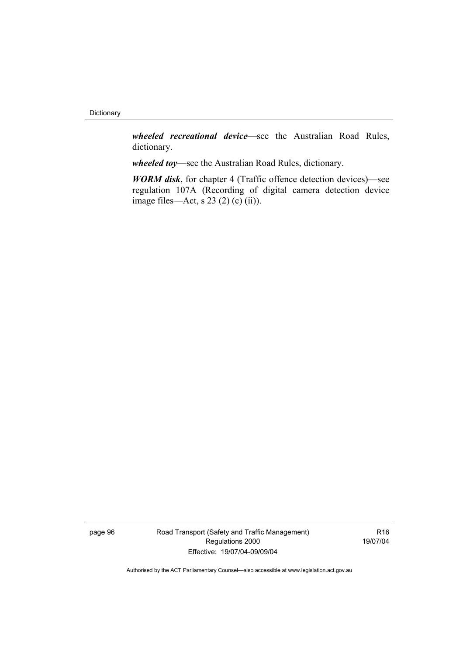*wheeled recreational device*—see the Australian Road Rules, dictionary.

*wheeled toy*—see the Australian Road Rules, dictionary.

*WORM disk*, for chapter 4 (Traffic offence detection devices)—see regulation 107A (Recording of digital camera detection device image files—Act, s  $23(2)(c)(ii)$ .

page 96 Road Transport (Safety and Traffic Management) Regulations 2000 Effective: 19/07/04-09/09/04

R16 19/07/04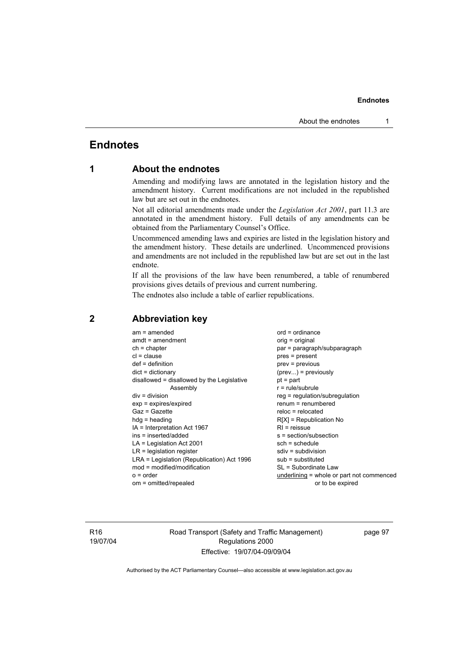#### **Endnotes**

## **Endnotes**

## **1 About the endnotes**

Amending and modifying laws are annotated in the legislation history and the amendment history. Current modifications are not included in the republished law but are set out in the endnotes.

Not all editorial amendments made under the *Legislation Act 2001*, part 11.3 are annotated in the amendment history. Full details of any amendments can be obtained from the Parliamentary Counsel's Office.

Uncommenced amending laws and expiries are listed in the legislation history and the amendment history. These details are underlined. Uncommenced provisions and amendments are not included in the republished law but are set out in the last endnote.

If all the provisions of the law have been renumbered, a table of renumbered provisions gives details of previous and current numbering.

The endnotes also include a table of earlier republications.

| $am = amended$<br>$amdt = amendment$<br>$ch = chapter$<br>$cl = clause$<br>$def = definition$<br>$dict = dictionary$<br>disallowed = disallowed by the Legislative<br>Assembly<br>$div = division$<br>$exp = expires/expired$<br>$Gaz = Gazette$<br>$hda =$ heading<br>IA = Interpretation Act 1967<br>ins = inserted/added<br>$LA =$ Legislation Act 2001<br>$LR =$ legislation register<br>LRA = Legislation (Republication) Act 1996<br>mod = modified/modification<br>$o = order$ | $ord = ordinance$<br>orig = original<br>par = paragraph/subparagraph<br>$pres = present$<br>prev = previous<br>$(\text{prev})$ = previously<br>$pt = part$<br>$r = rule/subrule$<br>reg = regulation/subregulation<br>$renum = renumbered$<br>$reloc = relocated$<br>$R[X]$ = Republication No<br>$RI = reissue$<br>$s = section/subsection$<br>$sch = schedule$<br>$sdiv = subdivision$<br>$sub =$ substituted<br>SL = Subordinate Law<br>underlining = whole or part not commenced |
|---------------------------------------------------------------------------------------------------------------------------------------------------------------------------------------------------------------------------------------------------------------------------------------------------------------------------------------------------------------------------------------------------------------------------------------------------------------------------------------|--------------------------------------------------------------------------------------------------------------------------------------------------------------------------------------------------------------------------------------------------------------------------------------------------------------------------------------------------------------------------------------------------------------------------------------------------------------------------------------|
| om = omitted/repealed                                                                                                                                                                                                                                                                                                                                                                                                                                                                 | or to be expired                                                                                                                                                                                                                                                                                                                                                                                                                                                                     |
|                                                                                                                                                                                                                                                                                                                                                                                                                                                                                       |                                                                                                                                                                                                                                                                                                                                                                                                                                                                                      |

### **2 Abbreviation key**

R16 19/07/04 Road Transport (Safety and Traffic Management) Regulations 2000 Effective: 19/07/04-09/09/04

page 97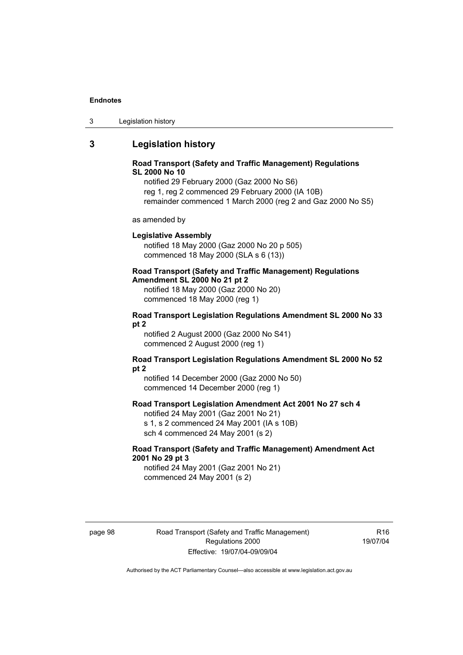#### **Endnotes**

## **3 Legislation history**

#### **Road Transport (Safety and Traffic Management) Regulations SL 2000 No 10**

notified 29 February 2000 (Gaz 2000 No S6) reg 1, reg 2 commenced 29 February 2000 (IA 10B) remainder commenced 1 March 2000 (reg 2 and Gaz 2000 No S5)

as amended by

#### **Legislative Assembly**

notified 18 May 2000 (Gaz 2000 No 20 p 505) commenced 18 May 2000 (SLA s 6 (13))

## **Road Transport (Safety and Traffic Management) Regulations**

**Amendment SL 2000 No 21 pt 2** 

notified 18 May 2000 (Gaz 2000 No 20) commenced 18 May 2000 (reg 1)

#### **Road Transport Legislation Regulations Amendment SL 2000 No 33 pt 2**

notified 2 August 2000 (Gaz 2000 No S41) commenced 2 August 2000 (reg 1)

#### **Road Transport Legislation Regulations Amendment SL 2000 No 52 pt 2**

notified 14 December 2000 (Gaz 2000 No 50) commenced 14 December 2000 (reg 1)

#### **Road Transport Legislation Amendment Act 2001 No 27 sch 4**

notified 24 May 2001 (Gaz 2001 No 21) s 1, s 2 commenced 24 May 2001 (IA s 10B) sch 4 commenced 24 May 2001 (s 2)

#### **Road Transport (Safety and Traffic Management) Amendment Act 2001 No 29 pt 3**

notified 24 May 2001 (Gaz 2001 No 21) commenced 24 May 2001 (s 2)

page 98 Road Transport (Safety and Traffic Management) Regulations 2000 Effective: 19/07/04-09/09/04

R16 19/07/04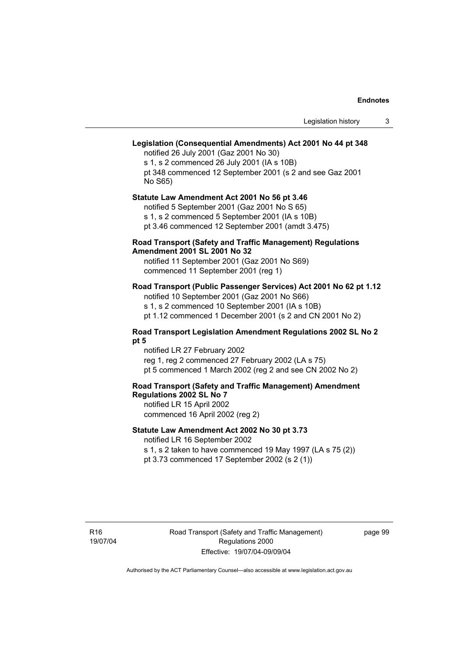# **Legislation (Consequential Amendments) Act 2001 No 44 pt 348**

notified 26 July 2001 (Gaz 2001 No 30) s 1, s 2 commenced 26 July 2001 (IA s 10B) pt 348 commenced 12 September 2001 (s 2 and see Gaz 2001 No S65)

# **Statute Law Amendment Act 2001 No 56 pt 3.46**

notified 5 September 2001 (Gaz 2001 No S 65) s 1, s 2 commenced 5 September 2001 (IA s 10B)

pt 3.46 commenced 12 September 2001 (amdt 3.475)

## **Road Transport (Safety and Traffic Management) Regulations Amendment 2001 SL 2001 No 32**

notified 11 September 2001 (Gaz 2001 No S69) commenced 11 September 2001 (reg 1)

## **Road Transport (Public Passenger Services) Act 2001 No 62 pt 1.12**

notified 10 September 2001 (Gaz 2001 No S66) s 1, s 2 commenced 10 September 2001 (IA s 10B) pt 1.12 commenced 1 December 2001 (s 2 and CN 2001 No 2)

### **Road Transport Legislation Amendment Regulations 2002 SL No 2 pt 5**

notified LR 27 February 2002 reg 1, reg 2 commenced 27 February 2002 (LA s 75) pt 5 commenced 1 March 2002 (reg 2 and see CN 2002 No 2)

# **Road Transport (Safety and Traffic Management) Amendment Regulations 2002 SL No 7**

notified LR 15 April 2002 commenced 16 April 2002 (reg 2)

### **Statute Law Amendment Act 2002 No 30 pt 3.73**

notified LR 16 September 2002

s 1, s 2 taken to have commenced 19 May 1997 (LA s 75 (2)) pt 3.73 commenced 17 September 2002 (s 2 (1))

page 99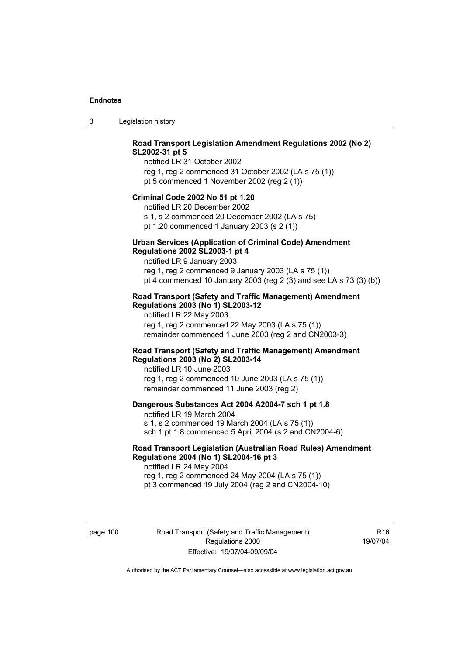3 Legislation history

# **Road Transport Legislation Amendment Regulations 2002 (No 2) SL2002-31 pt 5**

notified LR 31 October 2002 reg 1, reg 2 commenced 31 October 2002 (LA s 75 (1)) pt 5 commenced 1 November 2002 (reg 2 (1))

### **Criminal Code 2002 No 51 pt 1.20**

notified LR 20 December 2002 s 1, s 2 commenced 20 December 2002 (LA s 75) pt 1.20 commenced 1 January 2003 (s 2 (1))

#### **Urban Services (Application of Criminal Code) Amendment Regulations 2002 SL2003-1 pt 4**

notified LR 9 January 2003 reg 1, reg 2 commenced 9 January 2003 (LA s 75 (1)) pt 4 commenced 10 January 2003 (reg 2 (3) and see LA s 73 (3) (b))

### **Road Transport (Safety and Traffic Management) Amendment Regulations 2003 (No 1) SL2003-12**

notified LR 22 May 2003 reg 1, reg 2 commenced 22 May 2003 (LA s 75 (1)) remainder commenced 1 June 2003 (reg 2 and CN2003-3)

### **Road Transport (Safety and Traffic Management) Amendment Regulations 2003 (No 2) SL2003-14**

notified LR 10 June 2003 reg 1, reg 2 commenced 10 June 2003 (LA s 75 (1)) remainder commenced 11 June 2003 (reg 2)

### **Dangerous Substances Act 2004 A2004-7 sch 1 pt 1.8**

notified LR 19 March 2004 s 1, s 2 commenced 19 March 2004 (LA s 75 (1)) sch 1 pt 1.8 commenced 5 April 2004 (s 2 and CN2004-6)

# **Road Transport Legislation (Australian Road Rules) Amendment Regulations 2004 (No 1) SL2004-16 pt 3**

notified LR 24 May 2004 reg 1, reg 2 commenced 24 May 2004 (LA s 75 (1)) pt 3 commenced 19 July 2004 (reg 2 and CN2004-10)

page 100 Road Transport (Safety and Traffic Management) Regulations 2000 Effective: 19/07/04-09/09/04

R16 19/07/04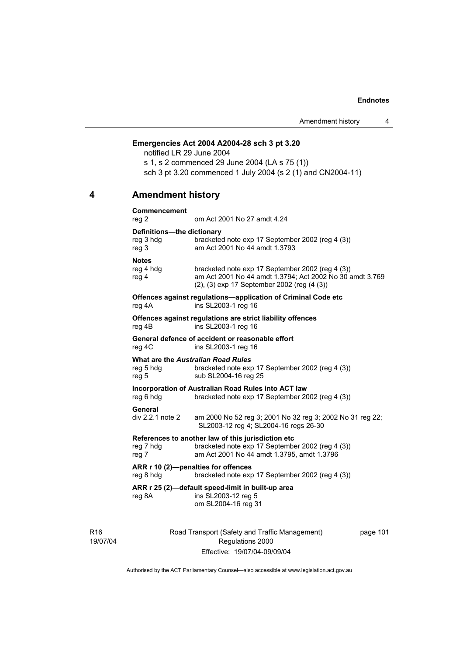# **Emergencies Act 2004 A2004-28 sch 3 pt 3.20**

notified LR 29 June 2004 s 1, s 2 commenced 29 June 2004 (LA s 75 (1)) sch 3 pt 3.20 commenced 1 July 2004 (s 2 (1) and CN2004-11)

# **4 Amendment history**

| <b>Commencement</b><br>reg 2                     | om Act 2001 No 27 amdt 4.24                                                                                                                                 |
|--------------------------------------------------|-------------------------------------------------------------------------------------------------------------------------------------------------------------|
| Definitions-the dictionary<br>reg 3 hdg<br>reg 3 | bracketed note exp 17 September 2002 (reg 4 (3))<br>am Act 2001 No 44 amdt 1.3793                                                                           |
| <b>Notes</b><br>reg 4 hdg<br>reg 4               | bracketed note exp 17 September 2002 (reg 4 (3))<br>am Act 2001 No 44 amdt 1.3794; Act 2002 No 30 amdt 3.769<br>(2), (3) exp 17 September 2002 (reg (4 (3)) |
| reg 4A                                           | Offences against regulations-application of Criminal Code etc<br>ins SL2003-1 reg 16                                                                        |
| reg 4B                                           | Offences against regulations are strict liability offences<br>ins SL2003-1 reg 16                                                                           |
| reg 4C                                           | General defence of accident or reasonable effort<br>ins SL2003-1 reg 16                                                                                     |
| reg 5 hdg<br>reg 5                               | <b>What are the Australian Road Rules</b><br>bracketed note exp 17 September 2002 (reg 4 (3))<br>sub SL2004-16 reg 25                                       |
| reg 6 hdg                                        | Incorporation of Australian Road Rules into ACT law<br>bracketed note exp 17 September 2002 (reg 4 (3))                                                     |
| General<br>div 2.2.1 note 2                      | am 2000 No 52 reg 3; 2001 No 32 reg 3; 2002 No 31 reg 22;<br>SL2003-12 reg 4; SL2004-16 regs 26-30                                                          |
| reg 7 hdg<br>reg 7                               | References to another law of this jurisdiction etc<br>bracketed note exp 17 September 2002 (reg 4 (3))<br>am Act 2001 No 44 amdt 1.3795, amdt 1.3796        |
| reg 8 hdg                                        | ARR r 10 (2)-penalties for offences<br>bracketed note exp 17 September 2002 (reg 4 (3))                                                                     |
| reg 8A                                           | ARR r 25 (2)-default speed-limit in built-up area<br>ins SL2003-12 reg 5<br>om SL2004-16 reg 31                                                             |

R16 19/07/04 Road Transport (Safety and Traffic Management) Regulations 2000 Effective: 19/07/04-09/09/04

page 101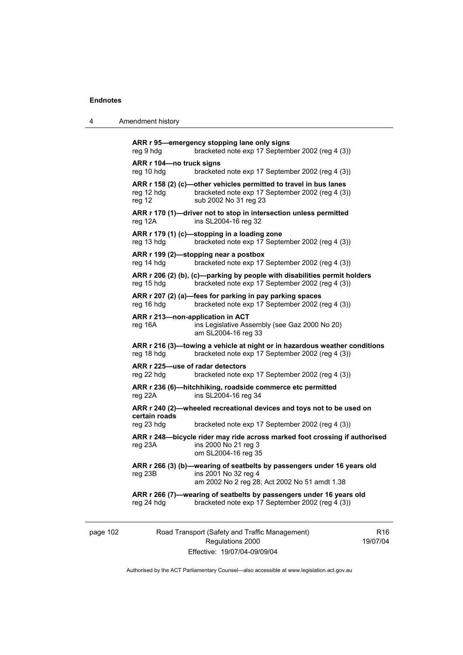| 4 | Amendment history |
|---|-------------------|
|---|-------------------|

```
ARR r 95—emergency stopping lane only signs 
reg 9 hdg bracketed note exp 17 September 2002 (reg 4 (3)) 
ARR r 104—no truck signs 
reg 10 hdg bracketed note exp 17 September 2002 (reg 4 (3)) 
ARR r 158 (2) (c)—other vehicles permitted to travel in bus lanes 
reg 12 hdg bracketed note exp 17 September 2002 (reg 4 (3))
reg 12 sub 2002 No 31 reg 23 
ARR r 170 (1)—driver not to stop in intersection unless permitted 
reg 12A ins SL2004-16 reg 32 
ARR r 179 (1) (c)—stopping in a loading zone 
reg 13 hdg bracketed note exp 17 September 2002 (reg 4 (3)) 
ARR r 199 (2)—stopping near a postbox 
reg 14 hdg bracketed note exp 17 September 2002 (reg 4 (3)) 
ARR r 206 (2) (b), (c)—parking by people with disabilities permit holders 
reg 15 hdg bracketed note exp 17 September 2002 (reg 4 (3)) 
ARR r 207 (2) (a)—fees for parking in pay parking spaces 
reg 16 hdg bracketed note exp 17 September 2002 (reg 4 (3))
ARR r 213—non-application in ACT 
reg 16A ins Legislative Assembly (see Gaz 2000 No 20) 
                  am SL2004-16 reg 33 
ARR r 216 (3)—towing a vehicle at night or in hazardous weather conditions 
reg 18 hdg bracketed note exp 17 September 2002 (reg 4 (3)) 
ARR r 225—use of radar detectors 
reg 22 hdg bracketed note exp 17 September 2002 (reg 4 (3)) 
ARR r 236 (6)—hitchhiking, roadside commerce etc permitted 
reg 22A ins SL2004-16 reg 34 
ARR r 240 (2)—wheeled recreational devices and toys not to be used on 
certain roads 
reg 23 hdg bracketed note exp 17 September 2002 (reg 4 (3)) 
ARR r 248—bicycle rider may ride across marked foot crossing if authorised 
reg 23A ins 2000 No 21 reg 3 
                  om SL2004-16 reg 35 
ARR r 266 (3) (b)—wearing of seatbelts by passengers under 16 years old 
reg 23B ins 2001 No 32 reg 4 
                  am 2002 No 2 reg 28; Act 2002 No 51 amdt 1.38 
ARR r 266 (7)—wearing of seatbelts by passengers under 16 years old 
reg 24 hdg bracketed note exp 17 September 2002 (reg 4 (3))
```
page 102 Road Transport (Safety and Traffic Management) Regulations 2000 Effective: 19/07/04-09/09/04

R16 19/07/04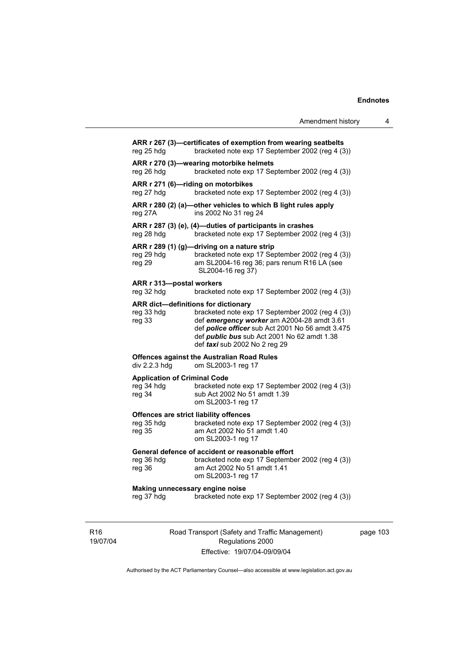| Amendment history |  |  |
|-------------------|--|--|
|-------------------|--|--|

| reg 25 hdg                                                  | ARR r 267 (3)-certificates of exemption from wearing seatbelts<br>bracketed note exp 17 September 2002 (reg 4 (3))                                                                                                                                                               |
|-------------------------------------------------------------|----------------------------------------------------------------------------------------------------------------------------------------------------------------------------------------------------------------------------------------------------------------------------------|
| reg 26 hdg                                                  | ARR r 270 (3)-wearing motorbike helmets<br>bracketed note exp 17 September 2002 (reg 4 (3))                                                                                                                                                                                      |
| reg 27 hdg                                                  | ARR r 271 (6)-riding on motorbikes<br>bracketed note exp 17 September 2002 (reg 4 (3))                                                                                                                                                                                           |
| reg 27A                                                     | ARR r 280 (2) (a)-other vehicles to which B light rules apply<br>ins 2002 No 31 reg 24                                                                                                                                                                                           |
| reg 28 hdg                                                  | ARR r 287 (3) (e), (4)-duties of participants in crashes<br>bracketed note exp 17 September 2002 (reg 4 (3))                                                                                                                                                                     |
| reg 29 hdg<br>reg 29                                        | ARR r 289 (1) (g)-driving on a nature strip<br>bracketed note exp 17 September 2002 (reg 4 (3))<br>am SL2004-16 reg 36; pars renum R16 LA (see<br>SL2004-16 reg 37)                                                                                                              |
| ARR r 313-postal workers<br>reg 32 hdg                      | bracketed note exp 17 September 2002 (reg 4 (3))                                                                                                                                                                                                                                 |
| reg 33 hdg<br>reg 33                                        | ARR dict-definitions for dictionary<br>bracketed note exp 17 September 2002 (reg 4 (3))<br>def emergency worker am A2004-28 amdt 3.61<br>def police officer sub Act 2001 No 56 amdt 3.475<br>def <i>public bus</i> sub Act 2001 No 62 amdt 1.38<br>def taxi sub 2002 No 2 reg 29 |
| div 2.2.3 hdg                                               | <b>Offences against the Australian Road Rules</b><br>om SL2003-1 reg 17                                                                                                                                                                                                          |
| <b>Application of Criminal Code</b><br>reg 34 hdg<br>reg 34 | bracketed note exp 17 September 2002 (reg 4 (3))<br>sub Act 2002 No 51 amdt 1.39<br>om SL2003-1 reg 17                                                                                                                                                                           |
| reg 35 hdg<br>reg 35                                        | Offences are strict liability offences<br>bracketed note exp 17 September 2002 (reg 4 (3))<br>am Act 2002 No 51 amdt 1.40<br>om SL2003-1 reg 17                                                                                                                                  |
| reg 36 hdg<br>reg 36                                        | General defence of accident or reasonable effort<br>bracketed note exp 17 September 2002 (reg 4 (3))<br>am Act 2002 No 51 amdt 1.41<br>om SL2003-1 reg 17                                                                                                                        |
| Making unnecessary engine noise<br>reg 37 hdg               | bracketed note exp 17 September 2002 (reg 4 (3))                                                                                                                                                                                                                                 |
|                                                             |                                                                                                                                                                                                                                                                                  |

R16 19/07/04 Road Transport (Safety and Traffic Management) Regulations 2000 Effective: 19/07/04-09/09/04

page 103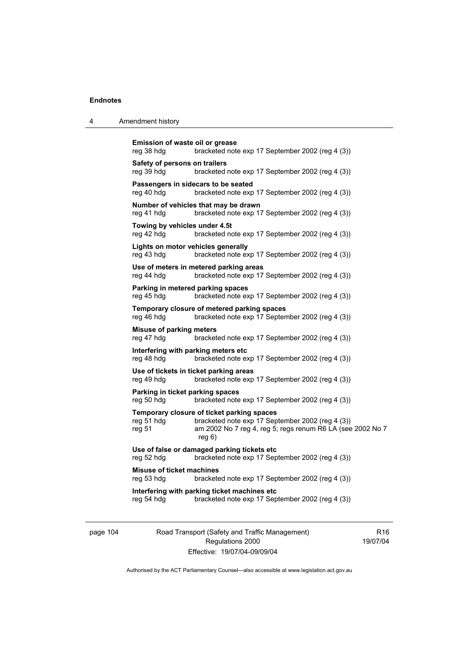|  | Amendment history |
|--|-------------------|
|--|-------------------|

```
Emission of waste oil or grease 
reg 38 hdg bracketed note exp 17 September 2002 (reg 4 (3)) 
Safety of persons on trailers 
reg 39 hdg bracketed note exp 17 September 2002 (reg 4 (3)) 
Passengers in sidecars to be seated 
reg 40 hdg bracketed note exp 17 September 2002 (reg 4 (3)) 
Number of vehicles that may be drawn 
reg 41 hdg bracketed note exp 17 September 2002 (reg 4 (3)) 
Towing by vehicles under 4.5t 
reg 42 hdg bracketed note exp 17 September 2002 (reg 4 (3)) 
Lights on motor vehicles generally 
reg 43 hdg bracketed note exp 17 September 2002 (reg 4 (3)) 
Use of meters in metered parking areas 
reg 44 hdg bracketed note exp 17 September 2002 (reg 4 (3)) 
Parking in metered parking spaces 
reg 45 hdg bracketed note exp 17 September 2002 (reg 4 (3)) 
Temporary closure of metered parking spaces 
reg 46 hdg bracketed note exp 17 September 2002 (reg 4 (3)) 
Misuse of parking meters 
reg 47 hdg bracketed note exp 17 September 2002 (reg 4 (3)) 
Interfering with parking meters etc 
reg 48 hdg bracketed note exp 17 September 2002 (reg 4 (3)) 
Use of tickets in ticket parking areas 
reg 49 hdg bracketed note exp 17 September 2002 (reg 4 (3)) 
Parking in ticket parking spaces 
reg 50 hdg bracketed note exp 17 September 2002 (reg 4 (3)) 
Temporary closure of ticket parking spaces 
reg 51 hdg bracketed note exp 17 September 2002 (reg 4 (3)) 
reg 51 am 2002 No 7 reg 4, reg 5; regs renum R6 LA (see 2002 No 7 
                  reg 6) 
Use of false or damaged parking tickets etc 
reg 52 hdg bracketed note exp 17 September 2002 (reg 4 (3)) 
Misuse of ticket machines 
reg 53 hdg bracketed note exp 17 September 2002 (reg 4 (3)) 
Interfering with parking ticket machines etc 
reg 54 hdg bracketed note exp 17 September 2002 (reg 4 (3))
```
page 104 Road Transport (Safety and Traffic Management) Regulations 2000 Effective: 19/07/04-09/09/04

R16 19/07/04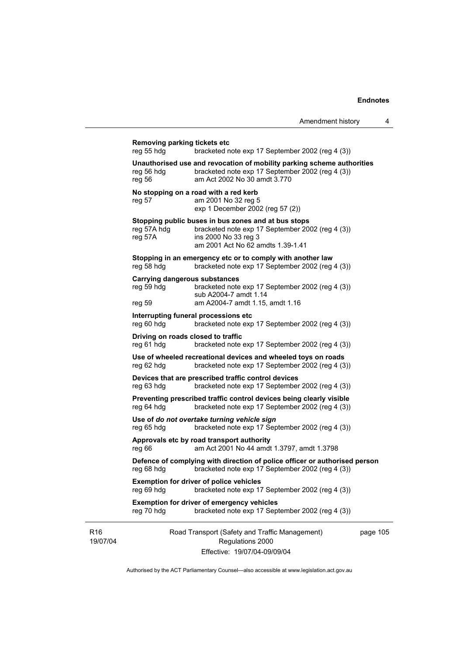|                             | Removing parking tickets etc<br>reg 55 hdg         | bracketed note exp 17 September 2002 (reg 4 (3))                                                                                                                     |          |
|-----------------------------|----------------------------------------------------|----------------------------------------------------------------------------------------------------------------------------------------------------------------------|----------|
|                             | reg 56 hdg<br>reg 56                               | Unauthorised use and revocation of mobility parking scheme authorities<br>bracketed note exp 17 September 2002 (reg 4 (3))<br>am Act 2002 No 30 amdt 3.770           |          |
|                             | reg 57                                             | No stopping on a road with a red kerb<br>am 2001 No 32 reg 5<br>exp 1 December 2002 (reg 57 (2))                                                                     |          |
|                             | reg 57A hdg<br>reg 57A                             | Stopping public buses in bus zones and at bus stops<br>bracketed note exp 17 September 2002 (reg 4 (3))<br>ins 2000 No 33 reg 3<br>am 2001 Act No 62 amdts 1.39-1.41 |          |
|                             | reg 58 hdg                                         | Stopping in an emergency etc or to comply with another law<br>bracketed note exp 17 September 2002 (reg 4 (3))                                                       |          |
|                             | <b>Carrying dangerous substances</b><br>reg 59 hdg | bracketed note exp 17 September 2002 (reg 4 (3))<br>sub A2004-7 amdt 1.14<br>am A2004-7 amdt 1.15, amdt 1.16                                                         |          |
|                             | reg 59                                             | Interrupting funeral processions etc                                                                                                                                 |          |
|                             | reg 60 hdg                                         | bracketed note exp 17 September 2002 (reg 4 (3))                                                                                                                     |          |
|                             | Driving on roads closed to traffic<br>reg 61 hdg   | bracketed note exp 17 September 2002 (reg 4 (3))                                                                                                                     |          |
|                             | reg 62 hdg                                         | Use of wheeled recreational devices and wheeled toys on roads<br>bracketed note exp 17 September 2002 (reg 4 (3))                                                    |          |
|                             | reg 63 hdg                                         | Devices that are prescribed traffic control devices<br>bracketed note exp 17 September 2002 (reg 4 (3))                                                              |          |
|                             | reg 64 hdg                                         | Preventing prescribed traffic control devices being clearly visible<br>bracketed note exp 17 September 2002 (reg 4 (3))                                              |          |
|                             | reg 65 hdg                                         | Use of do not overtake turning vehicle sign<br>bracketed note exp 17 September 2002 (reg 4 (3))                                                                      |          |
|                             | reg 66                                             | Approvals etc by road transport authority<br>am Act 2001 No 44 amdt 1.3797, amdt 1.3798                                                                              |          |
|                             | reg 68 hdg                                         | Defence of complying with direction of police officer or authorised person<br>bracketed note exp 17 September 2002 (reg 4 (3))                                       |          |
|                             | reg 69 hdg                                         | <b>Exemption for driver of police vehicles</b><br>bracketed note exp 17 September 2002 (reg 4 (3))                                                                   |          |
|                             | reg 70 hdg                                         | <b>Exemption for driver of emergency vehicles</b><br>bracketed note exp 17 September 2002 (reg 4 (3))                                                                |          |
| R <sub>16</sub><br>19/07/04 |                                                    | Road Transport (Safety and Traffic Management)<br>Regulations 2000<br>Effective: 19/07/04-09/09/04                                                                   | page 105 |

Authorised by the ACT Parliamentary Counsel—also accessible at www.legislation.act.gov.au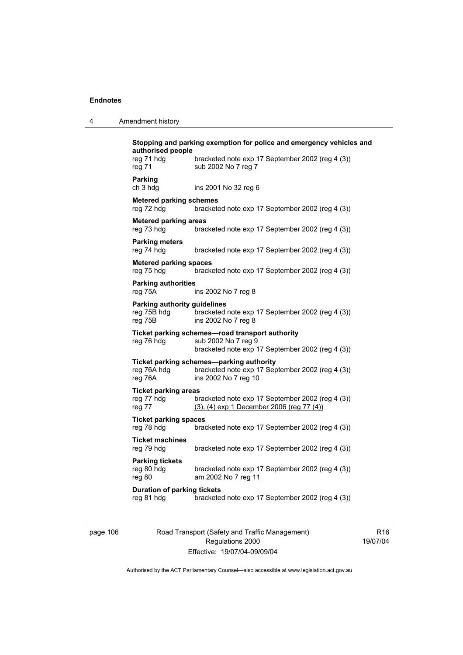| Amendment history |
|-------------------|
|                   |

| Stopping and parking exemption for police and emergency vehicles and<br>authorised people |                                                                                                                            |  |
|-------------------------------------------------------------------------------------------|----------------------------------------------------------------------------------------------------------------------------|--|
| reg 71 hdg<br>reg 71                                                                      | bracketed note exp 17 September 2002 (reg 4 (3))<br>sub 2002 No 7 reg 7                                                    |  |
| <b>Parking</b><br>ch 3 hda                                                                | ins 2001 No 32 reg 6                                                                                                       |  |
| <b>Metered parking schemes</b><br>reg 72 hdg                                              | bracketed note exp 17 September 2002 (reg 4 (3))                                                                           |  |
| <b>Metered parking areas</b><br>reg 73 hdg                                                | bracketed note exp 17 September 2002 (reg 4 (3))                                                                           |  |
| <b>Parking meters</b><br>reg 74 hdg                                                       | bracketed note exp 17 September 2002 (reg 4 (3))                                                                           |  |
| <b>Metered parking spaces</b><br>reg 75 hdg                                               | bracketed note exp 17 September 2002 (reg 4 (3))                                                                           |  |
| <b>Parking authorities</b><br>reg 75A                                                     | ins 2002 No 7 reg 8                                                                                                        |  |
| Parking authority guidelines<br>reg 75B hdg<br>reg 75B                                    | bracketed note exp 17 September 2002 (reg 4 (3))<br>ins 2002 No 7 reg 8                                                    |  |
| reg 76 hdg                                                                                | Ticket parking schemes-road transport authority<br>sub 2002 No 7 reg 9<br>bracketed note exp 17 September 2002 (reg 4 (3)) |  |
| reg 76A hdg<br>reg 76A                                                                    | Ticket parking schemes-parking authority<br>bracketed note exp 17 September 2002 (reg 4 (3))<br>ins 2002 No 7 reg 10       |  |
| <b>Ticket parking areas</b>                                                               |                                                                                                                            |  |
| reg 77 hdg<br>reg 77                                                                      | bracketed note exp 17 September 2002 (reg 4 (3))<br>(3), (4) exp 1 December 2006 (reg 77 (4))                              |  |
| <b>Ticket parking spaces</b><br>reg 78 hdg                                                | bracketed note exp 17 September 2002 (reg 4 (3))                                                                           |  |
| <b>Ticket machines</b><br>reg 79 hdg                                                      | bracketed note exp 17 September 2002 (reg 4 (3))                                                                           |  |
| <b>Parking tickets</b><br>reg 80 hdg<br>reg 80                                            | bracketed note exp 17 September 2002 (reg 4 (3))<br>am 2002 No 7 reg 11                                                    |  |
| <b>Duration of parking tickets</b><br>reg 81 hdg                                          | bracketed note exp 17 September 2002 (reg 4 (3))                                                                           |  |

page 106 Road Transport (Safety and Traffic Management) Regulations 2000 Effective: 19/07/04-09/09/04

R16 19/07/04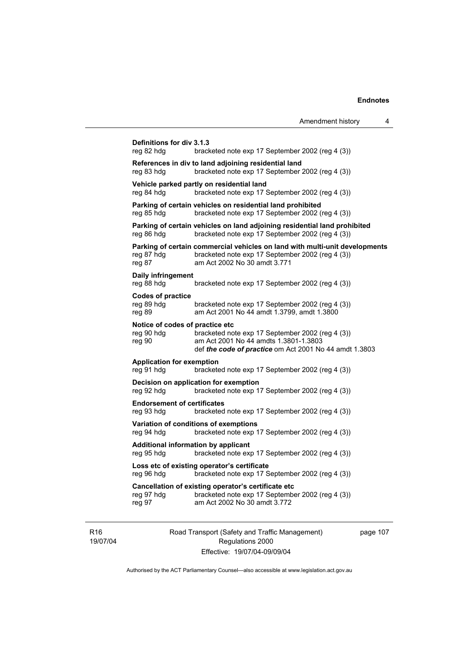| Definitions for div 3.1.3<br>reg 82 hdg                  | bracketed note exp 17 September 2002 (reg 4 (3))                                                                                                                |
|----------------------------------------------------------|-----------------------------------------------------------------------------------------------------------------------------------------------------------------|
| reg 83 hdg                                               | References in div to land adjoining residential land<br>bracketed note exp 17 September 2002 (reg 4 (3))                                                        |
| reg 84 hdg                                               | Vehicle parked partly on residential land<br>bracketed note exp 17 September 2002 (reg 4 (3))                                                                   |
| reg 85 hdg                                               | Parking of certain vehicles on residential land prohibited<br>bracketed note exp 17 September 2002 (reg 4 (3))                                                  |
| reg 86 hdg                                               | Parking of certain vehicles on land adjoining residential land prohibited<br>bracketed note exp 17 September 2002 (reg 4 (3))                                   |
| reg 87 hdg<br>reg 87                                     | Parking of certain commercial vehicles on land with multi-unit developments<br>bracketed note exp 17 September 2002 (reg 4 (3))<br>am Act 2002 No 30 amdt 3.771 |
| Daily infringement<br>reg 88 hdg                         | bracketed note exp 17 September 2002 (reg 4 (3))                                                                                                                |
| <b>Codes of practice</b><br>reg 89 hdg<br>reg 89         | bracketed note exp 17 September 2002 (reg 4 (3))<br>am Act 2001 No 44 amdt 1.3799, amdt 1.3800                                                                  |
| Notice of codes of practice etc<br>reg 90 hdg<br>reg 90  | bracketed note exp 17 September 2002 (reg 4 (3))<br>am Act 2001 No 44 amdts 1.3801-1.3803<br>def the code of practice om Act 2001 No 44 amdt 1.3803             |
| <b>Application for exemption</b><br>reg 91 hdg           | bracketed note exp 17 September 2002 (reg 4 (3))                                                                                                                |
| reg 92 hdg                                               | Decision on application for exemption<br>bracketed note exp 17 September 2002 (reg 4 (3))                                                                       |
| <b>Endorsement of certificates</b><br>reg 93 hdg         | bracketed note exp 17 September 2002 (reg 4 (3))                                                                                                                |
| reg 94 hdg                                               | Variation of conditions of exemptions<br>bracketed note exp 17 September 2002 (reg 4 (3))                                                                       |
| <b>Additional information by applicant</b><br>reg 95 hdg | bracketed note exp 17 September 2002 (reg 4 (3))                                                                                                                |
| reg 96 hdg                                               | Loss etc of existing operator's certificate<br>bracketed note exp 17 September 2002 (reg 4 (3))                                                                 |
| reg 97 hdg<br>reg 97                                     | Cancellation of existing operator's certificate etc<br>bracketed note exp 17 September 2002 (reg 4 (3))<br>am Act 2002 No 30 amdt 3.772                         |
|                                                          |                                                                                                                                                                 |

R16 19/07/04 Road Transport (Safety and Traffic Management) Regulations 2000 Effective: 19/07/04-09/09/04

page 107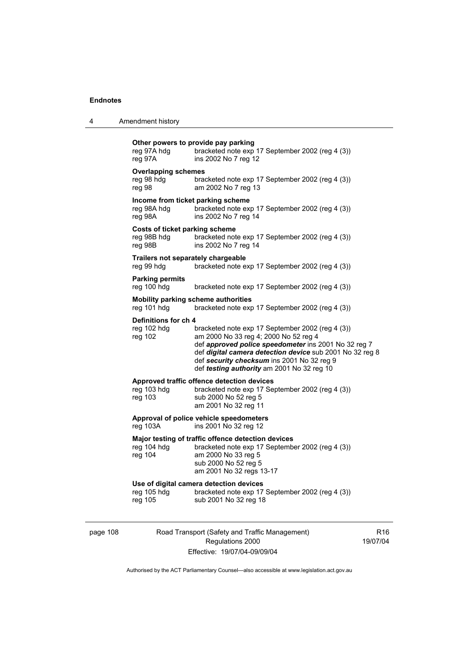|  | Amendment history |
|--|-------------------|
|--|-------------------|

| reg 97A hdg<br>reg 97A                                      | Other powers to provide pay parking<br>bracketed note exp 17 September 2002 (reg 4 (3))<br>ins 2002 No 7 reg 12                                                                                                                                                                                           |
|-------------------------------------------------------------|-----------------------------------------------------------------------------------------------------------------------------------------------------------------------------------------------------------------------------------------------------------------------------------------------------------|
| <b>Overlapping schemes</b><br>reg 98 hdg<br>reg 98          | bracketed note exp 17 September 2002 (reg 4 (3))<br>am 2002 No 7 reg 13                                                                                                                                                                                                                                   |
| Income from ticket parking scheme<br>reg 98A hdg<br>reg 98A | bracketed note exp 17 September 2002 (reg 4 (3))<br>ins 2002 No 7 reg 14                                                                                                                                                                                                                                  |
| Costs of ticket parking scheme<br>reg 98B hdg<br>reg 98B    | bracketed note exp 17 September 2002 (reg 4 (3))<br>ins 2002 No 7 reg 14                                                                                                                                                                                                                                  |
| Trailers not separately chargeable<br>reg 99 hdg            | bracketed note exp 17 September 2002 (reg 4 (3))                                                                                                                                                                                                                                                          |
| <b>Parking permits</b><br>reg 100 hdg                       | bracketed note exp 17 September 2002 (reg 4 (3))                                                                                                                                                                                                                                                          |
| reg 101 hdg                                                 | Mobility parking scheme authorities<br>bracketed note exp 17 September 2002 (reg 4 (3))                                                                                                                                                                                                                   |
| Definitions for ch 4<br>reg 102 hdg<br>reg 102              | bracketed note exp 17 September 2002 (reg 4 (3))<br>am 2000 No 33 reg 4; 2000 No 52 reg 4<br>def approved police speedometer ins 2001 No 32 reg 7<br>def digital camera detection device sub 2001 No 32 reg 8<br>def security checksum ins 2001 No 32 reg 9<br>def testing authority am 2001 No 32 reg 10 |
| reg 103 hdg<br>reg 103                                      | Approved traffic offence detection devices<br>bracketed note exp 17 September 2002 (reg 4 (3))<br>sub 2000 No 52 reg 5<br>am 2001 No 32 reg 11                                                                                                                                                            |
| reg 103A                                                    | Approval of police vehicle speedometers<br>ins 2001 No 32 reg 12                                                                                                                                                                                                                                          |
| reg 104 hdg<br>reg 104                                      | Major testing of traffic offence detection devices<br>bracketed note exp 17 September 2002 (reg 4 (3))<br>am 2000 No 33 reg 5<br>sub 2000 No 52 reg 5<br>am 2001 No 32 regs 13-17                                                                                                                         |
| reg 105 hdg<br>reg 105                                      | Use of digital camera detection devices<br>bracketed note exp 17 September 2002 (reg 4 (3))<br>sub 2001 No 32 reg 18                                                                                                                                                                                      |
|                                                             |                                                                                                                                                                                                                                                                                                           |

page 108 Road Transport (Safety and Traffic Management) Regulations 2000 Effective: 19/07/04-09/09/04

R16 19/07/04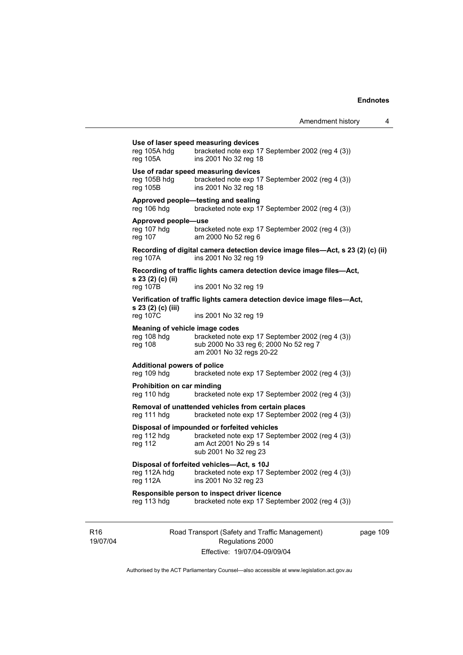|                                                                 |                                                                                                                                                    | Amendment history | 4 |
|-----------------------------------------------------------------|----------------------------------------------------------------------------------------------------------------------------------------------------|-------------------|---|
| reg 105A hdg<br>reg 105A                                        | Use of laser speed measuring devices<br>bracketed note exp 17 September 2002 (reg 4 (3))<br>ins 2001 No 32 reg 18                                  |                   |   |
| reg 105B hdg<br>$reg$ 105B                                      | Use of radar speed measuring devices<br>bracketed note exp 17 September 2002 (reg 4 (3))<br>ins 2001 No 32 reg 18                                  |                   |   |
| reg 106 hdg                                                     | Approved people-testing and sealing<br>bracketed note exp 17 September 2002 (reg 4 (3))                                                            |                   |   |
| Approved people-use<br>reg 107 hdg<br>reg 107                   | bracketed note exp 17 September 2002 (reg 4 (3))<br>am 2000 No 52 reg 6                                                                            |                   |   |
| reg 107A                                                        | Recording of digital camera detection device image files—Act, s 23 (2) (c) (ii)<br>ins 2001 No 32 reg 19                                           |                   |   |
| s 23 (2) (c) (ii)<br>reg 107B                                   | Recording of traffic lights camera detection device image files-Act,<br>ins 2001 No 32 reg 19                                                      |                   |   |
| s 23 (2) (c) (iii)<br>reg 107C                                  | Verification of traffic lights camera detection device image files—Act,<br>ins 2001 No 32 reg 19                                                   |                   |   |
| <b>Meaning of vehicle image codes</b><br>reg 108 hdg<br>reg 108 | bracketed note exp 17 September 2002 (reg 4 (3))<br>sub 2000 No 33 reg 6; 2000 No 52 reg 7<br>am 2001 No 32 regs 20-22                             |                   |   |
| <b>Additional powers of police</b><br>reg 109 hdg               | bracketed note exp 17 September 2002 (reg 4 (3))                                                                                                   |                   |   |
| Prohibition on car minding<br>reg 110 hdg                       | bracketed note exp 17 September 2002 (reg 4 (3))                                                                                                   |                   |   |
| reg 111 hdg                                                     | Removal of unattended vehicles from certain places<br>bracketed note exp 17 September 2002 (reg 4 (3))                                             |                   |   |
| reg 112 hdg<br>reg 112                                          | Disposal of impounded or forfeited vehicles<br>bracketed note exp 17 September 2002 (reg 4 (3))<br>am Act 2001 No 29 s 14<br>sub 2001 No 32 reg 23 |                   |   |
| reg 112A hdg<br>reg 112A                                        | Disposal of forfeited vehicles-Act, s 10J<br>bracketed note exp 17 September 2002 (reg 4 (3))<br>ins 2001 No 32 reg 23                             |                   |   |
| reg 113 hdg                                                     | Responsible person to inspect driver licence<br>bracketed note exp 17 September 2002 (reg 4 (3))                                                   |                   |   |
|                                                                 |                                                                                                                                                    |                   |   |

R16 19/07/04 Road Transport (Safety and Traffic Management) Regulations 2000 Effective: 19/07/04-09/09/04

page 109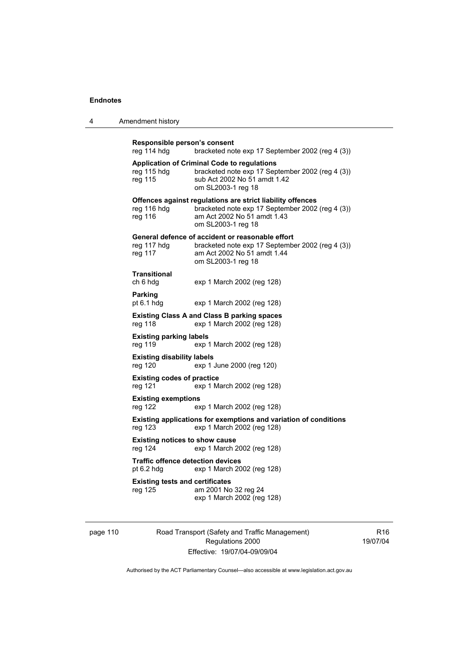| Amendment history<br>4 |  |
|------------------------|--|
|------------------------|--|

**Responsible person's consent**  bracketed note exp 17 September 2002 (reg 4 (3)) **Application of Criminal Code to regulations**  reg 115 hdg bracketed note exp 17 September 2002 (reg 4 (3)) reg 115 sub Act 2002 No 51 amdt 1.42 om SL2003-1 reg 18 **Offences against regulations are strict liability offences**  reg 116 hdg bracketed note exp 17 September 2002 (reg 4 (3)) reg 116 am Act 2002 No 51 amdt 1.43 om SL2003-1 reg 18 **General defence of accident or reasonable effort**  reg 117 hdg bracketed note exp 17 September 2002 (reg 4 (3)) reg 117 am Act 2002 No 51 amdt 1.44 om SL2003-1 reg 18 **Transitional**  ch 6 hdg exp 1 March 2002 (reg 128) **Parking**  pt 6.1 hdg exp 1 March 2002 (reg 128) **Existing Class A and Class B parking spaces**  exp 1 March 2002 (reg 128) **Existing parking labels**  reg 119 exp 1 March 2002 (reg 128) **Existing disability labels**  reg 120 exp 1 June 2000 (reg 120) **Existing codes of practice**  reg 121 exp 1 March 2002 (reg 128) **Existing exemptions**  exp 1 March 2002 (reg 128) **Existing applications for exemptions and variation of conditions**  reg 123 exp 1 March 2002 (reg 128) **Existing notices to show cause**  reg 124 exp 1 March 2002 (reg 128) **Traffic offence detection devices**  pt 6.2 hdg exp 1 March 2002 (reg 128) **Existing tests and certificates**  reg 125 am 2001 No 32 reg 24 exp 1 March 2002 (reg 128)

page 110 Road Transport (Safety and Traffic Management) Regulations 2000 Effective: 19/07/04-09/09/04

R16 19/07/04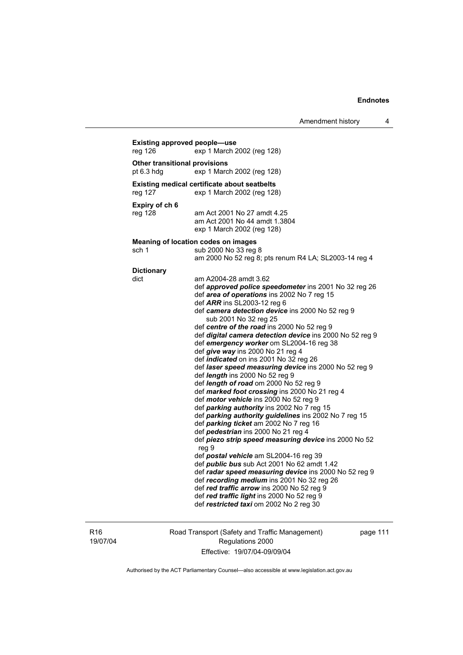| <b>Existing approved people-use</b><br>reg 126 | exp 1 March 2002 (reg 128)                                                                                                                                                                                                                                                                                                                                                                                                                                                                                                                                                                                                                                                                                                                                                                                                                                                                                                                                                                                                                                                                                                                               |
|------------------------------------------------|----------------------------------------------------------------------------------------------------------------------------------------------------------------------------------------------------------------------------------------------------------------------------------------------------------------------------------------------------------------------------------------------------------------------------------------------------------------------------------------------------------------------------------------------------------------------------------------------------------------------------------------------------------------------------------------------------------------------------------------------------------------------------------------------------------------------------------------------------------------------------------------------------------------------------------------------------------------------------------------------------------------------------------------------------------------------------------------------------------------------------------------------------------|
| Other transitional provisions<br>pt 6.3 hdg    | exp 1 March 2002 (reg 128)                                                                                                                                                                                                                                                                                                                                                                                                                                                                                                                                                                                                                                                                                                                                                                                                                                                                                                                                                                                                                                                                                                                               |
|                                                |                                                                                                                                                                                                                                                                                                                                                                                                                                                                                                                                                                                                                                                                                                                                                                                                                                                                                                                                                                                                                                                                                                                                                          |
| reg 127                                        | <b>Existing medical certificate about seatbelts</b><br>exp 1 March 2002 (reg 128)                                                                                                                                                                                                                                                                                                                                                                                                                                                                                                                                                                                                                                                                                                                                                                                                                                                                                                                                                                                                                                                                        |
| Expiry of ch 6<br>reg 128                      | am Act 2001 No 27 amdt 4.25<br>am Act 2001 No 44 amdt 1.3804<br>exp 1 March 2002 (reg 128)                                                                                                                                                                                                                                                                                                                                                                                                                                                                                                                                                                                                                                                                                                                                                                                                                                                                                                                                                                                                                                                               |
| sch 1                                          | Meaning of location codes on images<br>sub 2000 No 33 reg 8                                                                                                                                                                                                                                                                                                                                                                                                                                                                                                                                                                                                                                                                                                                                                                                                                                                                                                                                                                                                                                                                                              |
|                                                | am 2000 No 52 reg 8; pts renum R4 LA; SL2003-14 reg 4                                                                                                                                                                                                                                                                                                                                                                                                                                                                                                                                                                                                                                                                                                                                                                                                                                                                                                                                                                                                                                                                                                    |
| <b>Dictionary</b>                              |                                                                                                                                                                                                                                                                                                                                                                                                                                                                                                                                                                                                                                                                                                                                                                                                                                                                                                                                                                                                                                                                                                                                                          |
|                                                | def approved police speedometer ins 2001 No 32 reg 26<br>def area of operations ins 2002 No 7 reg 15<br>def ARR ins SL2003-12 reg 6<br>def camera detection device ins 2000 No 52 reg 9<br>sub 2001 No 32 reg 25<br>def centre of the road ins 2000 No 52 reg 9<br>def digital camera detection device ins 2000 No 52 reg 9<br>def emergency worker om SL2004-16 reg 38<br>def give way ins 2000 No 21 reg 4<br>def indicated on ins 2001 No 32 reg 26<br>def laser speed measuring device ins 2000 No 52 reg 9<br>def length ins 2000 No 52 reg 9<br>def length of road om 2000 No 52 reg 9<br>def marked foot crossing ins 2000 No 21 reg 4<br>def motor vehicle ins 2000 No 52 reg 9<br>def parking authority ins 2002 No 7 reg 15<br>def parking authority guidelines ins 2002 No 7 reg 15<br>def parking ticket am 2002 No 7 reg 16<br>def pedestrian ins 2000 No 21 reg 4<br>def piezo strip speed measuring device ins 2000 No 52<br>reg 9<br>def postal vehicle am SL2004-16 reg 39<br>def <i>public bus</i> sub Act 2001 No 62 amdt 1.42<br>def radar speed measuring device ins 2000 No 52 reg 9<br>def recording medium ins 2001 No 32 reg 26 |
|                                                | def red traffic arrow ins 2000 No 52 reg 9<br>def red traffic light ins 2000 No 52 reg 9                                                                                                                                                                                                                                                                                                                                                                                                                                                                                                                                                                                                                                                                                                                                                                                                                                                                                                                                                                                                                                                                 |
|                                                | def restricted taxi om 2002 No 2 reg 30                                                                                                                                                                                                                                                                                                                                                                                                                                                                                                                                                                                                                                                                                                                                                                                                                                                                                                                                                                                                                                                                                                                  |

R16 19/07/04 Road Transport (Safety and Traffic Management) Regulations 2000 Effective: 19/07/04-09/09/04

page 111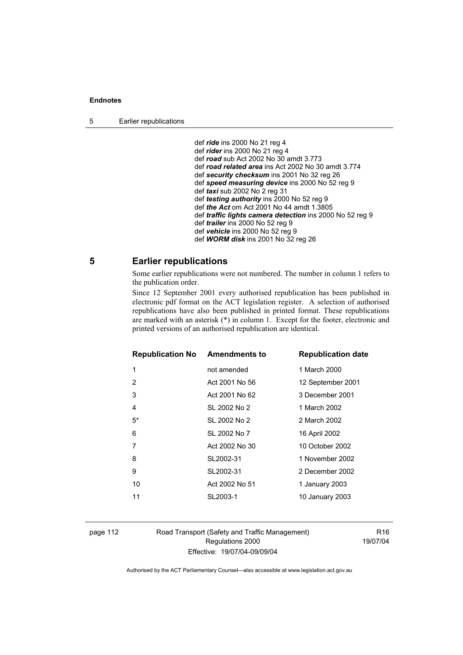5 Earlier republications

 def *ride* ins 2000 No 21 reg 4 def *rider* ins 2000 No 21 reg 4 def *road* sub Act 2002 No 30 amdt 3.773 def *road related area* ins Act 2002 No 30 amdt 3.774 def *security checksum* ins 2001 No 32 reg 26 def *speed measuring device* ins 2000 No 52 reg 9 def *taxi* sub 2002 No 2 reg 31 def *testing authority* ins 2000 No 52 reg 9 def *the Act* om Act 2001 No 44 amdt 1.3805 def *traffic lights camera detection* ins 2000 No 52 reg 9 def *trailer* ins 2000 No 52 reg 9 def *vehicle* ins 2000 No 52 reg 9 def *WORM disk* ins 2001 No 32 reg 26

# **5 Earlier republications**

Some earlier republications were not numbered. The number in column 1 refers to the publication order.

Since 12 September 2001 every authorised republication has been published in electronic pdf format on the ACT legislation register. A selection of authorised republications have also been published in printed format. These republications are marked with an asterisk (\*) in column 1. Except for the footer, electronic and printed versions of an authorised republication are identical.

| <b>Republication No</b> | <b>Amendments to</b> | <b>Republication date</b> |
|-------------------------|----------------------|---------------------------|
| 1                       | not amended          | 1 March 2000              |
| 2                       | Act 2001 No 56       | 12 September 2001         |
| 3                       | Act 2001 No 62       | 3 December 2001           |
| 4                       | SL 2002 No 2         | 1 March 2002              |
| 5*                      | SL 2002 No 2         | 2 March 2002              |
| 6                       | SL 2002 No 7         | 16 April 2002             |
| 7                       | Act 2002 No 30       | 10 October 2002           |
| 8                       | SL2002-31            | 1 November 2002           |
| 9                       | SL2002-31            | 2 December 2002           |
| 10                      | Act 2002 No 51       | 1 January 2003            |
| 11                      | SL2003-1             | 10 January 2003           |
|                         |                      |                           |

page 112 Road Transport (Safety and Traffic Management) Regulations 2000 Effective: 19/07/04-09/09/04

R16 19/07/04